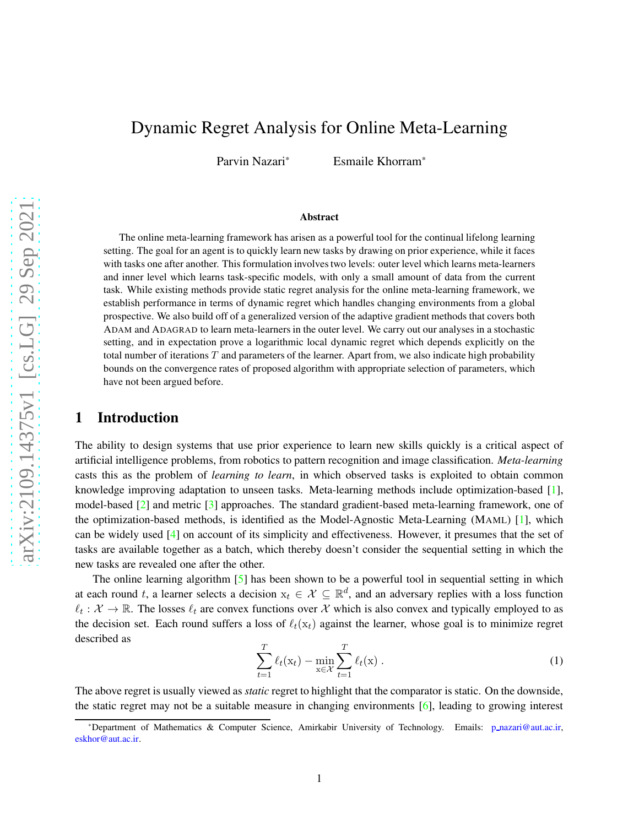# Dynamic Regret Analysis for Online Meta-Learning

Parvin Nazari\* Esmaile Khorram\*

#### Abstract

The online meta-learning framework has arisen as a powerful tool for the continual lifelong learning setting. The goal for an agent is to quickly learn new tasks by drawing on prior experience, while it faces with tasks one after another. This formulation involves two levels: outer level which learns meta-learners and inner level which learns task-specific models, with only a small amount of data from the current task. While existing methods provide static regret analysis for the online meta-learning framework, we establish performance in terms of dynamic regret which handles changing environments from a global prospective. We also build off of a generalized version of the adaptive gradient methods that covers both ADAM and ADAGRAD to learn meta-learners in the outer level. We carry out our analyses in a stochastic setting, and in expectation prove a logarithmic local dynamic regret which depends explicitly on the total number of iterations  $T$  and parameters of the learner. Apart from, we also indicate high probability bounds on the convergence rates of proposed algorithm with appropriate selection of parameters, which have not been argued before.

# 1 Introduction

The ability to design systems that use prior experience to learn new skills quickly is a critical aspect of artificial intelligence problems, from robotics to pattern recognition and image classification. *Meta-learning* casts this as the problem of *learning to learn*, in which observed tasks is exploited to obtain common knowledge improving adaptation to unseen tasks. Meta-learning methods include optimization-based [\[1\]](#page-11-0), model-based [\[2\]](#page-12-0) and metric [\[3\]](#page-12-1) approaches. The standard gradient-based meta-learning framework, one of the optimization-based methods, is identified as the Model-Agnostic Meta-Learning (MAML) [\[1\]](#page-11-0), which can be widely used [\[4\]](#page-12-2) on account of its simplicity and effectiveness. However, it presumes that the set of tasks are available together as a batch, which thereby doesn't consider the sequential setting in which the new tasks are revealed one after the other.

The online learning algorithm [\[5\]](#page-12-3) has been shown to be a powerful tool in sequential setting in which at each round t, a learner selects a decision  $x_t \in \mathcal{X} \subseteq \mathbb{R}^d$ , and an adversary replies with a loss function  $\ell_t : \mathcal{X} \to \mathbb{R}$ . The losses  $\ell_t$  are convex functions over  $\mathcal{X}$  which is also convex and typically employed to as the decision set. Each round suffers a loss of  $\ell_t(x_t)$  against the learner, whose goal is to minimize regret described as

<span id="page-0-0"></span>
$$
\sum_{t=1}^{T} \ell_t(\mathbf{x}_t) - \min_{\mathbf{x} \in \mathcal{X}} \sum_{t=1}^{T} \ell_t(\mathbf{x}).
$$
 (1)

The above regret is usually viewed as *static* regret to highlight that the comparator is static. On the downside, the static regret may not be a suitable measure in changing environments [\[6\]](#page-12-4), leading to growing interest

<sup>\*</sup>Department of Mathematics & Computer Science, Amirkabir University of Technology. Emails: p [nazari@aut.ac.ir,](mailto:siqiz4@illinois.edu) [eskhor@aut.ac.ir.](mailto:niaohe@illinois.edu)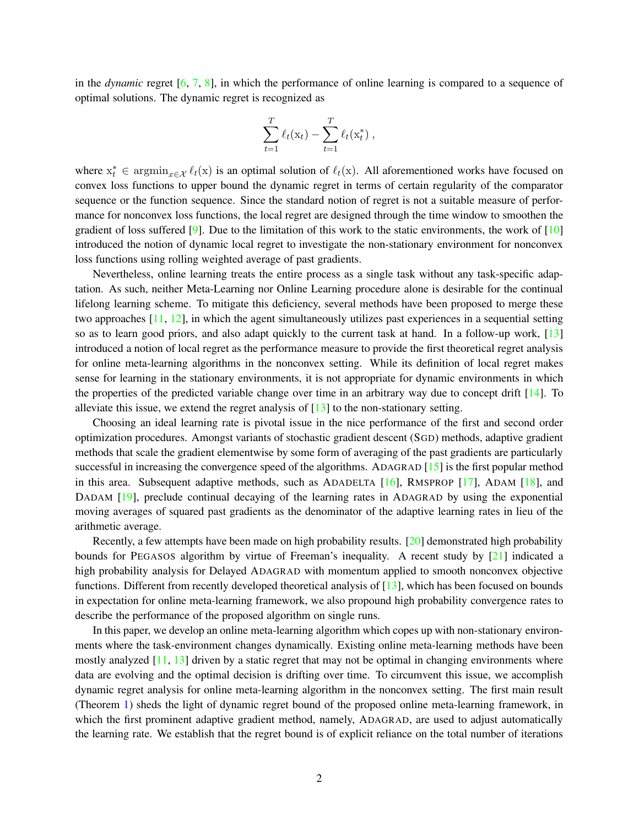in the *dynamic* regret [\[6,](#page-12-4) [7,](#page-12-5) [8\]](#page-12-6), in which the performance of online learning is compared to a sequence of optimal solutions. The dynamic regret is recognized as

$$
\sum_{t=1}^T \ell_t(\mathbf{x}_t) - \sum_{t=1}^T \ell_t(\mathbf{x}_t^*),
$$

where  $x_t^* \in \operatorname{argmin}_{x \in \mathcal{X}} \ell_t(x)$  is an optimal solution of  $\ell_t(x)$ . All aforementioned works have focused on convex loss functions to upper bound the dynamic regret in terms of certain regularity of the comparator sequence or the function sequence. Since the standard notion of regret is not a suitable measure of performance for nonconvex loss functions, the local regret are designed through the time window to smoothen the gradient of loss suffered [\[9\]](#page-12-7). Due to the limitation of this work to the static environments, the work of  $[10]$ introduced the notion of dynamic local regret to investigate the non-stationary environment for nonconvex loss functions using rolling weighted average of past gradients.

Nevertheless, online learning treats the entire process as a single task without any task-specific adaptation. As such, neither Meta-Learning nor Online Learning procedure alone is desirable for the continual lifelong learning scheme. To mitigate this deficiency, several methods have been proposed to merge these two approaches [\[11,](#page-12-9) [12\]](#page-12-10), in which the agent simultaneously utilizes past experiences in a sequential setting so as to learn good priors, and also adapt quickly to the current task at hand. In a follow-up work, [\[13\]](#page-12-11) introduced a notion of local regret as the performance measure to provide the first theoretical regret analysis for online meta-learning algorithms in the nonconvex setting. While its definition of local regret makes sense for learning in the stationary environments, it is not appropriate for dynamic environments in which the properties of the predicted variable change over time in an arbitrary way due to concept drift [\[14\]](#page-12-12). To alleviate this issue, we extend the regret analysis of  $[13]$  to the non-stationary setting.

Choosing an ideal learning rate is pivotal issue in the nice performance of the first and second order optimization procedures. Amongst variants of stochastic gradient descent (SGD) methods, adaptive gradient methods that scale the gradient elementwise by some form of averaging of the past gradients are particularly successful in increasing the convergence speed of the algorithms. ADAGRAD [\[15\]](#page-12-13) is the first popular method in this area. Subsequent adaptive methods, such as ADADELTA [\[16\]](#page-12-14), RMSPROP [\[17\]](#page-12-15), ADAM [\[18\]](#page-12-16), and DADAM [\[19\]](#page-13-0), preclude continual decaying of the learning rates in ADAGRAD by using the exponential moving averages of squared past gradients as the denominator of the adaptive learning rates in lieu of the arithmetic average.

Recently, a few attempts have been made on high probability results. [\[20\]](#page-13-1) demonstrated high probability bounds for PEGASOS algorithm by virtue of Freeman's inequality. A recent study by [\[21\]](#page-13-2) indicated a high probability analysis for Delayed ADAGRAD with momentum applied to smooth nonconvex objective functions. Different from recently developed theoretical analysis of [\[13\]](#page-12-11), which has been focused on bounds in expectation for online meta-learning framework, we also propound high probability convergence rates to describe the performance of the proposed algorithm on single runs.

In this paper, we develop an online meta-learning algorithm which copes up with non-stationary environments where the task-environment changes dynamically. Existing online meta-learning methods have been mostly analyzed  $[11, 13]$  $[11, 13]$  driven by a static regret that may not be optimal in changing environments where data are evolving and the optimal decision is drifting over time. To circumvent this issue, we accomplish dynamic regret analysis for online meta-learning algorithm in the nonconvex setting. The first main result (Theorem [1\)](#page-7-0) sheds the light of dynamic regret bound of the proposed online meta-learning framework, in which the first prominent adaptive gradient method, namely, ADAGRAD, are used to adjust automatically the learning rate. We establish that the regret bound is of explicit reliance on the total number of iterations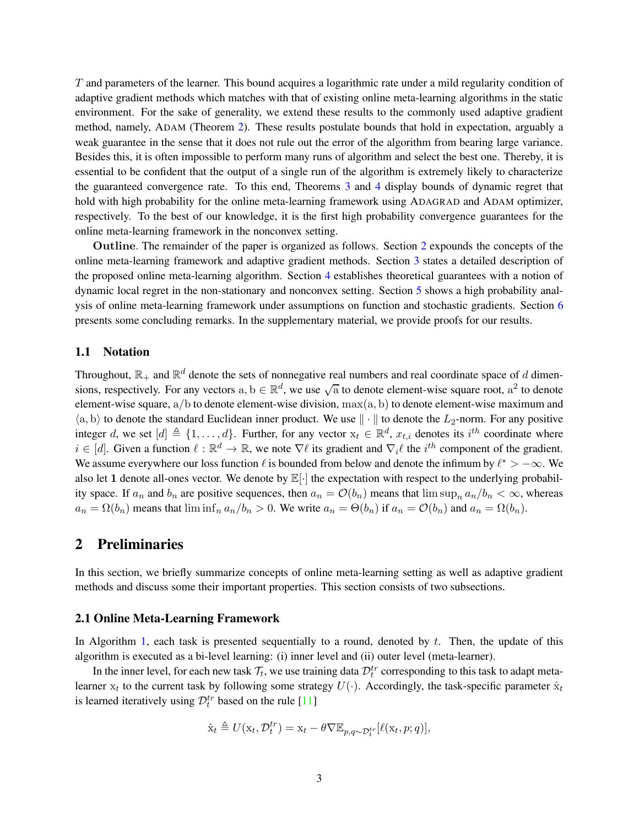T and parameters of the learner. This bound acquires a logarithmic rate under a mild regularity condition of adaptive gradient methods which matches with that of existing online meta-learning algorithms in the static environment. For the sake of generality, we extend these results to the commonly used adaptive gradient method, namely, ADAM (Theorem [2\)](#page-8-0). These results postulate bounds that hold in expectation, arguably a weak guarantee in the sense that it does not rule out the error of the algorithm from bearing large variance. Besides this, it is often impossible to perform many runs of algorithm and select the best one. Thereby, it is essential to be confident that the output of a single run of the algorithm is extremely likely to characterize the guaranteed convergence rate. To this end, Theorems [3](#page-9-0) and [4](#page-10-0) display bounds of dynamic regret that hold with high probability for the online meta-learning framework using ADAGRAD and ADAM optimizer, respectively. To the best of our knowledge, it is the first high probability convergence guarantees for the online meta-learning framework in the nonconvex setting.

Outline. The remainder of the paper is organized as follows. Section [2](#page-2-0) expounds the concepts of the online meta-learning framework and adaptive gradient methods. Section [3](#page-4-0) states a detailed description of the proposed online meta-learning algorithm. Section [4](#page-6-0) establishes theoretical guarantees with a notion of dynamic local regret in the non-stationary and nonconvex setting. Section [5](#page-9-1) shows a high probability analysis of online meta-learning framework under assumptions on function and stochastic gradients. Section [6](#page-11-1) presents some concluding remarks. In the supplementary material, we provide proofs for our results.

#### 1.1 Notation

Throughout,  $\mathbb{R}_+$  and  $\mathbb{R}^d$  denote the sets of nonnegative real numbers and real coordinate space of d dimensions, respectively. For any vectors  $a, b \in \mathbb{R}^d$ , we use  $\sqrt{a}$  to denote element-wise square root,  $a^2$  to denote element-wise square, a/b to denote element-wise division, max(a, b) to denote element-wise maximum and  $\langle a, b \rangle$  to denote the standard Euclidean inner product. We use  $\|\cdot\|$  to denote the  $L_2$ -norm. For any positive integer d, we set  $[d] \triangleq \{1, \ldots, d\}$ . Further, for any vector  $x_t \in \mathbb{R}^d$ ,  $x_{t,i}$  denotes its  $i^{th}$  coordinate where  $i \in [d]$ . Given a function  $\ell : \mathbb{R}^d \to \mathbb{R}$ , we note  $\nabla \ell$  its gradient and  $\nabla_i \ell$  the  $i^{th}$  component of the gradient. We assume everywhere our loss function  $\ell$  is bounded from below and denote the infimum by  $\ell^* > -\infty$ . We also let 1 denote all-ones vector. We denote by  $\mathbb{E}[\cdot]$  the expectation with respect to the underlying probability space. If  $a_n$  and  $b_n$  are positive sequences, then  $a_n = \mathcal{O}(b_n)$  means that  $\limsup_n a_n/b_n < \infty$ , whereas  $a_n = \Omega(b_n)$  means that  $\liminf_n a_n/b_n > 0$ . We write  $a_n = \Theta(b_n)$  if  $a_n = \mathcal{O}(b_n)$  and  $a_n = \Omega(b_n)$ .

# <span id="page-2-0"></span>2 Preliminaries

In this section, we briefly summarize concepts of online meta-learning setting as well as adaptive gradient methods and discuss some their important properties. This section consists of two subsections.

#### 2.1 Online Meta-Learning Framework

In Algorithm [1,](#page-3-0) each task is presented sequentially to a round, denoted by  $t$ . Then, the update of this algorithm is executed as a bi-level learning: (i) inner level and (ii) outer level (meta-learner).

In the inner level, for each new task  $\mathcal{T}_t$ , we use training data  $\mathcal{D}_t^{tr}$  corresponding to this task to adapt metalearner  $x_t$  to the current task by following some strategy  $U(\cdot)$ . Accordingly, the task-specific parameter  $\hat{x}_t$ is learned iteratively using  $\mathcal{D}_t^{tr}$  based on the rule [\[11\]](#page-12-9)

$$
\hat{\mathbf{x}}_t \triangleq U(\mathbf{x}_t, \mathcal{D}_t^{tr}) = \mathbf{x}_t - \theta \nabla \mathbb{E}_{p,q \sim \mathcal{D}_t^{tr}}[\ell(\mathbf{x}_t, p; q)],
$$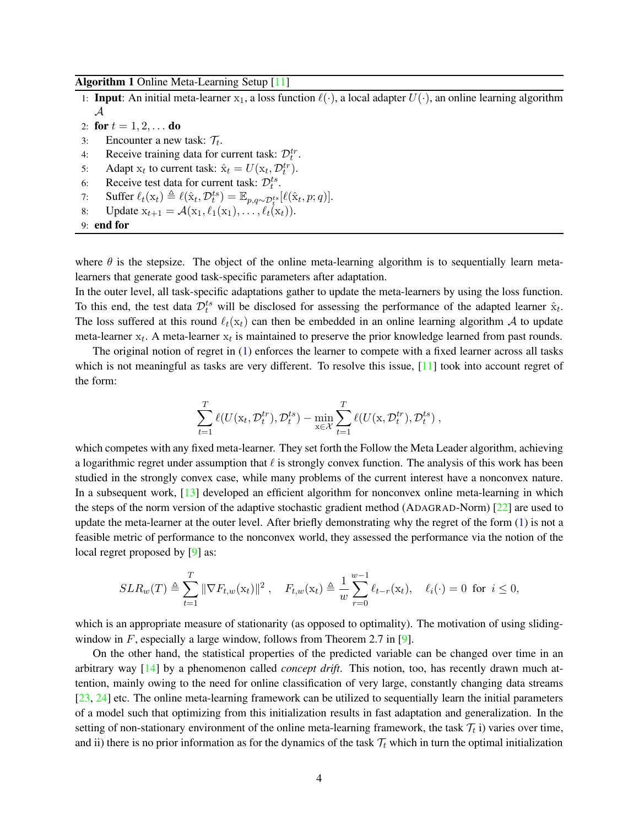#### <span id="page-3-0"></span>Algorithm 1 Online Meta-Learning Setup [\[11\]](#page-12-9)

- 1: **Input:** An initial meta-learner  $x_1$ , a loss function  $\ell(\cdot)$ , a local adapter  $U(\cdot)$ , an online learning algorithm  ${\cal A}$
- 2: for  $t = 1, 2, ...$  do
- 3: Encounter a new task:  $\mathcal{T}_t$ .
- 4: Receive training data for current task:  $\mathcal{D}_t^{tr}$ .
- 5: Adapt  $x_t$  to current task:  $\hat{x}_t = U(x_t, \mathcal{D}_t^{tr})$ .
- 6: Receive test data for current task:  $\mathcal{D}_{t}^{ts}$ .
- 7: Suffer  $\ell_t(\mathbf{x}_t) \triangleq \ell(\hat{\mathbf{x}}_t, \mathcal{D}_t^{ts}) = \mathbb{E}_{p,q \sim \mathcal{D}_t^{ts}}[\ell(\hat{\mathbf{x}}_t, p; q)].$
- 8: Update  $x_{t+1} = \mathcal{A}(x_1, \ell_1(x_1), \ldots, \ell_t(x_t)).$

```
9: end for
```
where  $\theta$  is the stepsize. The object of the online meta-learning algorithm is to sequentially learn metalearners that generate good task-specific parameters after adaptation.

In the outer level, all task-specific adaptations gather to update the meta-learners by using the loss function. To this end, the test data  $\mathcal{D}_t^{ts}$  will be disclosed for assessing the performance of the adapted learner  $\hat{x}_t$ . The loss suffered at this round  $\ell_t(x_t)$  can then be embedded in an online learning algorithm A to update meta-learner  $x_t$ . A meta-learner  $x_t$  is maintained to preserve the prior knowledge learned from past rounds.

The original notion of regret in [\(1\)](#page-0-0) enforces the learner to compete with a fixed learner across all tasks which is not meaningful as tasks are very different. To resolve this issue,  $[11]$  took into account regret of the form:

$$
\sum_{t=1}^T \ell(U(\mathbf{x}_t, \mathcal{D}_t^{tr}), \mathcal{D}_t^{ts}) - \min_{\mathbf{x} \in \mathcal{X}} \sum_{t=1}^T \ell(U(\mathbf{x}, \mathcal{D}_t^{tr}), \mathcal{D}_t^{ts}),
$$

which competes with any fixed meta-learner. They set forth the Follow the Meta Leader algorithm, achieving a logarithmic regret under assumption that  $\ell$  is strongly convex function. The analysis of this work has been studied in the strongly convex case, while many problems of the current interest have a nonconvex nature. In a subsequent work, [\[13\]](#page-12-11) developed an efficient algorithm for nonconvex online meta-learning in which the steps of the norm version of the adaptive stochastic gradient method (ADAGRAD-Norm) [\[22\]](#page-13-3) are used to update the meta-learner at the outer level. After briefly demonstrating why the regret of the form [\(1\)](#page-0-0) is not a feasible metric of performance to the nonconvex world, they assessed the performance via the notion of the local regret proposed by [\[9\]](#page-12-7) as:

$$
SLR_w(T) \triangleq \sum_{t=1}^T \|\nabla F_{t,w}(\mathbf{x}_t)\|^2, \quad F_{t,w}(\mathbf{x}_t) \triangleq \frac{1}{w} \sum_{r=0}^{w-1} \ell_{t-r}(\mathbf{x}_t), \quad \ell_i(\cdot) = 0 \text{ for } i \le 0,
$$

which is an appropriate measure of stationarity (as opposed to optimality). The motivation of using sliding-window in F, especially a large window, follows from Theorem 2.7 in [\[9\]](#page-12-7).

On the other hand, the statistical properties of the predicted variable can be changed over time in an arbitrary way [\[14\]](#page-12-12) by a phenomenon called *concept drift*. This notion, too, has recently drawn much attention, mainly owing to the need for online classification of very large, constantly changing data streams [\[23,](#page-13-4) [24\]](#page-13-5) etc. The online meta-learning framework can be utilized to sequentially learn the initial parameters of a model such that optimizing from this initialization results in fast adaptation and generalization. In the setting of non-stationary environment of the online meta-learning framework, the task  $\mathcal{T}_t$  i) varies over time, and ii) there is no prior information as for the dynamics of the task  $\mathcal{T}_t$  which in turn the optimal initialization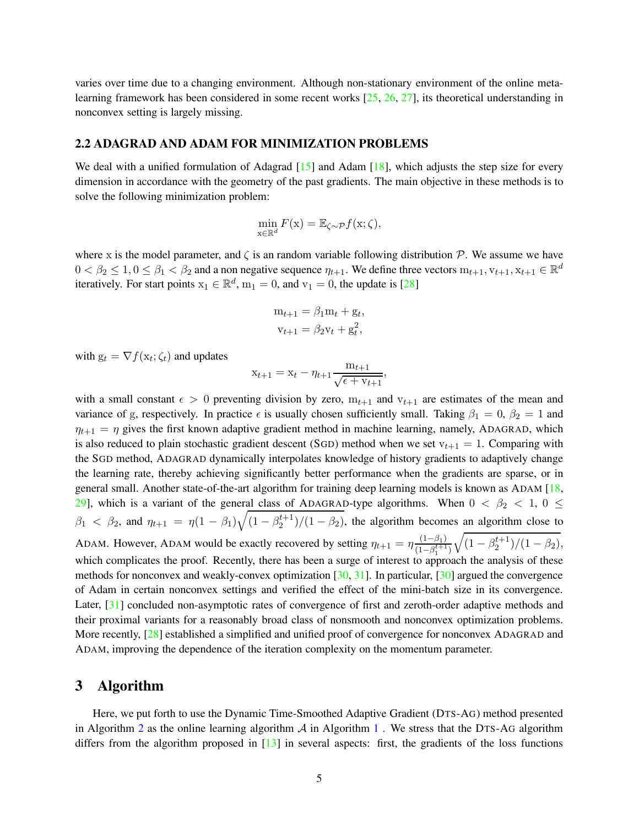varies over time due to a changing environment. Although non-stationary environment of the online metalearning framework has been considered in some recent works [\[25,](#page-13-6) [26,](#page-13-7) [27\]](#page-13-8), its theoretical understanding in nonconvex setting is largely missing.

#### 2.2 ADAGRAD AND ADAM FOR MINIMIZATION PROBLEMS

We deal with a unified formulation of Adagrad [\[15\]](#page-12-13) and Adam [\[18\]](#page-12-16), which adjusts the step size for every dimension in accordance with the geometry of the past gradients. The main objective in these methods is to solve the following minimization problem:

$$
\min_{\mathbf{x}\in\mathbb{R}^d} F(\mathbf{x}) = \mathbb{E}_{\zeta\sim\mathcal{P}} f(\mathbf{x};\zeta),
$$

where x is the model parameter, and  $\zeta$  is an random variable following distribution  $\mathcal{P}$ . We assume we have  $0 < \beta_2 \le 1, 0 \le \beta_1 < \beta_2$  and a non negative sequence  $\eta_{t+1}$ . We define three vectors  $m_{t+1}, v_{t+1}, x_{t+1} \in \mathbb{R}^d$ iteratively. For start points  $x_1 \in \mathbb{R}^d$ ,  $m_1 = 0$ , and  $v_1 = 0$ , the update is [\[28\]](#page-13-9)

$$
m_{t+1} = \beta_1 m_t + g_t,
$$
  

$$
v_{t+1} = \beta_2 v_t + g_t^2,
$$

with  $g_t = \nabla f(x_t; \zeta_t)$  and updates

$$
x_{t+1} = x_t - \eta_{t+1} \frac{m_{t+1}}{\sqrt{\epsilon + v_{t+1}}},
$$

with a small constant  $\epsilon > 0$  preventing division by zero,  $m_{t+1}$  and  $v_{t+1}$  are estimates of the mean and variance of g, respectively. In practice  $\epsilon$  is usually chosen sufficiently small. Taking  $\beta_1 = 0$ ,  $\beta_2 = 1$  and  $\eta_{t+1} = \eta$  gives the first known adaptive gradient method in machine learning, namely, ADAGRAD, which is also reduced to plain stochastic gradient descent (SGD) method when we set  $v_{t+1} = 1$ . Comparing with the SGD method, ADAGRAD dynamically interpolates knowledge of history gradients to adaptively change the learning rate, thereby achieving significantly better performance when the gradients are sparse, or in general small. Another state-of-the-art algorithm for training deep learning models is known as ADAM [\[18,](#page-12-16) [29\]](#page-13-10), which is a variant of the general class of ADAGRAD-type algorithms. When  $0 < \beta_2 < 1$ ,  $0 \le \beta_3$  $\beta_1$  <  $\beta_2$ , and  $\eta_{t+1} = \eta(1-\beta_1)\sqrt{(1-\beta_2^{\t+1})/(1-\beta_2)}$ , the algorithm becomes an algorithm close to ADAM. However, ADAM would be exactly recovered by setting  $\eta_{t+1} = \eta \frac{(1-\beta_1)}{(1-\beta_1)^{t+1}}$  $(1-\beta_1^{t+1})$  $\sqrt{(1-\beta_2^{t+1})/(1-\beta_2)},$ which complicates the proof. Recently, there has been a surge of interest to approach the analysis of these methods for nonconvex and weakly-convex optimization [\[30,](#page-13-11) [31\]](#page-13-12). In particular, [\[30\]](#page-13-11) argued the convergence of Adam in certain nonconvex settings and verified the effect of the mini-batch size in its convergence. Later, [\[31\]](#page-13-12) concluded non-asymptotic rates of convergence of first and zeroth-order adaptive methods and their proximal variants for a reasonably broad class of nonsmooth and nonconvex optimization problems. More recently, [\[28\]](#page-13-9) established a simplified and unified proof of convergence for nonconvex ADAGRAD and ADAM, improving the dependence of the iteration complexity on the momentum parameter.

## <span id="page-4-0"></span>3 Algorithm

Here, we put forth to use the Dynamic Time-Smoothed Adaptive Gradient (DTS-AG) method presented in Algorithm [2](#page-5-0) as the online learning algorithm  $\mathcal A$  in Algorithm [1](#page-3-0). We stress that the DTS-AG algorithm differs from the algorithm proposed in [\[13\]](#page-12-11) in several aspects: first, the gradients of the loss functions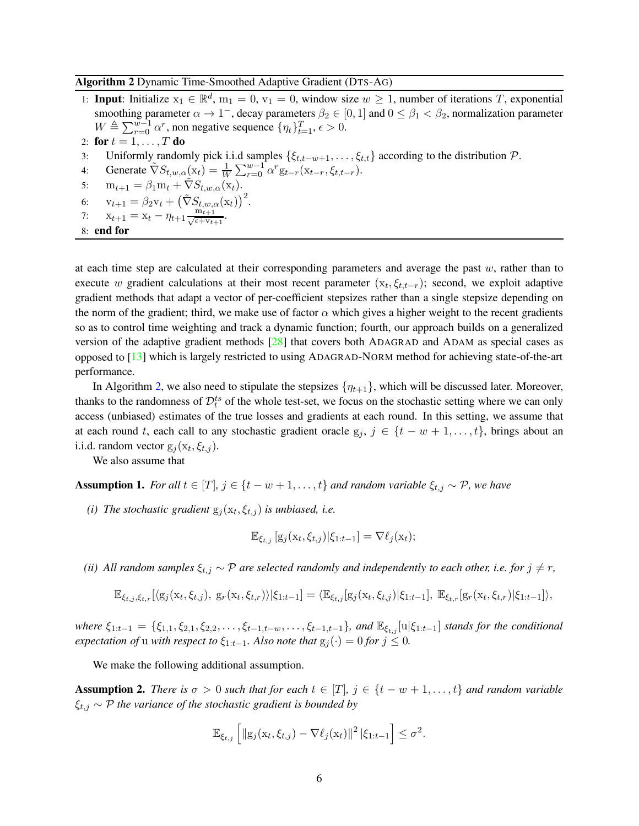### Algorithm 2 Dynamic Time-Smoothed Adaptive Gradient (DTS-AG)

- 1: **Input**: Initialize  $x_1 \in \mathbb{R}^d$ ,  $m_1 = 0$ ,  $v_1 = 0$ , window size  $w \ge 1$ , number of iterations T, exponential smoothing parameter  $\alpha \to 1^-$ , decay parameters  $\beta_2 \in [0,1]$  and  $0 \le \beta_1 < \beta_2$ , normalization parameter  $W \triangleq \sum_{r=0}^{w-1} \alpha^r$ , non negative sequence  $\{\eta_t\}_{t=1}^T$ ,  $\epsilon > 0$ . 2: for  $t = 1, \ldots, T$  do
- 3: Uniformly randomly pick i.i.d samples  $\{\xi_{t,t-w+1}, \dots, \xi_{t,t}\}$  according to the distribution  $\mathcal{P}$ .<br>4: Generate  $\tilde{\nabla}S_{t,w,\alpha}(\mathbf{x}_t) = \frac{1}{W} \sum_{k=0}^{W-1} \alpha^r g_{t-r}(\mathbf{x}_{t-r}, \xi_{t,t-r})$ .
- 4: Generate  $\tilde{\nabla} S_{t,w,\alpha}(x_t) = \frac{1}{W} \sum_{r=0}^{w-1} \alpha^r g_{t-r}(x_{t-r}, \xi_{t,t-r}).$
- 5:  $m_{t+1} = \beta_1 m_t + \tilde{\nabla} S_{t,w,\alpha}(x_t).$
- 6:  $v_{t+1} = \beta_2 v_t + (\tilde{\nabla} S_{t,w,\alpha}(x_t))^2$ .
- <span id="page-5-0"></span>7:  $x_{t+1} = x_t - \eta_{t+1} \frac{m_{t+1}}{\sqrt{\epsilon + v_t}}$  $\frac{\scriptstyle{\mathrm{m}_{t+1}}}{\scriptstyle{\epsilon+v_{t+1}}}.$

```
8: end for
```
at each time step are calculated at their corresponding parameters and average the past  $w$ , rather than to execute w gradient calculations at their most recent parameter  $(x_t, \xi_{t,t-r})$ ; second, we exploit adaptive gradient methods that adapt a vector of per-coefficient stepsizes rather than a single stepsize depending on the norm of the gradient; third, we make use of factor  $\alpha$  which gives a higher weight to the recent gradients so as to control time weighting and track a dynamic function; fourth, our approach builds on a generalized version of the adaptive gradient methods  $[28]$  that covers both ADAGRAD and ADAM as special cases as opposed to [\[13\]](#page-12-11) which is largely restricted to using ADAGRAD-NORM method for achieving state-of-the-art performance.

In Algorithm [2,](#page-5-0) we also need to stipulate the stepsizes  $\{\eta_{t+1}\}\$ , which will be discussed later. Moreover, thanks to the randomness of  $\mathcal{D}_t^{ts}$  of the whole test-set, we focus on the stochastic setting where we can only access (unbiased) estimates of the true losses and gradients at each round. In this setting, we assume that at each round t, each call to any stochastic gradient oracle  $g_j$ ,  $j \in \{t - w + 1, \ldots, t\}$ , brings about an i.i.d. random vector  $g_j(x_t, \xi_{t,j})$ .

We also assume that

<span id="page-5-1"></span>Assumption 1. *For all*  $t \in [T]$ ,  $j \in \{t - w + 1, \ldots, t\}$  *and random variable*  $\xi_{t,j} \sim \mathcal{P}$ *, we have* 

(*i*) The stochastic gradient  $g_j(x_t, \xi_{t,j})$  is unbiased, i.e.

$$
\mathbb{E}_{\xi_{t,j}}\left[g_j(\mathbf{x}_t,\xi_{t,j})|\xi_{1:t-1}\right] = \nabla \ell_j(\mathbf{x}_t);
$$

*(ii)* All random samples  $\xi_{t,j} \sim \mathcal{P}$  are selected randomly and independently to each other, i.e. for  $j \neq r$ ,

$$
\mathbb{E}_{\xi_{t,j},\xi_{t,r}}[\langle g_j(x_t,\xi_{t,j}),\ g_r(x_t,\xi_{t,r})\rangle|\xi_{1:t-1}] = \langle \mathbb{E}_{\xi_{t,j}}[g_j(x_t,\xi_{t,j})|\xi_{1:t-1}],\ \mathbb{E}_{\xi_{t,r}}[g_r(x_t,\xi_{t,r})|\xi_{1:t-1}]\rangle,
$$

*where*  $\xi_{1:t-1} = {\xi_{1,1}, \xi_{2,1}, \xi_{2,2}, \ldots, \xi_{t-1,t-w}, \ldots, \xi_{t-1,t-1}}$ *, and*  $\mathbb{E}_{\xi_{t,j}}[u|\xi_{1:t-1}]$  *stands for the conditional expectation of u with respect to*  $\xi_{1:t-1}$ *. Also note that*  $g_j(\cdot) = 0$  *for*  $j \leq 0$ *.* 

We make the following additional assumption.

<span id="page-5-2"></span>**Assumption 2.** *There is*  $\sigma > 0$  *such that for each*  $t \in [T]$ ,  $j \in \{t - w + 1, \ldots, t\}$  *and random variable* ξt,j ∼ P *the variance of the stochastic gradient is bounded by*

$$
\mathbb{E}_{\xi_{t,j}}\left[\left\|\mathbf{g}_j(\mathbf{x}_t,\xi_{t,j})-\nabla \ell_j(\mathbf{x}_t)\right\|^2|\xi_{1:t-1}\right] \leq \sigma^2.
$$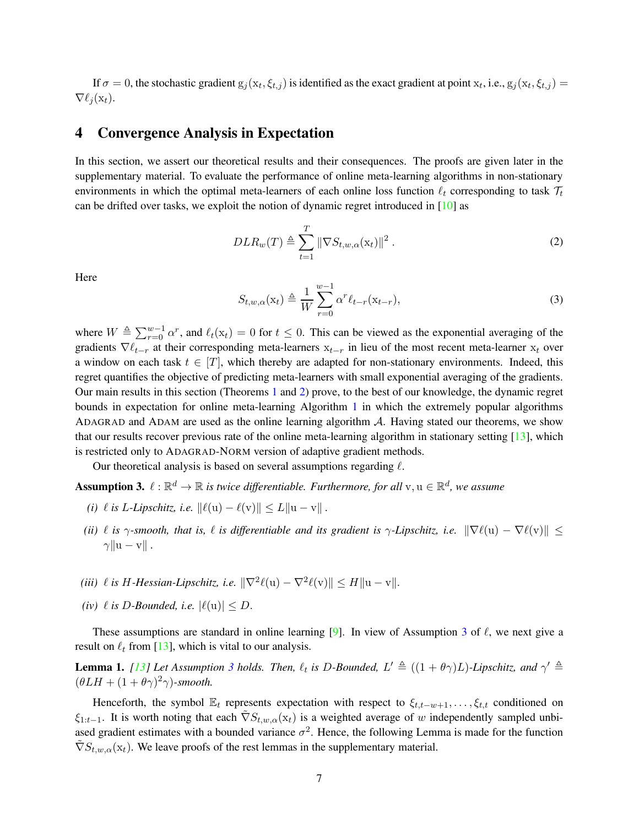If  $\sigma=0$ , the stochastic gradient  $g_j(x_t, \xi_{t,j})$  is identified as the exact gradient at point  $x_t$ , i.e.,  $g_j(x_t, \xi_{t,j})=$  $\nabla \ell_i(\mathbf{x}_t)$ .

# <span id="page-6-0"></span>4 Convergence Analysis in Expectation

In this section, we assert our theoretical results and their consequences. The proofs are given later in the supplementary material. To evaluate the performance of online meta-learning algorithms in non-stationary environments in which the optimal meta-learners of each online loss function  $\ell_t$  corresponding to task  $\mathcal{T}_t$ can be drifted over tasks, we exploit the notion of dynamic regret introduced in [\[10\]](#page-12-8) as

$$
DLR_w(T) \triangleq \sum_{t=1}^T \|\nabla S_{t,w,\alpha}(\mathbf{x}_t)\|^2.
$$
 (2)

Here

<span id="page-6-2"></span>
$$
S_{t,w,\alpha}(\mathbf{x}_t) \triangleq \frac{1}{W} \sum_{r=0}^{w-1} \alpha^r \ell_{t-r}(\mathbf{x}_{t-r}),
$$
\n(3)

where  $W \triangleq \sum_{r=0}^{w-1} \alpha^r$ , and  $\ell_t(x_t) = 0$  for  $t \leq 0$ . This can be viewed as the exponential averaging of the gradients  $\nabla \ell_{t-r}$  at their corresponding meta-learners  $x_{t-r}$  in lieu of the most recent meta-learner  $x_t$  over a window on each task  $t \in [T]$ , which thereby are adapted for non-stationary environments. Indeed, this regret quantifies the objective of predicting meta-learners with small exponential averaging of the gradients. Our main results in this section (Theorems [1](#page-7-0) and [2\)](#page-8-0) prove, to the best of our knowledge, the dynamic regret bounds in expectation for online meta-learning Algorithm [1](#page-3-0) in which the extremely popular algorithms ADAGRAD and ADAM are used as the online learning algorithm A. Having stated our theorems, we show that our results recover previous rate of the online meta-learning algorithm in stationary setting [\[13\]](#page-12-11), which is restricted only to ADAGRAD-NORM version of adaptive gradient methods.

Our theoretical analysis is based on several assumptions regarding  $\ell$ .

<span id="page-6-1"></span>**Assumption 3.**  $\ell : \mathbb{R}^d \to \mathbb{R}$  is twice differentiable. Furthermore, for all  $v, u \in \mathbb{R}^d$ , we assume

- *(i)*  $\ell$  *is L*-*Lipschitz, i.e.*  $\|\ell(\mathbf{u}) \ell(\mathbf{v})\| \le L \|\mathbf{u} \mathbf{v}\|$ .
- *(ii)*  $\ell$  *is*  $\gamma$ -smooth, that is,  $\ell$  *is differentiable and its gradient is*  $\gamma$ -Lipschitz, *i.e.*  $\|\nabla \ell(\mathbf{u}) \nabla \ell(\mathbf{v})\| \leq$  $\gamma \|u - v\|$ .
- (*iii*)  $\ell$  *is H*-*Hessian-Lipschitz, i.e.*  $\|\nabla^2 \ell(\mathbf{u}) \nabla^2 \ell(\mathbf{v})\| \le H \|\mathbf{u} \mathbf{v}\|$ .
- *(iv)*  $\ell$  *is D-Bounded, i.e.*  $|\ell(\mathbf{u})| \leq D$ .

These assumptions are standard in online learning [\[9\]](#page-12-7). In view of Assumption [3](#page-6-1) of  $\ell$ , we next give a result on  $\ell_t$  from [\[13\]](#page-12-11), which is vital to our analysis.

<span id="page-6-3"></span>**Lemma 1.** [\[13\]](#page-12-11) Let Assumption [3](#page-6-1) holds. Then,  $\ell_t$  is D-Bounded,  $L' \triangleq ((1 + \theta \gamma)L)$ -Lipschitz, and  $\gamma' \triangleq$  $(\theta LH + (1 + \theta\gamma)^2\gamma)$ -smooth.

Henceforth, the symbol  $\mathbb{E}_t$  represents expectation with respect to  $\xi_{t,t-w+1}, \ldots, \xi_{t,t}$  conditioned on  $\xi_{1:t-1}$ . It is worth noting that each  $\tilde{\nabla}S_{t,w,\alpha}(x_t)$  is a weighted average of w independently sampled unbiased gradient estimates with a bounded variance  $\sigma^2$ . Hence, the following Lemma is made for the function  $\tilde{\nabla}S_{t,w,\alpha}(\mathbf{x}_t)$ . We leave proofs of the rest lemmas in the supplementary material.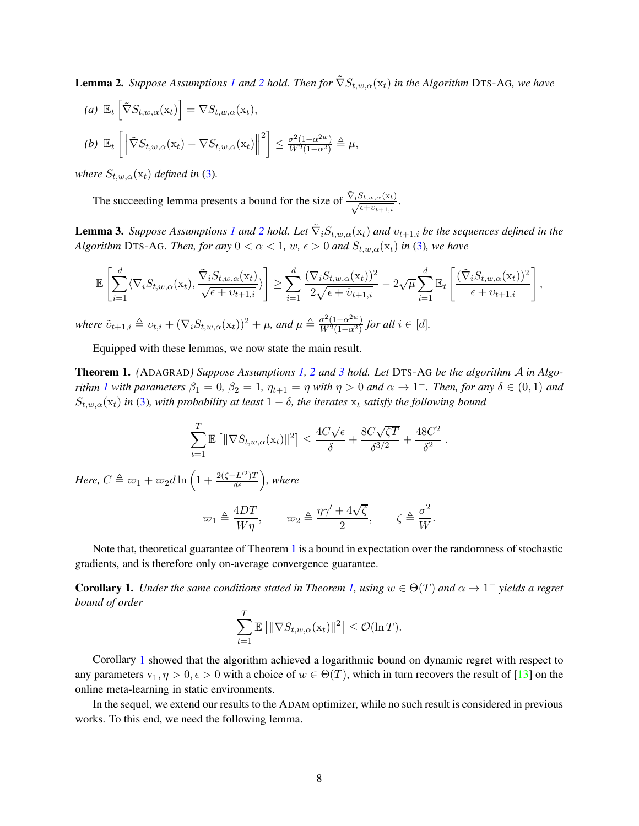<span id="page-7-2"></span>**Lemma [2](#page-5-2).** *Suppose Assumptions [1](#page-5-1) and* 2 *hold. Then for*  $\nabla S_{t,w,\alpha}(x_t)$  *in the Algorithm* DTS-AG, we have

(a) 
$$
\mathbb{E}_t \left[ \tilde{\nabla} S_{t,w,\alpha}(\mathbf{x}_t) \right] = \nabla S_{t,w,\alpha}(\mathbf{x}_t),
$$
  
\n(b)  $\mathbb{E}_t \left[ \left\| \tilde{\nabla} S_{t,w,\alpha}(\mathbf{x}_t) - \nabla S_{t,w,\alpha}(\mathbf{x}_t) \right\|^2 \right] \le \frac{\sigma^2 (1 - \alpha^{2w})}{W^2 (1 - \alpha^2)} \triangleq \mu,$ 

*where*  $S_{t,w,\alpha}(\mathbf{x}_t)$  *defined in* [\(3\)](#page-6-2).

The succeeding lemma presents a bound for the size of  $\frac{\tilde{\nabla}_i S_{t,w,\alpha}(\mathbf{x}_t)}{\sqrt{\epsilon + v_{t+1,i}}}$ .

<span id="page-7-3"></span>**Lemma 3.** *Suppose Assumptions [1](#page-5-1) and [2](#page-5-2) hold. Let*  $\tilde{\nabla}_i S_{t,w,\alpha}(\mathbf{x}_t)$  *and*  $v_{t+1,i}$  *be the sequences defined in the Algorithm* DTS-AG*. Then, for any*  $0 < \alpha < 1$ *, w,*  $\epsilon > 0$  *and*  $S_{t,w,\alpha}(x_t)$  *in* [\(3\)](#page-6-2)*, we have* 

$$
\mathbb{E}\left[\sum_{i=1}^d \langle \nabla_i S_{t,w,\alpha}(\mathbf{x}_t), \frac{\tilde{\nabla}_i S_{t,w,\alpha}(\mathbf{x}_t)}{\sqrt{\epsilon + \nu_{t+1,i}}}\rangle\right] \geq \sum_{i=1}^d \frac{(\nabla_i S_{t,w,\alpha}(\mathbf{x}_t))^2}{2\sqrt{\epsilon + \tilde{\nu}_{t+1,i}}} - 2\sqrt{\mu} \sum_{i=1}^d \mathbb{E}_t\left[\frac{(\tilde{\nabla}_i S_{t,w,\alpha}(\mathbf{x}_t))^2}{\epsilon + \nu_{t+1,i}}\right],
$$

*where*  $\tilde{v}_{t+1,i} \triangleq v_{t,i} + (\nabla_i S_{t,w,\alpha}(\mathbf{x}_t))^2 + \mu$ *, and*  $\mu \triangleq \frac{\sigma^2 (1-\alpha^{2w})}{W^2 (1-\alpha^2)}$  $\frac{\sigma^2(1-\alpha^{2n})}{W^2(1-\alpha^2)}$  for all  $i \in [d]$ .

Equipped with these lemmas, we now state the main result.

<span id="page-7-0"></span>Theorem 1. *(*ADAGRAD*) Suppose Assumptions [1,](#page-5-1) [2](#page-5-2) and [3](#page-6-1) hold. Let* DTS-A<sup>G</sup> *be the algorithm* A *in Algorithm [1](#page-3-0)* with parameters  $\beta_1 = 0$ ,  $\beta_2 = 1$ ,  $\eta_{t+1} = \eta$  with  $\eta > 0$  and  $\alpha \to 1^-$ . Then, for any  $\delta \in (0,1)$  and  $S_{t,w,\alpha}(\mathbf{x}_t)$  *in* [\(3\)](#page-6-2)*, with probability at least*  $1 - \delta$ *, the iterates*  $\mathbf{x}_t$  *satisfy the following bound* 

$$
\sum_{t=1}^{T} \mathbb{E} \left[ \|\nabla S_{t,w,\alpha}(\mathbf{x}_t)\|^2 \right] \le \frac{4C\sqrt{\epsilon}}{\delta} + \frac{8C\sqrt{\zeta T}}{\delta^{3/2}} + \frac{48C^2}{\delta^2}
$$

.

Here,  $C \triangleq \varpi_1 + \varpi_2 d \ln \Big( 1 + \frac{2(\zeta + L'^2) T}{d \epsilon} \Big)$ , where

$$
\varpi_1 \triangleq \frac{4DT}{W\eta}, \qquad \varpi_2 \triangleq \frac{\eta\gamma' + 4\sqrt{\zeta}}{2}, \qquad \zeta \triangleq \frac{\sigma^2}{W}.
$$

Note that, theoretical guarantee of Theorem [1](#page-7-0) is a bound in expectation over the randomness of stochastic gradients, and is therefore only on-average convergence guarantee.

<span id="page-7-1"></span>**Corollary 1.** *Under the same conditions stated in Theorem [1,](#page-7-0) using*  $w \in \Theta(T)$  *and*  $\alpha \to 1^-$  *yields a regret bound of order*

$$
\sum_{t=1}^T \mathbb{E}\left[\|\nabla S_{t,w,\alpha}(\mathbf{x}_t)\|^2\right] \leq \mathcal{O}(\ln T).
$$

Corollary [1](#page-7-1) showed that the algorithm achieved a logarithmic bound on dynamic regret with respect to any parameters  $v_1, \eta > 0, \epsilon > 0$  with a choice of  $w \in \Theta(T)$ , which in turn recovers the result of [\[13\]](#page-12-11) on the online meta-learning in static environments.

In the sequel, we extend our results to the ADAM optimizer, while no such result is considered in previous works. To this end, we need the following lemma.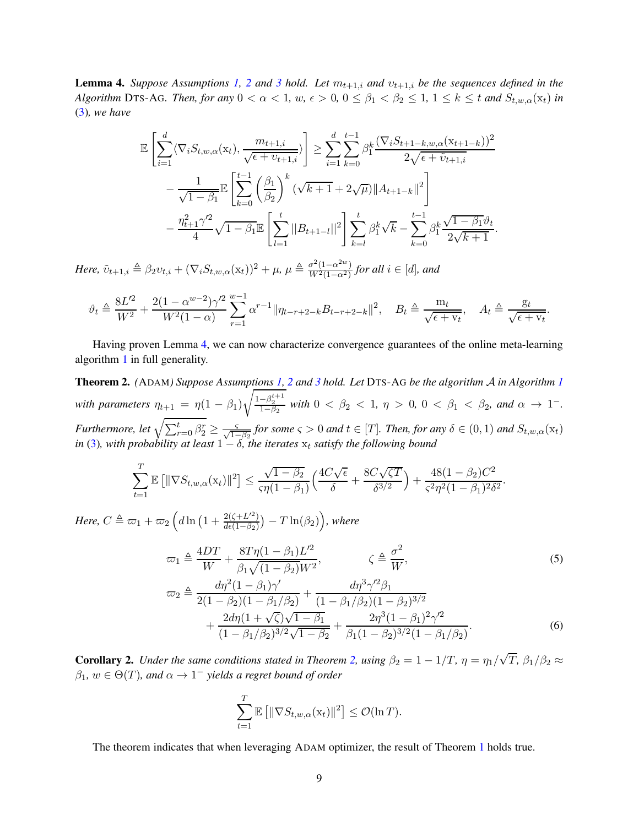<span id="page-8-1"></span>**Lemma 4.** *Suppose Assumptions* [1,](#page-5-1) [2](#page-5-2) *and* [3](#page-6-1) *hold.* Let  $m_{t+1,i}$  *and*  $v_{t+1,i}$  *be the sequences defined in the Algorithm* DTS-AG*. Then, for any*  $0 < \alpha < 1$ *, w,*  $\epsilon > 0$ ,  $0 \le \beta_1 < \beta_2 \le 1$ ,  $1 \le k \le t$  *and*  $S_{t,w,\alpha}(x_t)$  *in* [\(3\)](#page-6-2)*, we have*

$$
\mathbb{E}\left[\sum_{i=1}^{d}\langle\nabla_{i}S_{t,w,\alpha}(\mathbf{x}_{t}),\frac{m_{t+1,i}}{\sqrt{\epsilon+v_{t+1,i}}}\rangle\right] \geq \sum_{i=1}^{d}\sum_{k=0}^{t-1}\beta_{1}^{k}\frac{(\nabla_{i}S_{t+1-k,w,\alpha}(\mathbf{x}_{t+1-k}))^{2}}{2\sqrt{\epsilon+\tilde{v}_{t+1,i}}}\n-\frac{1}{\sqrt{1-\beta_{1}}}\mathbb{E}\left[\sum_{k=0}^{t-1}\left(\frac{\beta_{1}}{\beta_{2}}\right)^{k}(\sqrt{k+1}+2\sqrt{\mu})\|A_{t+1-k}\|^{2}\right]\n-\frac{\eta_{t+1}^{2}\gamma'^{2}}{4}\sqrt{1-\beta_{1}}\mathbb{E}\left[\sum_{l=1}^{t}\|B_{t+1-l}\|^{2}\right]\sum_{k=l}^{t}\beta_{1}^{k}\sqrt{k}-\sum_{k=0}^{t-1}\beta_{1}^{k}\frac{\sqrt{1-\beta_{1}}\vartheta_{t}}{2\sqrt{k+1}}.
$$

*Here,*  $\tilde{v}_{t+1,i} \triangleq \beta_2 v_{t,i} + (\nabla_i S_{t,w,\alpha}(\mathbf{x}_t))^2 + \mu$ ,  $\mu \triangleq \frac{\sigma^2 (1-\alpha^{2w})}{W^2 (1-\alpha^2)}$  $\frac{\sigma^2(1-\alpha^{2-1})}{W^2(1-\alpha^2)}$  for all  $i \in [d]$ , and

$$
\vartheta_t \triangleq \frac{8L^2}{W^2} + \frac{2(1 - \alpha^{w-2})\gamma'^2}{W^2(1 - \alpha)} \sum_{r=1}^{w-1} \alpha^{r-1} \|\eta_{t-r+2-k} B_{t-r+2-k}\|^2, \quad B_t \triangleq \frac{m_t}{\sqrt{\epsilon + v_t}}, \quad A_t \triangleq \frac{g_t}{\sqrt{\epsilon + v_t}}.
$$

Having proven Lemma [4,](#page-8-1) we can now characterize convergence guarantees of the online meta-learning algorithm [1](#page-3-0) in full generality.

<span id="page-8-0"></span>Theorem 2. *(*ADAM*) Suppose Assumptions [1,](#page-5-1) [2](#page-5-2) and [3](#page-6-1) hold. Let* DTS-A<sup>G</sup> *be the algorithm* A *in Algorithm [1](#page-3-0) with parameters*  $\eta_{t+1} = \eta(1 - \beta_1)$  $\sqrt{\frac{1-\beta_2^{t+1}}{1-\beta_2}}$  with  $0 < \beta_2 < 1$ ,  $\eta > 0$ ,  $0 < \beta_1 < \beta_2$ , and  $\alpha \to 1^-$ . *Furthermore, let*  $\sqrt{\sum_{r=0}^{t} \beta_r^r} \ge \frac{\varsigma}{\sqrt{1-\beta_2}}$  *for some*  $\varsigma > 0$  *and*  $t \in [T]$ *. Then, for any*  $\delta \in (0,1)$  *and*  $S_{t,w,\alpha}(\mathbf{x}_t)$ *in* [\(3\)](#page-6-2), with probability at least  $1 - \delta$ , the iterates  $x_t$  satisfy the following bound

$$
\sum_{t=1}^T \mathbb{E}\left[\|\nabla S_{t,w,\alpha}(\mathbf{x}_t)\|^2\right] \leq \frac{\sqrt{1-\beta_2}}{\varsigma \eta(1-\beta_1)} \Big(\frac{4C\sqrt{\epsilon}}{\delta} + \frac{8C\sqrt{\zeta T}}{\delta^{3/2}}\Big) + \frac{48(1-\beta_2)C^2}{\varsigma^2 \eta^2 (1-\beta_1)^2 \delta^2}.
$$

*Here,*  $C \triangleq \varpi_1 + \varpi_2 \left( d \ln \left( 1 + \frac{2(\zeta + L'^2)}{d\epsilon(1 - \beta_2)} \right) \right)$  $\frac{2(\zeta+L^{\prime 2})}{d\epsilon(1-\beta_2)}$ ) –  $T\ln(\beta_2)$ ), where

$$
\varpi_1 \triangleq \frac{4DT}{W} + \frac{8T\eta(1-\beta_1)L'^2}{\beta_1\sqrt{(1-\beta_2)W^2}}, \qquad \zeta \triangleq \frac{\sigma^2}{W}, \qquad (5)
$$

$$
\varpi_2 \triangleq \frac{d\eta^2 (1 - \beta_1)\gamma'}{2(1 - \beta_2)(1 - \beta_1/\beta_2)} + \frac{d\eta^3 \gamma'^2 \beta_1}{(1 - \beta_1/\beta_2)(1 - \beta_2)^{3/2}} + \frac{2d\eta(1 + \sqrt{\zeta})\sqrt{1 - \beta_1}}{(1 - \beta_1/\beta_2)^{3/2}\sqrt{1 - \beta_2}} + \frac{2\eta^3(1 - \beta_1)^2 \gamma'^2}{\beta_1(1 - \beta_2)^{3/2}(1 - \beta_1/\beta_2)}.
$$
(6)

<span id="page-8-2"></span>**Corollary 2.** *Under the same conditions stated in Theorem [2,](#page-8-0) using*  $\beta_2 = 1 - 1/T$ ,  $\eta = \eta_1/\sqrt{T}$ ,  $\beta_1/\beta_2 \approx$  $\beta_1, w \in \Theta(T)$ , and  $\alpha \to 1^-$  yields a regret bound of order

<span id="page-8-4"></span><span id="page-8-3"></span>
$$
\sum_{t=1}^T \mathbb{E} \left[ \|\nabla S_{t,w,\alpha}(\mathbf{x}_t)\|^2 \right] \leq \mathcal{O}(\ln T).
$$

The theorem indicates that when leveraging ADAM optimizer, the result of Theorem [1](#page-7-0) holds true.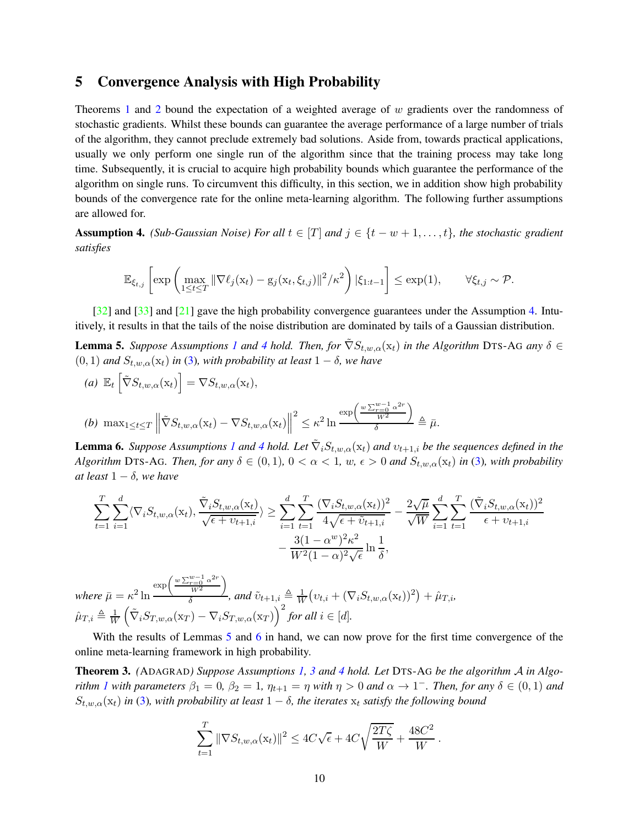# <span id="page-9-1"></span>5 Convergence Analysis with High Probability

Theorems [1](#page-7-0) and [2](#page-8-0) bound the expectation of a weighted average of w gradients over the randomness of stochastic gradients. Whilst these bounds can guarantee the average performance of a large number of trials of the algorithm, they cannot preclude extremely bad solutions. Aside from, towards practical applications, usually we only perform one single run of the algorithm since that the training process may take long time. Subsequently, it is crucial to acquire high probability bounds which guarantee the performance of the algorithm on single runs. To circumvent this difficulty, in this section, we in addition show high probability bounds of the convergence rate for the online meta-learning algorithm. The following further assumptions are allowed for.

<span id="page-9-2"></span>Assumption 4. *(Sub-Gaussian Noise) For all*  $t \in [T]$  *and*  $j \in \{t - w + 1, \ldots, t\}$ *, the stochastic gradient satisfies*

$$
\mathbb{E}_{\xi_{t,j}}\left[\exp\left(\max_{1\leq t\leq T} \|\nabla \ell_j(\mathbf{x}_t) - \mathbf{g}_j(\mathbf{x}_t, \xi_{t,j})\|^2 / \kappa^2\right) |\xi_{1:t-1}\right] \leq \exp(1), \qquad \forall \xi_{t,j} \sim \mathcal{P}.
$$

 $[32]$  and  $[33]$  and  $[21]$  gave the high probability convergence guarantees under the Assumption [4.](#page-9-2) Intuitively, it results in that the tails of the noise distribution are dominated by tails of a Gaussian distribution.

<span id="page-9-3"></span>**Lemma 5.** *Suppose Assumptions [1](#page-5-1) and [4](#page-9-2) hold. Then, for*  $\tilde{\nabla}S_{t,w,\alpha}(x_t)$  *in the Algorithm* DTS-AG *any*  $\delta \in$  $(0, 1)$  *and*  $S_{t,w,\alpha}(x_t)$  *in* [\(3\)](#page-6-2)*, with probability at least*  $1 - \delta$ *, we have* 

(a) 
$$
\mathbb{E}_t \left[ \tilde{\nabla} S_{t,w,\alpha}(\mathbf{x}_t) \right] = \nabla S_{t,w,\alpha}(\mathbf{x}_t),
$$
  
\n(b)  $\max_{1 \leq t \leq T} \left\| \tilde{\nabla} S_{t,w,\alpha}(\mathbf{x}_t) - \nabla S_{t,w,\alpha}(\mathbf{x}_t) \right\|^2 \leq \kappa^2 \ln \frac{\exp\left(\frac{w \sum_{r=0}^{w-1} \alpha^{2r}}{W^2}\right)}{\delta} \triangleq \bar{\mu}.$ 

<span id="page-9-4"></span>**Lemma 6.** *Suppose Assumptions [1](#page-5-1) and [4](#page-9-2) hold. Let*  $\tilde{\nabla}_i S_{t,w,\alpha}(\mathbf{x}_t)$  *and*  $v_{t+1,i}$  *be the sequences defined in the Algorithm* DTS-AG*. Then, for any*  $\delta \in (0,1)$ ,  $0 < \alpha < 1$ ,  $w$ ,  $\epsilon > 0$  and  $S_{t,w,\alpha}(x_t)$  in [\(3\)](#page-6-2), with probability *at least*  $1 - \delta$ *, we have* 

$$
\sum_{t=1}^{T} \sum_{i=1}^{d} \langle \nabla_i S_{t,w,\alpha}(\mathbf{x}_t), \frac{\tilde{\nabla}_i S_{t,w,\alpha}(\mathbf{x}_t)}{\sqrt{\epsilon + \nu_{t+1,i}}} \rangle \ge \sum_{i=1}^{d} \sum_{t=1}^{T} \frac{(\nabla_i S_{t,w,\alpha}(\mathbf{x}_t))^2}{4\sqrt{\epsilon + \tilde{\nu}_{t+1,i}}} - \frac{2\sqrt{\mu}}{\sqrt{W}} \sum_{i=1}^{d} \sum_{t=1}^{T} \frac{(\tilde{\nabla}_i S_{t,w,\alpha}(\mathbf{x}_t))^2}{\epsilon + \nu_{t+1,i}} - \frac{3(1 - \alpha^w)^2 \kappa^2}{W^2 (1 - \alpha)^2 \sqrt{\epsilon}} \ln \frac{1}{\delta},
$$

*where*  $\bar{\mu} = \kappa^2 \ln$  $\exp\left(\frac{w\sum_{r=0}^{w-1}\alpha^{2r}}{W^2}\right)$  $\setminus$  $\frac{W^2}{\delta}$ , and  $\tilde{v}_{t+1,i} \triangleq \frac{1}{W} (v_{t,i} + (\nabla_i S_{t,w,\alpha}(\mathbf{x}_t))^2) + \hat{\mu}_{T,i},$  $\hat{\mu}_{T,i} \triangleq \frac{1}{W}$ W  $\left(\tilde{\nabla}_i S_{T,w,\alpha}(\mathbf{x}_T) - \nabla_i S_{T,w,\alpha}(\mathbf{x}_T)\right)^2$  for all  $i \in [d]$ .

With the results of Lemmas [5](#page-9-3) and [6](#page-9-4) in hand, we can now prove for the first time convergence of the online meta-learning framework in high probability.

<span id="page-9-0"></span>Theorem 3. *(*ADAGRAD*) Suppose Assumptions [1,](#page-5-1) [3](#page-6-1) and [4](#page-9-2) hold. Let* DTS-A<sup>G</sup> *be the algorithm* A *in Algorithm [1](#page-3-0)* with parameters  $\beta_1 = 0$ ,  $\beta_2 = 1$ ,  $\eta_{t+1} = \eta$  with  $\eta > 0$  and  $\alpha \to 1^-$ . Then, for any  $\delta \in (0,1)$  and  $S_{t,w,\alpha}(\mathbf{x}_t)$  *in* [\(3\)](#page-6-2), with probability at least  $1-\delta$ , the iterates  $\mathbf{x}_t$  satisfy the following bound

$$
\sum_{t=1}^{T} \|\nabla S_{t,w,\alpha}(\mathbf{x}_t)\|^2 \le 4C\sqrt{\epsilon} + 4C\sqrt{\frac{2T\zeta}{W}} + \frac{48C^2}{W}
$$

.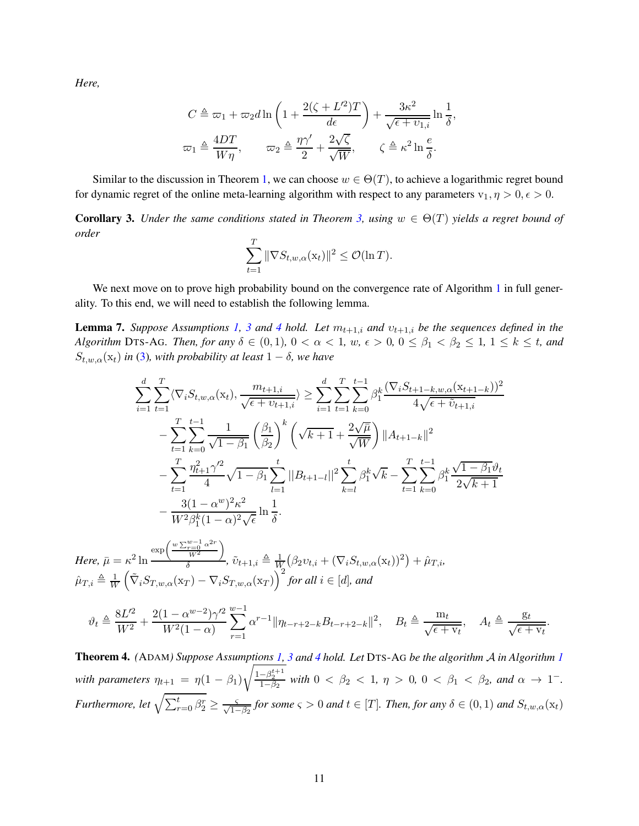*Here,*

$$
C \triangleq \omega_1 + \omega_2 d \ln \left( 1 + \frac{2(\zeta + L'^2)T}{d\epsilon} \right) + \frac{3\kappa^2}{\sqrt{\epsilon + \upsilon_{1,i}}} \ln \frac{1}{\delta},
$$
  

$$
\omega_1 \triangleq \frac{4DT}{W\eta}, \qquad \omega_2 \triangleq \frac{\eta \gamma'}{2} + \frac{2\sqrt{\zeta}}{\sqrt{W}}, \qquad \zeta \triangleq \kappa^2 \ln \frac{e}{\delta}.
$$

Similar to the discussion in Theorem [1,](#page-7-0) we can choose  $w \in \Theta(T)$ , to achieve a logarithmic regret bound for dynamic regret of the online meta-learning algorithm with respect to any parameters  $v_1, \eta > 0, \epsilon > 0$ .

<span id="page-10-1"></span>**Corollary 3.** *Under the same conditions stated in Theorem [3,](#page-9-0) using*  $w \in \Theta(T)$  *yields a regret bound of order*

$$
\sum_{t=1}^T \|\nabla S_{t,w,\alpha}(\mathbf{x}_t)\|^2 \le \mathcal{O}(\ln T).
$$

We next move on to prove high probability bound on the convergence rate of Algorithm [1](#page-3-0) in full generality. To this end, we will need to establish the following lemma.

<span id="page-10-2"></span>**Lemma 7.** *Suppose Assumptions [1,](#page-5-1) [3](#page-6-1) and [4](#page-9-2) hold. Let*  $m_{t+1,i}$  *and*  $v_{t+1,i}$  *be the sequences defined in the Algorithm* DTS-AG*. Then, for any*  $\delta \in (0,1)$ ,  $0 < \alpha < 1$ ,  $w$ ,  $\epsilon > 0$ ,  $0 \le \beta_1 < \beta_2 \le 1$ ,  $1 \le k \le t$ , and  $S_{t,w,\alpha}(\mathbf{x}_t)$  *in* [\(3\)](#page-6-2)*, with probability at least*  $1-\delta$ *, we have* 

$$
\sum_{i=1}^{d} \sum_{t=1}^{T} \langle \nabla_{i} S_{t,w,\alpha}(\mathbf{x}_{t}), \frac{m_{t+1,i}}{\sqrt{\epsilon + v_{t+1,i}}} \rangle \geq \sum_{i=1}^{d} \sum_{t=1}^{T} \sum_{k=0}^{t-1} \beta_{1}^{k} \frac{(\nabla_{i} S_{t+1-k,w,\alpha}(\mathbf{x}_{t+1-k}))^{2}}{4\sqrt{\epsilon + \tilde{v}_{t+1,i}}}
$$
\n
$$
-\sum_{t=1}^{T} \sum_{k=0}^{t-1} \frac{1}{\sqrt{1-\beta_{1}}} \left(\frac{\beta_{1}}{\beta_{2}}\right)^{k} \left(\sqrt{k+1} + \frac{2\sqrt{\mu}}{\sqrt{W}}\right) ||A_{t+1-k}||^{2}
$$
\n
$$
-\sum_{t=1}^{T} \frac{\eta_{t+1}^{2}\gamma^{2}}{4} \sqrt{1-\beta_{1}} \sum_{l=1}^{t} ||B_{t+1-l}||^{2} \sum_{k=l}^{t} \beta_{1}^{k} \sqrt{k} - \sum_{t=1}^{T} \sum_{k=0}^{t-1} \beta_{1}^{k} \frac{\sqrt{1-\beta_{1}}\vartheta_{t}}{2\sqrt{k+1}}
$$
\n
$$
-\frac{3(1-\alpha^{w})^{2}\kappa^{2}}{W^{2}\beta_{1}^{k}(1-\alpha)^{2}\sqrt{\epsilon}} \ln \frac{1}{\delta}.
$$

*Here,*  $\bar{\mu} = \kappa^2 \ln$  $\exp\left(\frac{w\sum_{r=0}^{w-1}\alpha^{2r}}{w^2}\right)$  $W^2$ λ  $\frac{W^2}{\delta}$ ,  $\tilde{v}_{t+1,i} \triangleq \frac{1}{W} (\beta_2 v_{t,i} + (\nabla_i S_{t,w,\alpha}(\mathbf{x}_t))^2) + \hat{\mu}_{T,i},$  $\hat{\mu}_{T,i} \triangleq \frac{1}{W}$ W  $\left(\tilde{\nabla}_i S_{T,w,\alpha}(\mathbf{x}_T) - \nabla_i S_{T,w,\alpha}(\mathbf{x}_T)\right)^2$  for all  $i \in [d]$ , and

$$
\vartheta_t \triangleq \frac{8L^2}{W^2} + \frac{2(1 - \alpha^{w-2})\gamma'^2}{W^2(1 - \alpha)} \sum_{r=1}^{w-1} \alpha^{r-1} \|\eta_{t-r+2-k} B_{t-r+2-k}\|^2, \quad B_t \triangleq \frac{m_t}{\sqrt{\epsilon + v_t}}, \quad A_t \triangleq \frac{g_t}{\sqrt{\epsilon + v_t}}.
$$

<span id="page-10-0"></span>Theorem 4. *(*ADAM*) Suppose Assumptions [1,](#page-5-1) [3](#page-6-1) and [4](#page-9-2) hold. Let* DTS-A<sup>G</sup> *be the algorithm* A *in Algorithm [1](#page-3-0) with parameters*  $\eta_{t+1} = \eta(1 - \beta_1)$  $\sqrt{\frac{1-\beta_2^{t+1}}{1-\beta_2}}$  with  $0 < \beta_2 < 1$ ,  $\eta > 0$ ,  $0 < \beta_1 < \beta_2$ , and  $\alpha \to 1^-$ . *Furthermore, let*  $\sqrt{\sum_{r=0}^{t} \beta_2^r} \ge \frac{\varsigma}{\sqrt{1-\beta_2}}$  *for some*  $\varsigma > 0$  *and*  $t \in [T]$ *. Then, for any*  $\delta \in (0,1)$  *and*  $S_{t,w,\alpha}(\mathbf{x}_t)$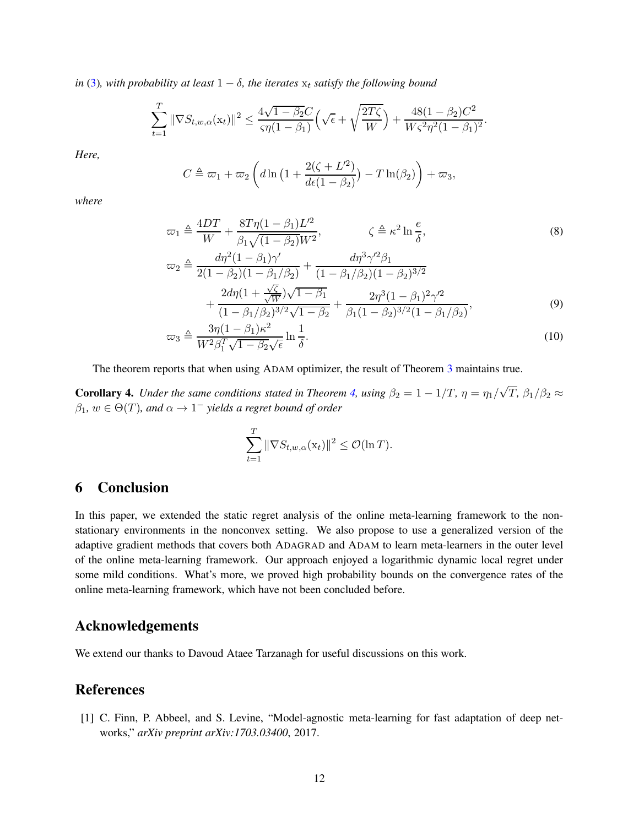*in* [\(3\)](#page-6-2)*, with probability at least*  $1 - \delta$ *, the iterates*  $x_t$  *satisfy the following bound* 

$$
\sum_{t=1}^T \|\nabla S_{t,w,\alpha}(\mathbf{x}_t)\|^2 \le \frac{4\sqrt{1-\beta_2}C}{\varsigma \eta (1-\beta_1)} \Big(\sqrt{\epsilon} + \sqrt{\frac{2T\zeta}{W}}\Big) + \frac{48(1-\beta_2)C^2}{W\varsigma^2 \eta^2 (1-\beta_1)^2}.
$$

*Here,*

$$
C \triangleq \varpi_1 + \varpi_2 \left( d \ln \left( 1 + \frac{2(\zeta + L^2)}{d\epsilon (1 - \beta_2)} \right) - T \ln(\beta_2) \right) + \varpi_3,
$$

*where*

$$
\varpi_1 \triangleq \frac{4DT}{W} + \frac{8T\eta(1-\beta_1)L'^2}{\beta_1\sqrt{(1-\beta_2)W^2}}, \qquad \zeta \triangleq \kappa^2 \ln \frac{e}{\delta},
$$
\n
$$
\varpi_2 \triangleq \frac{d\eta^2(1-\beta_1)\gamma'}{2(1-\beta_2)(1-\beta_1/\beta_2)} + \frac{d\eta^3\gamma'^2\beta_1}{(1-\beta_1/\beta_2)(1-\beta_2)^{3/2}} + \frac{2d\eta(1+\frac{\sqrt{\zeta}}{\sqrt{W}})\sqrt{1-\beta_1}}{(1-\beta_1/\beta_2)^{3/2}\sqrt{1-\beta_2}} + \frac{2\eta^3(1-\beta_1)^2\gamma'^2}{\beta_1(1-\beta_2)^{3/2}(1-\beta_1/\beta_2)},
$$
\n
$$
\zeta \triangleq 3\eta(1-\beta_1)\kappa^2, \qquad 1
$$
\n(9)

$$
\varpi_3 \triangleq \frac{3\eta(1-\beta_1)\kappa^2}{W^2\beta_1^T\sqrt{1-\beta_2}\sqrt{\epsilon}}\ln\frac{1}{\delta}.\tag{10}
$$

The theorem reports that when using ADAM optimizer, the result of Theorem [3](#page-9-0) maintains true.

<span id="page-11-2"></span>**Corollary 4.** *Under the same conditions stated in Theorem [4,](#page-10-0) using*  $\beta_2 = 1 - 1/T$ ,  $\eta = \eta_1/\sqrt{T}$ ,  $\beta_1/\beta_2 \approx$  $\beta_1, w \in \Theta(T)$ , and  $\alpha \to 1^-$  yields a regret bound of order

<span id="page-11-5"></span><span id="page-11-4"></span><span id="page-11-3"></span>
$$
\sum_{t=1}^T \|\nabla S_{t,w,\alpha}(\mathbf{x}_t)\|^2 \leq \mathcal{O}(\ln T).
$$

# 6 Conclusion

In this paper, we extended the static regret analysis of the online meta-learning framework to the nonstationary environments in the nonconvex setting. We also propose to use a generalized version of the adaptive gradient methods that covers both ADAGRAD and ADAM to learn meta-learners in the outer level of the online meta-learning framework. Our approach enjoyed a logarithmic dynamic local regret under some mild conditions. What's more, we proved high probability bounds on the convergence rates of the online meta-learning framework, which have not been concluded before.

# <span id="page-11-1"></span>Acknowledgements

We extend our thanks to Davoud Ataee Tarzanagh for useful discussions on this work.

# <span id="page-11-0"></span>References

[1] C. Finn, P. Abbeel, and S. Levine, "Model-agnostic meta-learning for fast adaptation of deep networks," *arXiv preprint arXiv:1703.03400*, 2017.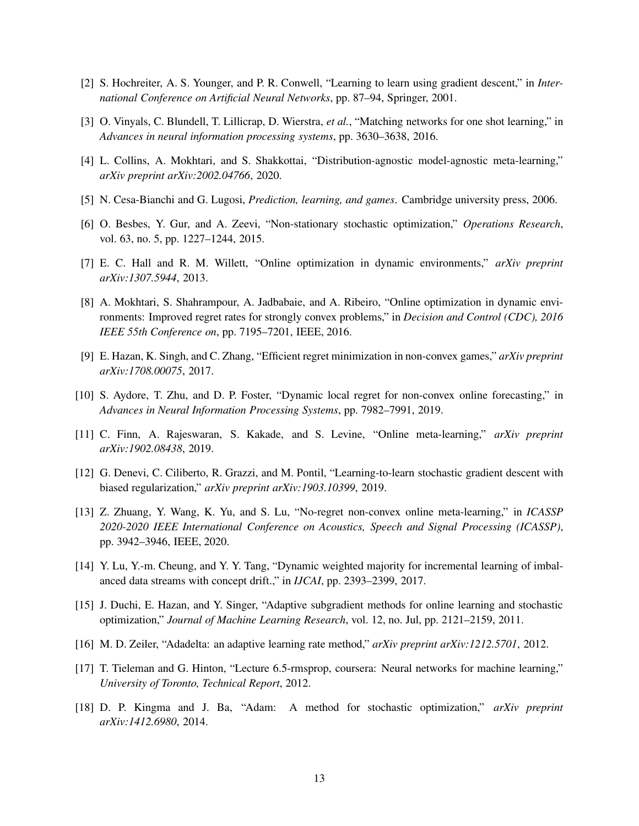- <span id="page-12-1"></span><span id="page-12-0"></span>[2] S. Hochreiter, A. S. Younger, and P. R. Conwell, "Learning to learn using gradient descent," in *International Conference on Artificial Neural Networks*, pp. 87–94, Springer, 2001.
- <span id="page-12-2"></span>[3] O. Vinyals, C. Blundell, T. Lillicrap, D. Wierstra, *et al.*, "Matching networks for one shot learning," in *Advances in neural information processing systems*, pp. 3630–3638, 2016.
- <span id="page-12-3"></span>[4] L. Collins, A. Mokhtari, and S. Shakkottai, "Distribution-agnostic model-agnostic meta-learning," *arXiv preprint arXiv:2002.04766*, 2020.
- <span id="page-12-4"></span>[5] N. Cesa-Bianchi and G. Lugosi, *Prediction, learning, and games*. Cambridge university press, 2006.
- <span id="page-12-5"></span>[6] O. Besbes, Y. Gur, and A. Zeevi, "Non-stationary stochastic optimization," *Operations Research*, vol. 63, no. 5, pp. 1227–1244, 2015.
- <span id="page-12-6"></span>[7] E. C. Hall and R. M. Willett, "Online optimization in dynamic environments," *arXiv preprint arXiv:1307.5944*, 2013.
- [8] A. Mokhtari, S. Shahrampour, A. Jadbabaie, and A. Ribeiro, "Online optimization in dynamic environments: Improved regret rates for strongly convex problems," in *Decision and Control (CDC), 2016 IEEE 55th Conference on*, pp. 7195–7201, IEEE, 2016.
- <span id="page-12-8"></span><span id="page-12-7"></span>[9] E. Hazan, K. Singh, and C. Zhang, "Efficient regret minimization in non-convex games," *arXiv preprint arXiv:1708.00075*, 2017.
- <span id="page-12-9"></span>[10] S. Aydore, T. Zhu, and D. P. Foster, "Dynamic local regret for non-convex online forecasting," in *Advances in Neural Information Processing Systems*, pp. 7982–7991, 2019.
- <span id="page-12-10"></span>[11] C. Finn, A. Rajeswaran, S. Kakade, and S. Levine, "Online meta-learning," *arXiv preprint arXiv:1902.08438*, 2019.
- <span id="page-12-11"></span>[12] G. Denevi, C. Ciliberto, R. Grazzi, and M. Pontil, "Learning-to-learn stochastic gradient descent with biased regularization," *arXiv preprint arXiv:1903.10399*, 2019.
- [13] Z. Zhuang, Y. Wang, K. Yu, and S. Lu, "No-regret non-convex online meta-learning," in *ICASSP 2020-2020 IEEE International Conference on Acoustics, Speech and Signal Processing (ICASSP)*, pp. 3942–3946, IEEE, 2020.
- <span id="page-12-13"></span><span id="page-12-12"></span>[14] Y. Lu, Y.-m. Cheung, and Y. Y. Tang, "Dynamic weighted majority for incremental learning of imbalanced data streams with concept drift.," in *IJCAI*, pp. 2393–2399, 2017.
- <span id="page-12-14"></span>[15] J. Duchi, E. Hazan, and Y. Singer, "Adaptive subgradient methods for online learning and stochastic optimization," *Journal of Machine Learning Research*, vol. 12, no. Jul, pp. 2121–2159, 2011.
- <span id="page-12-15"></span>[16] M. D. Zeiler, "Adadelta: an adaptive learning rate method," *arXiv preprint arXiv:1212.5701*, 2012.
- <span id="page-12-16"></span>[17] T. Tieleman and G. Hinton, "Lecture 6.5-rmsprop, coursera: Neural networks for machine learning," *University of Toronto, Technical Report*, 2012.
- [18] D. P. Kingma and J. Ba, "Adam: A method for stochastic optimization," *arXiv preprint arXiv:1412.6980*, 2014.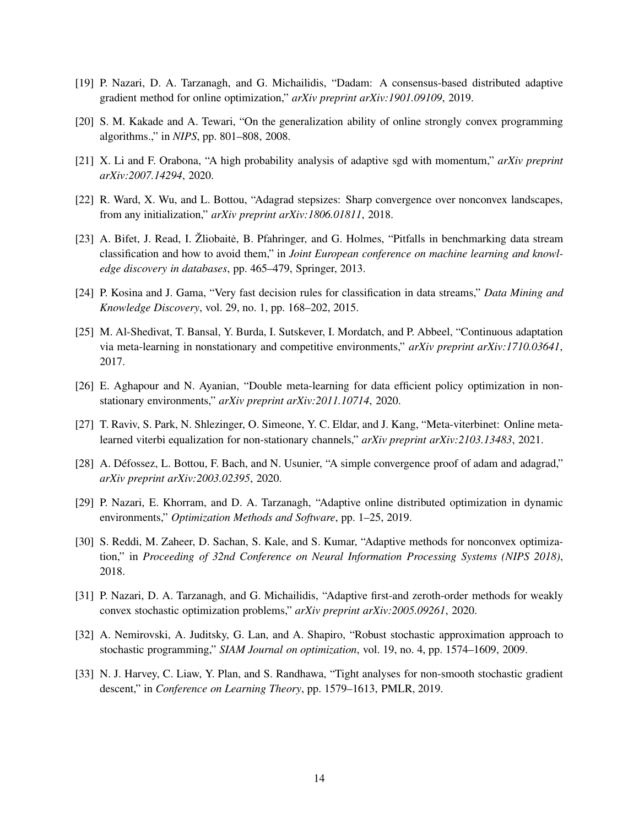- <span id="page-13-1"></span><span id="page-13-0"></span>[19] P. Nazari, D. A. Tarzanagh, and G. Michailidis, "Dadam: A consensus-based distributed adaptive gradient method for online optimization," *arXiv preprint arXiv:1901.09109*, 2019.
- <span id="page-13-2"></span>[20] S. M. Kakade and A. Tewari, "On the generalization ability of online strongly convex programming algorithms.," in *NIPS*, pp. 801–808, 2008.
- <span id="page-13-3"></span>[21] X. Li and F. Orabona, "A high probability analysis of adaptive sgd with momentum," *arXiv preprint arXiv:2007.14294*, 2020.
- <span id="page-13-4"></span>[22] R. Ward, X. Wu, and L. Bottou, "Adagrad stepsizes: Sharp convergence over nonconvex landscapes, from any initialization," *arXiv preprint arXiv:1806.01811*, 2018.
- [23] A. Bifet, J. Read, I. Žliobaitė, B. Pfahringer, and G. Holmes, "Pitfalls in benchmarking data stream classification and how to avoid them," in *Joint European conference on machine learning and knowledge discovery in databases*, pp. 465–479, Springer, 2013.
- <span id="page-13-6"></span><span id="page-13-5"></span>[24] P. Kosina and J. Gama, "Very fast decision rules for classification in data streams," *Data Mining and Knowledge Discovery*, vol. 29, no. 1, pp. 168–202, 2015.
- [25] M. Al-Shedivat, T. Bansal, Y. Burda, I. Sutskever, I. Mordatch, and P. Abbeel, "Continuous adaptation via meta-learning in nonstationary and competitive environments," *arXiv preprint arXiv:1710.03641*, 2017.
- <span id="page-13-8"></span><span id="page-13-7"></span>[26] E. Aghapour and N. Ayanian, "Double meta-learning for data efficient policy optimization in nonstationary environments," *arXiv preprint arXiv:2011.10714*, 2020.
- <span id="page-13-9"></span>[27] T. Raviv, S. Park, N. Shlezinger, O. Simeone, Y. C. Eldar, and J. Kang, "Meta-viterbinet: Online metalearned viterbi equalization for non-stationary channels," *arXiv preprint arXiv:2103.13483*, 2021.
- <span id="page-13-10"></span>[28] A. Défossez, L. Bottou, F. Bach, and N. Usunier, "A simple convergence proof of adam and adagrad," *arXiv preprint arXiv:2003.02395*, 2020.
- <span id="page-13-11"></span>[29] P. Nazari, E. Khorram, and D. A. Tarzanagh, "Adaptive online distributed optimization in dynamic environments," *Optimization Methods and Software*, pp. 1–25, 2019.
- [30] S. Reddi, M. Zaheer, D. Sachan, S. Kale, and S. Kumar, "Adaptive methods for nonconvex optimization," in *Proceeding of 32nd Conference on Neural Information Processing Systems (NIPS 2018)*, 2018.
- <span id="page-13-13"></span><span id="page-13-12"></span>[31] P. Nazari, D. A. Tarzanagh, and G. Michailidis, "Adaptive first-and zeroth-order methods for weakly convex stochastic optimization problems," *arXiv preprint arXiv:2005.09261*, 2020.
- <span id="page-13-14"></span>[32] A. Nemirovski, A. Juditsky, G. Lan, and A. Shapiro, "Robust stochastic approximation approach to stochastic programming," *SIAM Journal on optimization*, vol. 19, no. 4, pp. 1574–1609, 2009.
- [33] N. J. Harvey, C. Liaw, Y. Plan, and S. Randhawa, "Tight analyses for non-smooth stochastic gradient descent," in *Conference on Learning Theory*, pp. 1579–1613, PMLR, 2019.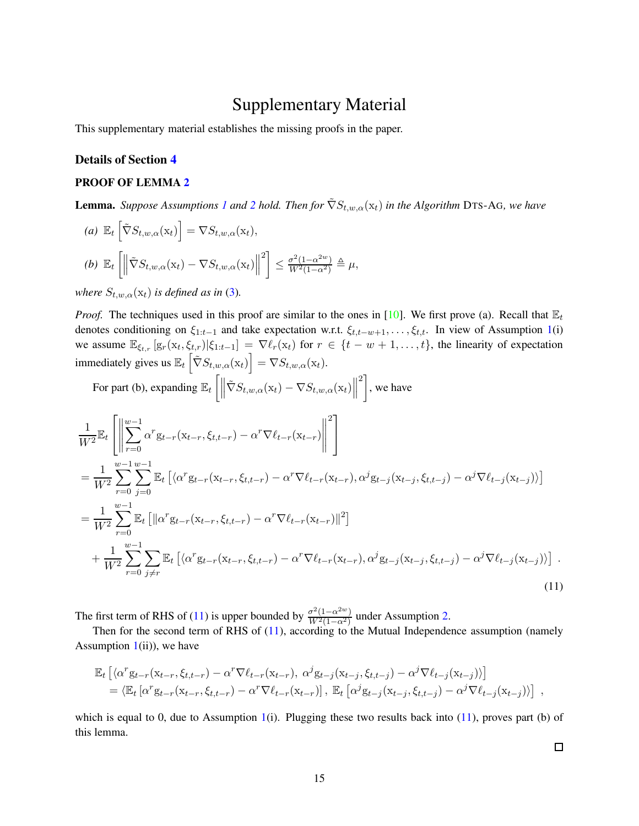# Supplementary Material

This supplementary material establishes the missing proofs in the paper.

## Details of Section [4](#page-6-0)

# PROOF OF LEMMA [2](#page-7-2)

**Lemma.** *Suppose Assumptions [1](#page-5-1) and* [2](#page-5-2) *hold.* Then for  $\tilde{\nabla}S_{t,w,\alpha}(\mathbf{x}_t)$  *in the Algorithm* DTS-AG, we have

(a) 
$$
\mathbb{E}_t \left[ \tilde{\nabla} S_{t,w,\alpha}(\mathbf{x}_t) \right] = \nabla S_{t,w,\alpha}(\mathbf{x}_t),
$$
  
\n(b)  $\mathbb{E}_t \left[ \left\| \tilde{\nabla} S_{t,w,\alpha}(\mathbf{x}_t) - \nabla S_{t,w,\alpha}(\mathbf{x}_t) \right\|^2 \right] \le \frac{\sigma^2 (1 - \alpha^{2w})}{W^2 (1 - \alpha^2)} \triangleq \mu,$ 

*where*  $S_{t,w,\alpha}(\mathbf{x}_t)$  *is defined as in* [\(3\)](#page-6-2).

*Proof.* The techniques used in this proof are similar to the ones in [\[10\]](#page-12-8). We first prove (a). Recall that  $\mathbb{E}_t$ denotes conditioning on  $\xi_{1:t-1}$  and take expectation w.r.t.  $\xi_{t,t-w+1}, \ldots, \xi_{t,t}$ . In view of Assumption [1\(](#page-5-1)i) we assume  $\mathbb{E}_{\xi_{t,r}}[g_r(x_t,\xi_{t,r})|\xi_{1:t-1}] = \nabla \ell_r(x_t)$  for  $r \in \{t-w+1,\ldots,t\}$ , the linearity of expectation immediately gives us  $\mathbb{E}_t \left[ \tilde{\nabla} S_{t,w,\alpha}(\mathbf{x}_t) \right] = \nabla S_{t,w,\alpha}(\mathbf{x}_t)$ .

For part (b), expanding 
$$
\mathbb{E}_t \left[ \left\| \tilde{\nabla} S_{t,w,\alpha}(\mathbf{x}_t) - \nabla S_{t,w,\alpha}(\mathbf{x}_t) \right\|^2 \right]
$$
, we have

$$
\frac{1}{W^2} \mathbb{E}_t \left[ \left\| \sum_{r=0}^{w-1} \alpha^r g_{t-r}(\mathbf{x}_{t-r}, \xi_{t,t-r}) - \alpha^r \nabla \ell_{t-r}(\mathbf{x}_{t-r}) \right\|^2 \right] \n= \frac{1}{W^2} \sum_{r=0}^{w-1} \sum_{j=0}^{w-1} \mathbb{E}_t \left[ \langle \alpha^r g_{t-r}(\mathbf{x}_{t-r}, \xi_{t,t-r}) - \alpha^r \nabla \ell_{t-r}(\mathbf{x}_{t-r}), \alpha^j g_{t-j}(\mathbf{x}_{t-j}, \xi_{t,t-j}) - \alpha^j \nabla \ell_{t-j}(\mathbf{x}_{t-j}) \rangle \right] \n= \frac{1}{W^2} \sum_{r=0}^{w-1} \mathbb{E}_t \left[ \|\alpha^r g_{t-r}(\mathbf{x}_{t-r}, \xi_{t,t-r}) - \alpha^r \nabla \ell_{t-r}(\mathbf{x}_{t-r}) \|^2 \right] \n+ \frac{1}{W^2} \sum_{r=0}^{w-1} \sum_{j \neq r} \mathbb{E}_t \left[ \langle \alpha^r g_{t-r}(\mathbf{x}_{t-r}, \xi_{t,t-r}) - \alpha^r \nabla \ell_{t-r}(\mathbf{x}_{t-r}), \alpha^j g_{t-j}(\mathbf{x}_{t-j}, \xi_{t,t-j}) - \alpha^j \nabla \ell_{t-j}(\mathbf{x}_{t-j}) \rangle \right].
$$
\n(11)

The first term of RHS of [\(11\)](#page-14-0) is upper bounded by  $\frac{\sigma^2(1-\alpha^{2w})}{W^2(1-\alpha^2)}$  $\frac{\sigma^2(1-\alpha^{2})}{W^2(1-\alpha^2)}$  under Assumption [2.](#page-5-2)

Then for the second term of RHS of [\(11\)](#page-14-0), according to the Mutual Independence assumption (namely Assumption  $1(i)$  $1(i)$ , we have

$$
\mathbb{E}_{t}\left[\langle\alpha^{r}g_{t-r}(x_{t-r},\xi_{t,t-r})-\alpha^{r}\nabla\ell_{t-r}(x_{t-r}),\ \alpha^{j}g_{t-j}(x_{t-j},\xi_{t,t-j})-\alpha^{j}\nabla\ell_{t-j}(x_{t-j})\rangle\right]
$$
  
=\langle\mathbb{E}\_{t}\left[\alpha^{r}g\_{t-r}(x\_{t-r},\xi\_{t,t-r})-\alpha^{r}\nabla\ell\_{t-r}(x\_{t-r})\right],\ \mathbb{E}\_{t}\left[\alpha^{j}g\_{t-j}(x\_{t-j},\xi\_{t,t-j})-\alpha^{j}\nabla\ell\_{t-j}(x\_{t-j})\rangle\right],

which is equal to 0, due to Assumption [1\(](#page-5-1)i). Plugging these two results back into  $(11)$ , proves part (b) of this lemma.

<span id="page-14-0"></span> $\Box$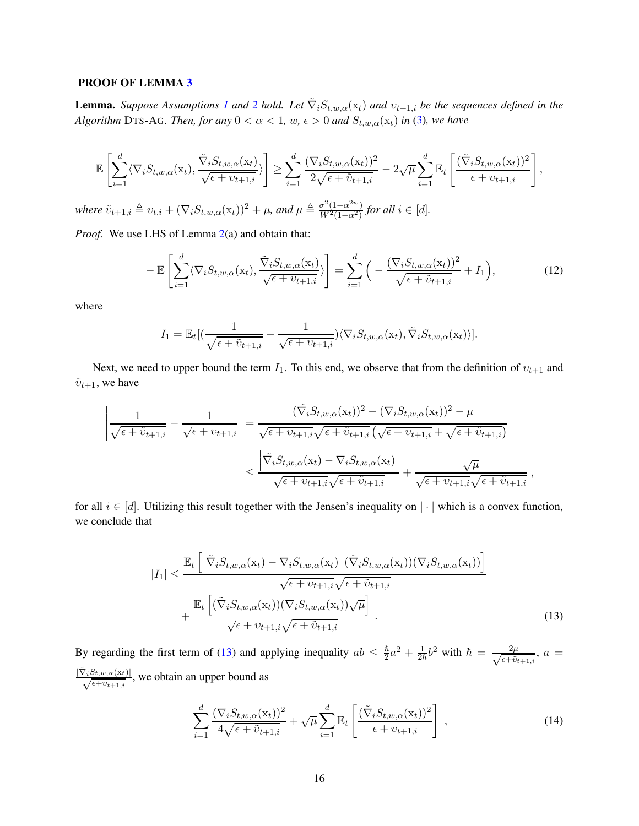#### PROOF OF LEMMA [3](#page-7-3)

**Lemma.** *Suppose Assumptions [1](#page-5-1) and* [2](#page-5-2) *hold.* Let  $\tilde{\nabla}_i S_{t,w,\alpha}(x_t)$  *and*  $v_{t+1,i}$  *be the sequences defined in the Algorithm* DTS-AG*. Then, for any*  $0 < \alpha < 1$ *, w,*  $\epsilon > 0$  *and*  $S_{t,w,\alpha}(x_t)$  *in* [\(3\)](#page-6-2)*, we have* 

$$
\mathbb{E}\left[\sum_{i=1}^{d}\langle\nabla_{i}S_{t,w,\alpha}(\mathbf{x}_{t}),\frac{\tilde{\nabla}_{i}S_{t,w,\alpha}(\mathbf{x}_{t})}{\sqrt{\epsilon+v_{t+1,i}}}\rangle\right] \geq \sum_{i=1}^{d}\frac{(\nabla_{i}S_{t,w,\alpha}(\mathbf{x}_{t}))^{2}}{2\sqrt{\epsilon+\tilde{v}_{t+1,i}}} - 2\sqrt{\mu}\sum_{i=1}^{d}\mathbb{E}_{t}\left[\frac{(\tilde{\nabla}_{i}S_{t,w,\alpha}(\mathbf{x}_{t}))^{2}}{\epsilon+v_{t+1,i}}\right],
$$
  
where  $\tilde{v}_{t+1,i} \triangleq v_{t,i} + (\nabla_{i}S_{t,w,\alpha}(\mathbf{x}_{t}))^{2} + \mu$ , and  $\mu \triangleq \frac{\sigma^{2}(1-\alpha^{2w})}{W^{2}(1-\alpha^{2})}$  for all  $i \in [d]$ .

 $\frac{\sigma^2(1-\alpha^{2})}{W^2(1-\alpha^2)}$  for all  $i \in [d]$ .

*Proof.* We use LHS of Lemma [2\(](#page-7-2)a) and obtain that:

$$
-\mathbb{E}\left[\sum_{i=1}^{d}\langle\nabla_{i}S_{t,w,\alpha}(\mathbf{x}_{t}),\frac{\tilde{\nabla}_{i}S_{t,w,\alpha}(\mathbf{x}_{t})}{\sqrt{\epsilon+v_{t+1,i}}}\rangle\right]=\sum_{i=1}^{d}\Big(-\frac{(\nabla_{i}S_{t,w,\alpha}(\mathbf{x}_{t}))^{2}}{\sqrt{\epsilon+\tilde{v}_{t+1,i}}}+I_{1}\Big),\tag{12}
$$

where

<span id="page-15-2"></span>
$$
I_1 = \mathbb{E}_t[(\frac{1}{\sqrt{\epsilon + \tilde{v}_{t+1,i}}}-\frac{1}{\sqrt{\epsilon + v_{t+1,i}}})\langle \nabla_i S_{t,w,\alpha}(\mathbf{x}_t), \tilde{\nabla}_i S_{t,w,\alpha}(\mathbf{x}_t))].
$$

Next, we need to upper bound the term  $I_1$ . To this end, we observe that from the definition of  $v_{t+1}$  and  $\tilde{v}_{t+1}$ , we have

$$
\left| \frac{1}{\sqrt{\epsilon + \tilde{v}_{t+1,i}}} - \frac{1}{\sqrt{\epsilon + v_{t+1,i}}} \right| = \frac{\left| (\tilde{\nabla}_i S_{t,w,\alpha}(\mathbf{x}_t))^2 - (\nabla_i S_{t,w,\alpha}(\mathbf{x}_t))^2 - \mu \right|}{\sqrt{\epsilon + v_{t+1,i}} \sqrt{\epsilon + \tilde{v}_{t+1,i}}} \left( \sqrt{\epsilon + v_{t+1,i}} + \sqrt{\epsilon + \tilde{v}_{t+1,i}} \right)
$$

$$
\leq \frac{\left| \tilde{\nabla}_i S_{t,w,\alpha}(\mathbf{x}_t) - \nabla_i S_{t,w,\alpha}(\mathbf{x}_t) \right|}{\sqrt{\epsilon + v_{t+1,i}} \sqrt{\epsilon + \tilde{v}_{t+1,i}}} + \frac{\sqrt{\mu}}{\sqrt{\epsilon + v_{t+1,i}} \sqrt{\epsilon + \tilde{v}_{t+1,i}}},
$$

for all  $i \in [d]$ . Utilizing this result together with the Jensen's inequality on  $|\cdot|$  which is a convex function, we conclude that

$$
|I_{1}| \leq \frac{\mathbb{E}_{t}\left[\left|\tilde{\nabla}_{i}S_{t,w,\alpha}(\mathbf{x}_{t})-\nabla_{i}S_{t,w,\alpha}(\mathbf{x}_{t})\right|(\tilde{\nabla}_{i}S_{t,w,\alpha}(\mathbf{x}_{t}))(\nabla_{i}S_{t,w,\alpha}(\mathbf{x}_{t}))\right]}{\sqrt{\epsilon+v_{t+1,i}}}
$$

$$
+\frac{\mathbb{E}_{t}\left[(\tilde{\nabla}_{i}S_{t,w,\alpha}(\mathbf{x}_{t}))(\nabla_{i}S_{t,w,\alpha}(\mathbf{x}_{t}))\sqrt{\mu}\right]}{\sqrt{\epsilon+v_{t+1,i}}}
$$
(13)

By regarding the first term of [\(13\)](#page-15-0) and applying inequality  $ab \leq \frac{\hbar}{2}$  $\frac{\hbar}{2}a^2 + \frac{1}{2\hbar}b^2$  with  $\hbar = \frac{2\mu}{\sqrt{\epsilon + \tilde{v}_1}}$  $\frac{2\mu}{\epsilon + \tilde{v}_{t+1,i}}, a =$  $\frac{|\tilde{\nabla}_i S_{t,w,\alpha}(x_t)|}{\sqrt{\epsilon + v_{t+1,i}}},$  we obtain an upper bound as

<span id="page-15-1"></span><span id="page-15-0"></span>
$$
\sum_{i=1}^{d} \frac{(\nabla_i S_{t,w,\alpha}(\mathbf{x}_t))^2}{4\sqrt{\epsilon + \tilde{v}_{t+1,i}}} + \sqrt{\mu} \sum_{i=1}^{d} \mathbb{E}_t \left[ \frac{(\tilde{\nabla}_i S_{t,w,\alpha}(\mathbf{x}_t))^2}{\epsilon + v_{t+1,i}} \right],
$$
\n(14)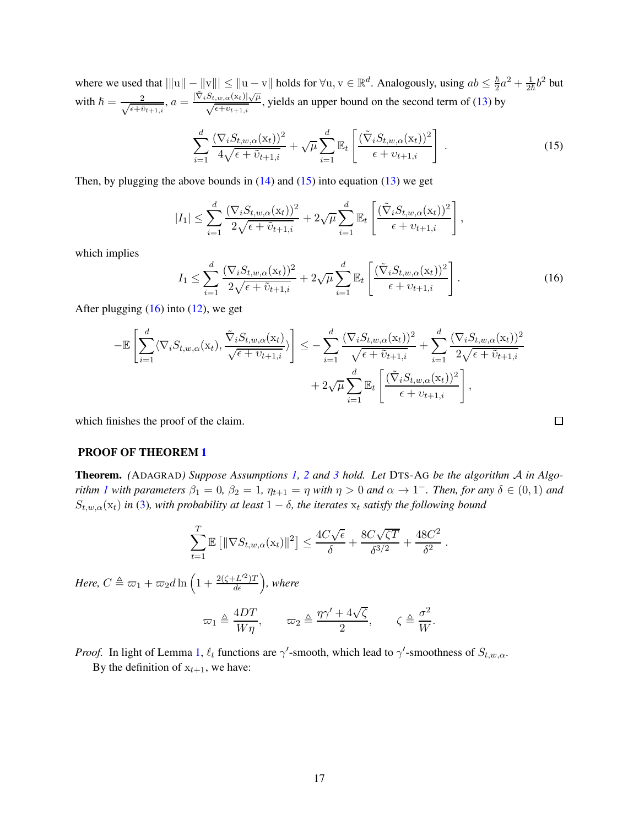where we used that  $|||u|| - ||v||| \le ||u - v||$  holds for  $\forall u, v \in \mathbb{R}^d$ . Analogously, using  $ab \le \frac{\hbar}{2}a^2 + \frac{1}{2\hbar}b^2$  but with  $\hslash = \frac{2}{\sqrt{\epsilon + i}}$  $\frac{2}{\epsilon + \tilde{v}_{t+1,i}}, a = \frac{|\tilde{\nabla}_i S_{t,w,\alpha}(\mathrm{x}_t)| \sqrt{\mu}}{\sqrt{\epsilon + v_{t+1,i}}}$  $\frac{\partial f_i w_i \alpha(\lambda t) | \sqrt{\mu}}{\sqrt{\epsilon + v_{t+1,i}}}$ , yields an upper bound on the second term of [\(13\)](#page-15-0) by

<span id="page-16-0"></span>
$$
\sum_{i=1}^{d} \frac{(\nabla_i S_{t,w,\alpha}(\mathbf{x}_t))^2}{4\sqrt{\epsilon + \tilde{v}_{t+1,i}}} + \sqrt{\mu} \sum_{i=1}^{d} \mathbb{E}_t \left[ \frac{(\tilde{\nabla}_i S_{t,w,\alpha}(\mathbf{x}_t))^2}{\epsilon + v_{t+1,i}} \right]. \tag{15}
$$

Then, by plugging the above bounds in  $(14)$  and  $(15)$  into equation  $(13)$  we get

$$
|I_1| \leq \sum_{i=1}^d \frac{(\nabla_i S_{t,w,\alpha}(\mathbf{x}_t))^2}{2\sqrt{\epsilon + \tilde{v}_{t+1,i}}} + 2\sqrt{\mu} \sum_{i=1}^d \mathbb{E}_t \left[ \frac{(\tilde{\nabla}_i S_{t,w,\alpha}(\mathbf{x}_t))^2}{\epsilon + v_{t+1,i}} \right],
$$

which implies

<span id="page-16-1"></span>
$$
I_1 \leq \sum_{i=1}^d \frac{(\nabla_i S_{t,w,\alpha}(\mathbf{x}_t))^2}{2\sqrt{\epsilon + \tilde{v}_{t+1,i}}} + 2\sqrt{\mu} \sum_{i=1}^d \mathbb{E}_t \left[ \frac{(\tilde{\nabla}_i S_{t,w,\alpha}(\mathbf{x}_t))^2}{\epsilon + v_{t+1,i}} \right].
$$
 (16)

After plugging  $(16)$  into  $(12)$ , we get

$$
-\mathbb{E}\left[\sum_{i=1}^{d}\langle\nabla_{i}S_{t,w,\alpha}(\mathbf{x}_{t}),\frac{\tilde{\nabla}_{i}S_{t,w,\alpha}(\mathbf{x}_{t})}{\sqrt{\epsilon+v_{t+1,i}}}\rangle\right] \leq -\sum_{i=1}^{d}\frac{(\nabla_{i}S_{t,w,\alpha}(\mathbf{x}_{t}))^{2}}{\sqrt{\epsilon+\tilde{v}_{t+1,i}}}+\sum_{i=1}^{d}\frac{(\nabla_{i}S_{t,w,\alpha}(\mathbf{x}_{t}))^{2}}{2\sqrt{\epsilon+\tilde{v}_{t+1,i}}}+\frac{2\sqrt{\epsilon+\tilde{v}_{t+1,i}}}{2\sqrt{\epsilon+\tilde{v}_{t+1,i}}}\right] + 2\sqrt{\mu}\sum_{i=1}^{d}\mathbb{E}_{t}\left[\frac{(\tilde{\nabla}_{i}S_{t,w,\alpha}(\mathbf{x}_{t}))^{2}}{\epsilon+v_{t+1,i}}\right],
$$

which finishes the proof of the claim.

#### PROOF OF THEOREM [1](#page-7-0)

Theorem. *(*ADAGRAD*) Suppose Assumptions [1,](#page-5-1) [2](#page-5-2) and [3](#page-6-1) hold. Let* DTS-A<sup>G</sup> *be the algorithm* A *in Algorithm [1](#page-3-0)* with parameters  $\beta_1 = 0$ ,  $\beta_2 = 1$ ,  $\eta_{t+1} = \eta$  with  $\eta > 0$  and  $\alpha \to 1^-$ . Then, for any  $\delta \in (0,1)$  and  $S_{t,w,\alpha}(\mathbf{x}_t)$  *in* [\(3\)](#page-6-2), with probability at least  $1 - \delta$ , the iterates  $\mathbf{x}_t$  satisfy the following bound

$$
\sum_{t=1}^T \mathbb{E} \left[ \|\nabla S_{t,w,\alpha}(\mathbf{x}_t)\|^2 \right] \le \frac{4C\sqrt{\epsilon}}{\delta} + \frac{8C\sqrt{\zeta T}}{\delta^{3/2}} + \frac{48C^2}{\delta^2}.
$$

Here,  $C \triangleq \varpi_1 + \varpi_2 d \ln \Big( 1 + \frac{2(\zeta + L'^2) T}{d \epsilon} \Big)$ , where

$$
\varpi_1 \triangleq \frac{4DT}{W\eta}, \qquad \varpi_2 \triangleq \frac{\eta\gamma' + 4\sqrt{\zeta}}{2}, \qquad \zeta \triangleq \frac{\sigma^2}{W}.
$$

*Proof.* In light of Lemma [1,](#page-6-3)  $\ell_t$  functions are  $\gamma'$ -smooth, which lead to  $\gamma'$ -smoothness of  $S_{t,w,\alpha}$ .

By the definition of  $x_{t+1}$ , we have:

 $\Box$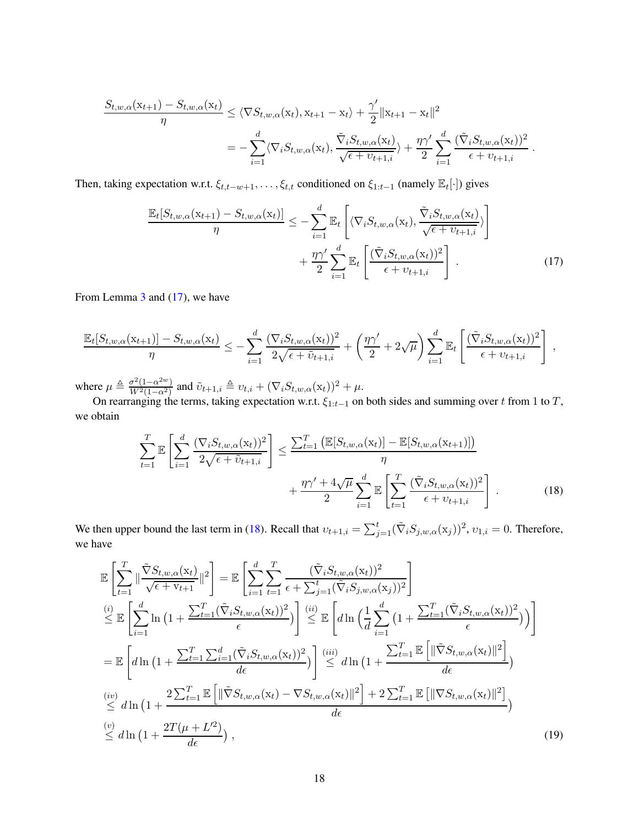$$
\frac{S_{t,w,\alpha}(\mathbf{x}_{t+1}) - S_{t,w,\alpha}(\mathbf{x}_t)}{\eta} \leq \langle \nabla S_{t,w,\alpha}(\mathbf{x}_t), \mathbf{x}_{t+1} - \mathbf{x}_t \rangle + \frac{\gamma'}{2} ||\mathbf{x}_{t+1} - \mathbf{x}_t||^2
$$
  
= 
$$
-\sum_{i=1}^d \langle \nabla_i S_{t,w,\alpha}(\mathbf{x}_t), \frac{\tilde{\nabla}_i S_{t,w,\alpha}(\mathbf{x}_t)}{\sqrt{\epsilon + v_{t+1,i}} \rangle + \frac{\eta \gamma'}{2} \sum_{i=1}^d \frac{(\tilde{\nabla}_i S_{t,w,\alpha}(\mathbf{x}_t))^2}{\epsilon + v_{t+1,i}}
$$

Then, taking expectation w.r.t.  $\xi_{t,t-w+1}, \ldots, \xi_{t,t}$  conditioned on  $\xi_{1:t-1}$  (namely  $\mathbb{E}_t[\cdot]$ ) gives

$$
\frac{\mathbb{E}_{t}[S_{t,w,\alpha}(\mathbf{x}_{t+1}) - S_{t,w,\alpha}(\mathbf{x}_{t})]}{\eta} \leq -\sum_{i=1}^{d} \mathbb{E}_{t}\left[\langle \nabla_{i}S_{t,w,\alpha}(\mathbf{x}_{t}), \frac{\tilde{\nabla}_{i}S_{t,w,\alpha}(\mathbf{x}_{t})}{\sqrt{\epsilon + \upsilon_{t+1,i}}}\rangle + \frac{\eta\gamma'}{2}\sum_{i=1}^{d} \mathbb{E}_{t}\left[\frac{(\tilde{\nabla}_{i}S_{t,w,\alpha}(\mathbf{x}_{t}))^{2}}{\epsilon + \upsilon_{t+1,i}}\right].
$$
\n(17)

<span id="page-17-1"></span><span id="page-17-0"></span>.

From Lemma [3](#page-7-3) and [\(17\)](#page-17-0), we have

$$
\frac{\mathbb{E}_t[S_{t,w,\alpha}(\mathbf{x}_{t+1})] - S_{t,w,\alpha}(\mathbf{x}_t)}{\eta} \leq -\sum_{i=1}^d \frac{(\nabla_i S_{t,w,\alpha}(\mathbf{x}_t))^2}{2\sqrt{\epsilon + \tilde{v}_{t+1,i}}} + \left(\frac{\eta\gamma'}{2} + 2\sqrt{\mu}\right) \sum_{i=1}^d \mathbb{E}_t\left[\frac{(\tilde{\nabla}_i S_{t,w,\alpha}(\mathbf{x}_t))^2}{\epsilon + v_{t+1,i}}\right],
$$

where  $\mu \triangleq \frac{\sigma^2 (1 - \alpha^{2w})}{W^2 (1 - \alpha^2)}$  $\frac{\sigma^2(1-\alpha^{2w})}{W^2(1-\alpha^2)}$  and  $\tilde{v}_{t+1,i} \triangleq v_{t,i} + (\nabla_i S_{t,w,\alpha}(\mathbf{x}_t))^2 + \mu$ .

On rearranging the terms, taking expectation w.r.t.  $\xi_{1:t-1}$  on both sides and summing over t from 1 to T, we obtain

$$
\sum_{t=1}^{T} \mathbb{E}\left[\sum_{i=1}^{d} \frac{(\nabla_i S_{t,w,\alpha}(\mathbf{x}_t))^2}{2\sqrt{\epsilon + \tilde{v}_{t+1,i}}}\right] \le \frac{\sum_{t=1}^{T} \left(\mathbb{E}[S_{t,w,\alpha}(\mathbf{x}_t)] - \mathbb{E}[S_{t,w,\alpha}(\mathbf{x}_{t+1})]\right)}{\eta} + \frac{\eta \gamma' + 4\sqrt{\mu}}{2} \sum_{i=1}^{d} \mathbb{E}\left[\sum_{t=1}^{T} \frac{(\tilde{\nabla}_i S_{t,w,\alpha}(\mathbf{x}_t))^2}{\epsilon + v_{t+1,i}}\right].
$$
\n(18)

We then upper bound the last term in [\(18\)](#page-17-1). Recall that  $v_{t+1,i} = \sum_{j=1}^{t} (\tilde{\nabla}_i S_{j,w,\alpha}(x_j))^2$ ,  $v_{1,i} = 0$ . Therefore, we have

<span id="page-17-2"></span>
$$
\mathbb{E}\left[\sum_{t=1}^{T}\|\frac{\tilde{\nabla}S_{t,w,\alpha}(\mathbf{x}_{t})}{\sqrt{\epsilon + \mathbf{v}_{t+1}}}\|^{2}\right] = \mathbb{E}\left[\sum_{i=1}^{d}\sum_{t=1}^{T}\frac{(\tilde{\nabla}_{i}S_{t,w,\alpha}(\mathbf{x}_{t}))^{2}}{\epsilon + \sum_{j=1}^{t}(\tilde{\nabla}_{i}S_{j,w,\alpha}(\mathbf{x}_{j}))^{2}}\right]
$$
\n
$$
\stackrel{(i)}{\leq} \mathbb{E}\left[\sum_{i=1}^{d}\ln\left(1+\frac{\sum_{t=1}^{T}(\tilde{\nabla}_{i}S_{t,w,\alpha}(\mathbf{x}_{t}))^{2}}{\epsilon}\right)\right] \stackrel{(ii)}{\leq} \mathbb{E}\left[d\ln\left(\frac{1}{d}\sum_{i=1}^{d}\left(1+\frac{\sum_{t=1}^{T}(\tilde{\nabla}_{i}S_{t,w,\alpha}(\mathbf{x}_{t}))^{2}}{\epsilon}\right)\right)\right]
$$
\n
$$
= \mathbb{E}\left[d\ln\left(1+\frac{\sum_{t=1}^{T}\sum_{i=1}^{d}(\tilde{\nabla}_{i}S_{t,w,\alpha}(\mathbf{x}_{t}))^{2}}{d\epsilon}\right)\right] \stackrel{(iii)}{\leq} d\ln\left(1+\frac{\sum_{t=1}^{T}\mathbb{E}\left[\|\tilde{\nabla}S_{t,w,\alpha}(\mathbf{x}_{t})\|^{2}\right]}{d\epsilon}\right)
$$
\n
$$
\stackrel{(iv)}{\leq} d\ln\left(1+\frac{2\sum_{t=1}^{T}\mathbb{E}\left[\|\tilde{\nabla}S_{t,w,\alpha}(\mathbf{x}_{t})-\nabla S_{t,w,\alpha}(\mathbf{x}_{t})\|^{2}\right]+2\sum_{t=1}^{T}\mathbb{E}\left[\|\nabla S_{t,w,\alpha}(\mathbf{x}_{t})\|^{2}\right]}{d\epsilon}\right)
$$
\n
$$
\stackrel{(v)}{\leq} d\ln\left(1+\frac{2T(\mu+L'^{2})}{d\epsilon}\right),
$$
\n(19)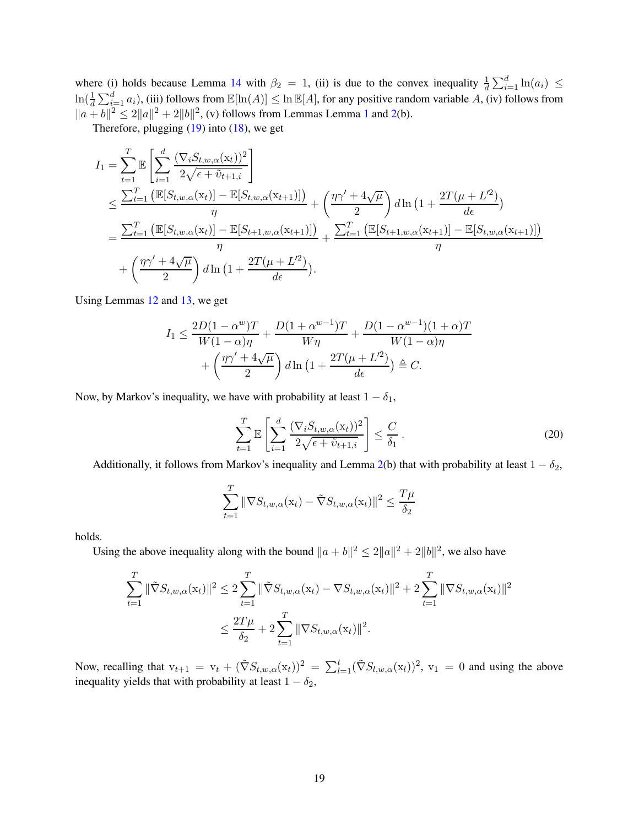where (i) holds because Lemma [14](#page-50-0) with  $\beta_2 = 1$ , (ii) is due to the convex inequality  $\frac{1}{d} \sum_{i=1}^{d} \ln(a_i) \leq$  $\ln(\frac{1}{d}\sum_{i=1}^d a_i)$ , (iii) follows from  $\mathbb{E}[\ln(A)] \leq \ln \mathbb{E}[A]$ , for any positive random variable A, (iv) follows from  $||a + b||^2 \le 2||a||^2 + 2||b||^2$ , (v) follows from Lemmas Lemma [1](#page-6-3) and [2\(](#page-7-2)b).

Therefore, plugging  $(19)$  into  $(18)$ , we get

$$
I_{1} = \sum_{t=1}^{T} \mathbb{E} \left[ \sum_{i=1}^{d} \frac{(\nabla_{i} S_{t, w, \alpha}(x_{t}))^{2}}{2\sqrt{\epsilon + \tilde{v}_{t+1, i}}} \right]
$$
  
\n
$$
\leq \frac{\sum_{t=1}^{T} \left( \mathbb{E}[S_{t, w, \alpha}(x_{t})] - \mathbb{E}[S_{t, w, \alpha}(x_{t+1})] \right)}{\eta} + \left( \frac{\eta \gamma' + 4\sqrt{\mu}}{2} \right) d \ln \left( 1 + \frac{2T(\mu + L^{2})}{d\epsilon} \right)
$$
  
\n
$$
= \frac{\sum_{t=1}^{T} \left( \mathbb{E}[S_{t, w, \alpha}(x_{t})] - \mathbb{E}[S_{t+1, w, \alpha}(x_{t+1})] \right)}{\eta} + \frac{\sum_{t=1}^{T} \left( \mathbb{E}[S_{t+1, w, \alpha}(x_{t+1})] - \mathbb{E}[S_{t, w, \alpha}(x_{t+1})] \right)}{\eta}
$$
  
\n
$$
+ \left( \frac{\eta \gamma' + 4\sqrt{\mu}}{2} \right) d \ln \left( 1 + \frac{2T(\mu + L^{2})}{d\epsilon} \right).
$$

Using Lemmas [12](#page-49-0) and [13,](#page-50-1) we get

$$
I_1 \leq \frac{2D(1-\alpha^w)T}{W(1-\alpha)\eta} + \frac{D(1+\alpha^{w-1})T}{W\eta} + \frac{D(1-\alpha^{w-1})(1+\alpha)T}{W(1-\alpha)\eta}
$$

$$
+ \left(\frac{\eta\gamma' + 4\sqrt{\mu}}{2}\right)d\ln\left(1 + \frac{2T(\mu + L^2)}{d\epsilon}\right) \triangleq C.
$$

Now, by Markov's inequality, we have with probability at least  $1 - \delta_1$ ,

<span id="page-18-0"></span>
$$
\sum_{t=1}^{T} \mathbb{E}\left[\sum_{i=1}^{d} \frac{(\nabla_i S_{t,w,\alpha}(\mathbf{x}_t))^2}{2\sqrt{\epsilon + \tilde{v}_{t+1,i}}}\right] \leq \frac{C}{\delta_1}.
$$
\n(20)

Additionally, it follows from Markov's inequality and Lemma [2\(](#page-7-2)b) that with probability at least  $1 - \delta_2$ ,

$$
\sum_{t=1}^{T} \|\nabla S_{t,w,\alpha}(\mathbf{x}_t) - \tilde{\nabla} S_{t,w,\alpha}(\mathbf{x}_t)\|^2 \le \frac{T\mu}{\delta_2}
$$

holds.

Using the above inequality along with the bound  $||a + b||^2 \le 2||a||^2 + 2||b||^2$ , we also have

$$
\sum_{t=1}^{T} \|\tilde{\nabla} S_{t,w,\alpha}(\mathbf{x}_t)\|^2 \le 2 \sum_{t=1}^{T} \|\tilde{\nabla} S_{t,w,\alpha}(\mathbf{x}_t) - \nabla S_{t,w,\alpha}(\mathbf{x}_t)\|^2 + 2 \sum_{t=1}^{T} \|\nabla S_{t,w,\alpha}(\mathbf{x}_t)\|^2
$$
  

$$
\le \frac{2T\mu}{\delta_2} + 2 \sum_{t=1}^{T} \|\nabla S_{t,w,\alpha}(\mathbf{x}_t)\|^2.
$$

Now, recalling that  $v_{t+1} = v_t + (\tilde{\nabla}S_{t,w,\alpha}(x_t))^2 = \sum_{l=1}^t (\tilde{\nabla}S_{l,w,\alpha}(x_l))^2$ ,  $v_1 = 0$  and using the above inequality yields that with probability at least  $1 - \delta_2$ ,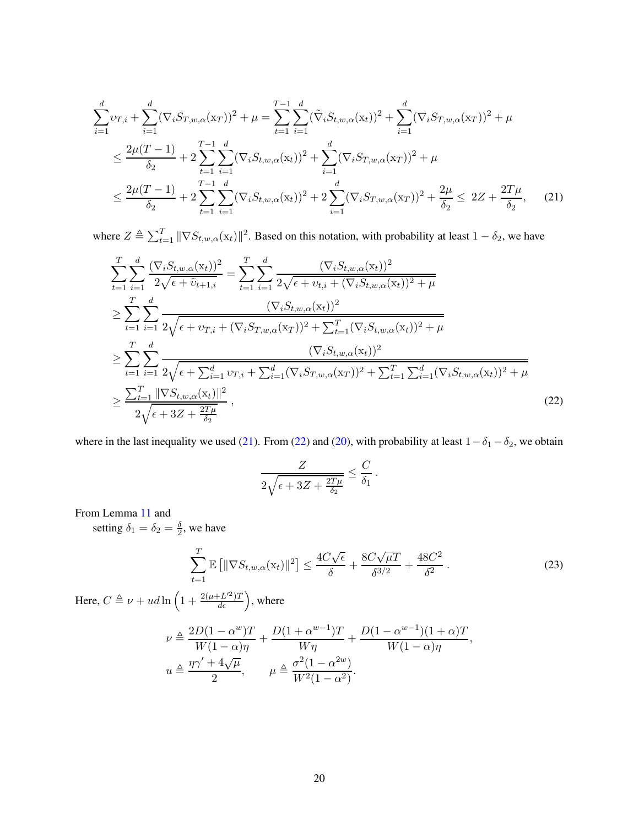$$
\sum_{i=1}^{d} v_{T,i} + \sum_{i=1}^{d} (\nabla_i S_{T,w,\alpha}(x_T))^2 + \mu = \sum_{t=1}^{T-1} \sum_{i=1}^{d} (\tilde{\nabla}_i S_{t,w,\alpha}(x_t))^2 + \sum_{i=1}^{d} (\nabla_i S_{T,w,\alpha}(x_T))^2 + \mu
$$
\n
$$
\leq \frac{2\mu(T-1)}{\delta_2} + 2\sum_{t=1}^{T-1} \sum_{i=1}^{d} (\nabla_i S_{t,w,\alpha}(x_t))^2 + \sum_{i=1}^{d} (\nabla_i S_{T,w,\alpha}(x_T))^2 + \mu
$$
\n
$$
\leq \frac{2\mu(T-1)}{\delta_2} + 2\sum_{t=1}^{T-1} \sum_{i=1}^{d} (\nabla_i S_{t,w,\alpha}(x_t))^2 + 2\sum_{i=1}^{d} (\nabla_i S_{T,w,\alpha}(x_T))^2 + \frac{2\mu}{\delta_2} \leq 2Z + \frac{2T\mu}{\delta_2}, \quad (21)
$$

where  $Z \triangleq \sum_{t=1}^T ||\nabla S_{t,w,\alpha}(x_t)||^2$ . Based on this notation, with probability at least  $1 - \delta_2$ , we have

$$
\sum_{t=1}^{T} \sum_{i=1}^{d} \frac{(\nabla_{i} S_{t,w,\alpha}(\mathbf{x}_{t}))^{2}}{2\sqrt{\epsilon + \tilde{v}_{t+1,i}}} = \sum_{t=1}^{T} \sum_{i=1}^{d} \frac{(\nabla_{i} S_{t,w,\alpha}(\mathbf{x}_{t}))^{2}}{2\sqrt{\epsilon + v_{t,i} + (\nabla_{i} S_{t,w,\alpha}(\mathbf{x}_{t}))^{2} + \mu}
$$
\n
$$
\geq \sum_{t=1}^{T} \sum_{i=1}^{d} \frac{(\nabla_{i} S_{t,w,\alpha}(\mathbf{x}_{t}))^{2}}{2\sqrt{\epsilon + v_{T,i} + (\nabla_{i} S_{T,w,\alpha}(\mathbf{x}_{T}))^{2} + \sum_{t=1}^{T} (\nabla_{i} S_{t,w,\alpha}(\mathbf{x}_{t}))^{2} + \mu}
$$
\n
$$
\geq \sum_{t=1}^{T} \sum_{i=1}^{d} \frac{(\nabla_{i} S_{t,w,\alpha}(\mathbf{x}_{t}))^{2}}{2\sqrt{\epsilon + \sum_{i=1}^{d} v_{T,i} + \sum_{i=1}^{d} (\nabla_{i} S_{T,w,\alpha}(\mathbf{x}_{T}))^{2} + \sum_{t=1}^{T} \sum_{i=1}^{d} (\nabla_{i} S_{t,w,\alpha}(\mathbf{x}_{t}))^{2} + \mu}
$$
\n
$$
\geq \frac{\sum_{t=1}^{T} ||\nabla S_{t,w,\alpha}(\mathbf{x}_{t})||^{2}}{2\sqrt{\epsilon + 3Z + \frac{2T\mu}{\delta_{2}}}}, \qquad (22)
$$

where in the last inequality we used [\(21\)](#page-19-0). From [\(22\)](#page-19-1) and [\(20\)](#page-18-0), with probability at least  $1-\delta_1-\delta_2$ , we obtain

<span id="page-19-1"></span><span id="page-19-0"></span>
$$
\frac{Z}{2\sqrt{\epsilon+3Z+\frac{2T\mu}{\delta_2}}} \leq \frac{C}{\delta_1}.
$$

From Lemma [11](#page-49-1) and

setting  $\delta_1 = \delta_2 = \frac{\delta}{2}$  $\frac{0}{2}$ , we have

<span id="page-19-2"></span>
$$
\sum_{t=1}^{T} \mathbb{E}\left[\|\nabla S_{t,w,\alpha}(\mathbf{x}_t)\|^2\right] \le \frac{4C\sqrt{\epsilon}}{\delta} + \frac{8C\sqrt{\mu}}{\delta^{3/2}} + \frac{48C^2}{\delta^2} \,. \tag{23}
$$

Here,  $C \triangleq \nu + ud \ln \Big( 1 + \frac{2(\mu + L'^2)T}{d\epsilon} \Big)$ , where

$$
\nu \triangleq \frac{2D(1-\alpha^w)T}{W(1-\alpha)\eta} + \frac{D(1+\alpha^{w-1})T}{W\eta} + \frac{D(1-\alpha^{w-1})(1+\alpha)T}{W(1-\alpha)\eta},
$$
  

$$
u \triangleq \frac{\eta\gamma' + 4\sqrt{\mu}}{2}, \qquad \mu \triangleq \frac{\sigma^2(1-\alpha^{2w})}{W^2(1-\alpha^2)}.
$$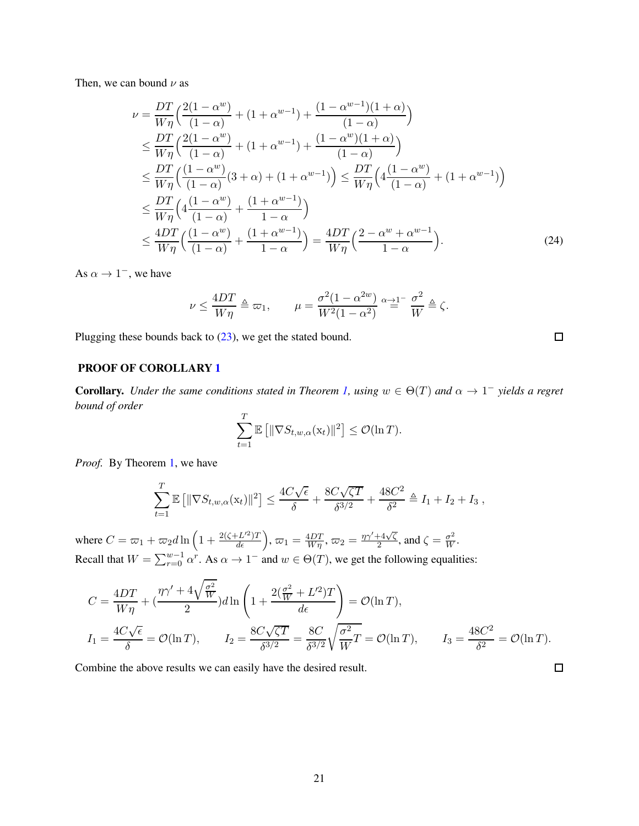Then, we can bound  $\nu$  as

$$
\nu = \frac{DT}{W\eta} \Big( \frac{2(1 - \alpha^w)}{(1 - \alpha)} + (1 + \alpha^{w-1}) + \frac{(1 - \alpha^{w-1})(1 + \alpha)}{(1 - \alpha)} \Big)
$$
\n
$$
\leq \frac{DT}{W\eta} \Big( \frac{2(1 - \alpha^w)}{(1 - \alpha)} + (1 + \alpha^{w-1}) + \frac{(1 - \alpha^w)(1 + \alpha)}{(1 - \alpha)} \Big)
$$
\n
$$
\leq \frac{DT}{W\eta} \Big( \frac{(1 - \alpha^w)}{(1 - \alpha)} (3 + \alpha) + (1 + \alpha^{w-1}) \Big) \leq \frac{DT}{W\eta} \Big( 4 \frac{(1 - \alpha^w)}{(1 - \alpha)} + (1 + \alpha^{w-1}) \Big)
$$
\n
$$
\leq \frac{DT}{W\eta} \Big( 4 \frac{(1 - \alpha^w)}{(1 - \alpha)} + \frac{(1 + \alpha^{w-1})}{1 - \alpha} \Big)
$$
\n
$$
\leq \frac{4DT}{W\eta} \Big( \frac{(1 - \alpha^w)}{(1 - \alpha)} + \frac{(1 + \alpha^{w-1})}{1 - \alpha} \Big) = \frac{4DT}{W\eta} \Big( \frac{2 - \alpha^w + \alpha^{w-1}}{1 - \alpha} \Big). \tag{24}
$$

<span id="page-20-0"></span> $\Box$ 

 $\Box$ 

As  $\alpha \to 1^-$ , we have

$$
\nu \le \frac{4DT}{W\eta} \triangleq \varpi_1, \qquad \mu = \frac{\sigma^2(1-\alpha^{2w})}{W^2(1-\alpha^2)} \stackrel{\alpha \to 1^-}{=} \frac{\sigma^2}{W} \triangleq \zeta.
$$

Plugging these bounds back to [\(23\)](#page-19-2), we get the stated bound.

#### PROOF OF COROLLARY [1](#page-7-1)

**Corollary.** Under the same conditions stated in Theorem [1,](#page-7-0) using  $w \in \Theta(T)$  and  $\alpha \to 1^-$  yields a regret *bound of order*

$$
\sum_{t=1}^T \mathbb{E} \left[ \|\nabla S_{t,w,\alpha}(\mathbf{x}_t)\|^2 \right] \leq \mathcal{O}(\ln T).
$$

*Proof.* By Theorem [1,](#page-7-0) we have

$$
\sum_{t=1}^T \mathbb{E} \left[ \|\nabla S_{t,w,\alpha}(\mathbf{x}_t)\|^2 \right] \le \frac{4C\sqrt{\epsilon}}{\delta} + \frac{8C\sqrt{\zeta T}}{\delta^{3/2}} + \frac{48C^2}{\delta^2} \triangleq I_1 + I_2 + I_3,
$$

where  $C = \varpi_1 + \varpi_2 d \ln \left( 1 + \frac{2(\zeta + L'^2)T}{d\epsilon} \right)$ ,  $\varpi_1 = \frac{4DT}{W\eta}$ ,  $\varpi_2 = \frac{\eta \gamma' + 4\sqrt{\zeta}}{2}$  $\frac{+4\sqrt{\zeta}}{2}$ , and  $\zeta = \frac{\sigma^2}{W}$ . Recall that  $W = \sum_{r=0}^{w-1} \alpha^r$ . As  $\alpha \to 1^-$  and  $w \in \Theta(T)$ , we get the following equalities:

$$
C = \frac{4DT}{W\eta} + \left(\frac{\eta\gamma' + 4\sqrt{\frac{\sigma^2}{W}}}{2}\right)d\ln\left(1 + \frac{2(\frac{\sigma^2}{W} + L^2)T}{d\epsilon}\right) = \mathcal{O}(\ln T),
$$
  
\n
$$
I_1 = \frac{4C\sqrt{\epsilon}}{\delta} = \mathcal{O}(\ln T), \qquad I_2 = \frac{8C\sqrt{\zeta T}}{\delta^{3/2}} = \frac{8C}{\delta^{3/2}}\sqrt{\frac{\sigma^2}{W}T} = \mathcal{O}(\ln T), \qquad I_3 = \frac{48C^2}{\delta^2} = \mathcal{O}(\ln T).
$$

Combine the above results we can easily have the desired result.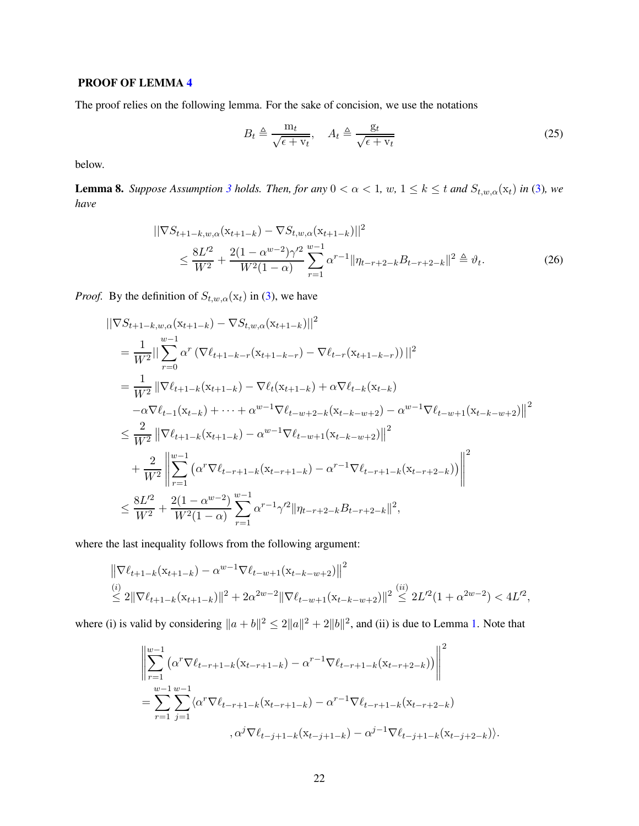#### PROOF OF LEMMA [4](#page-8-1)

The proof relies on the following lemma. For the sake of concision, we use the notations

<span id="page-21-1"></span><span id="page-21-0"></span>
$$
B_t \triangleq \frac{m_t}{\sqrt{\epsilon + v_t}}, \quad A_t \triangleq \frac{g_t}{\sqrt{\epsilon + v_t}}
$$
\n(25)

below.

<span id="page-21-2"></span>**Lemma 8.** *Suppose Assumption [3](#page-6-1) holds. Then, for any*  $0 < \alpha < 1$ *, w,*  $1 \le k \le t$  *and*  $S_{t,w,\alpha}(x_t)$  *in* [\(3\)](#page-6-2)*, we have*

$$
\begin{split} ||\nabla S_{t+1-k,w,\alpha}(\mathbf{x}_{t+1-k}) - \nabla S_{t,w,\alpha}(\mathbf{x}_{t+1-k})||^2 \\ &\leq \frac{8L^2}{W^2} + \frac{2(1-\alpha^{w-2})\gamma'^2}{W^2(1-\alpha)} \sum_{r=1}^{w-1} \alpha^{r-1} ||\eta_{t-r+2-k} B_{t-r+2-k}||^2 \triangleq \vartheta_t. \end{split} \tag{26}
$$

*Proof.* By the definition of  $S_{t,w,\alpha}(\mathbf{x}_t)$  in [\(3\)](#page-6-2), we have

$$
\begin{split}\n&||\nabla S_{t+1-k,w,\alpha}(\mathbf{x}_{t+1-k}) - \nabla S_{t,w,\alpha}(\mathbf{x}_{t+1-k})||^{2} \\
&= \frac{1}{W^{2}}||\sum_{r=0}^{w-1} \alpha^{r} \left(\nabla \ell_{t+1-k-r}(\mathbf{x}_{t+1-k-r}) - \nabla \ell_{t-r}(\mathbf{x}_{t+1-k-r})\right)||^{2} \\
&= \frac{1}{W^{2}}||\nabla \ell_{t+1-k}(\mathbf{x}_{t+1-k}) - \nabla \ell_{t}(\mathbf{x}_{t+1-k}) + \alpha \nabla \ell_{t-k}(\mathbf{x}_{t-k}) \\
&\quad - \alpha \nabla \ell_{t-1}(\mathbf{x}_{t-k}) + \dots + \alpha^{w-1} \nabla \ell_{t-w+2-k}(\mathbf{x}_{t-k-w+2}) - \alpha^{w-1} \nabla \ell_{t-w+1}(\mathbf{x}_{t-k-w+2})||^{2} \\
&\leq \frac{2}{W^{2}}||\nabla \ell_{t+1-k}(\mathbf{x}_{t+1-k}) - \alpha^{w-1} \nabla \ell_{t-w+1}(\mathbf{x}_{t-k-w+2})||^{2} \\
&\quad + \frac{2}{W^{2}}||\sum_{r=1}^{w-1} \left(\alpha^{r} \nabla \ell_{t-r+1-k}(\mathbf{x}_{t-r+1-k}) - \alpha^{r-1} \nabla \ell_{t-r+1-k}(\mathbf{x}_{t-r+2-k})\right)||^{2} \\
&\leq \frac{8L'^{2}}{W^{2}} + \frac{2(1-\alpha^{w-2})}{W^{2}(1-\alpha)} \sum_{r=1}^{w-1} \alpha^{r-1} \gamma^{r} ||\eta_{t-r+2-k} B_{t-r+2-k}||^{2},\n\end{split}
$$

where the last inequality follows from the following argument:

$$
\|\nabla \ell_{t+1-k}(\mathbf{x}_{t+1-k}) - \alpha^{w-1} \nabla \ell_{t-w+1}(\mathbf{x}_{t-k-w+2})\|^2
$$
  
\n
$$
\leq 2\|\nabla \ell_{t+1-k}(\mathbf{x}_{t+1-k})\|^2 + 2\alpha^{2w-2} \|\nabla \ell_{t-w+1}(\mathbf{x}_{t-k-w+2})\|^2 \leq 2L'^2 (1 + \alpha^{2w-2}) < 4L'^2,
$$

where (i) is valid by considering  $||a + b||^2 \le 2||a||^2 + 2||b||^2$ , and (ii) is due to Lemma [1.](#page-6-3) Note that

$$
\left\| \sum_{r=1}^{w-1} \left( \alpha^r \nabla \ell_{t-r+1-k} (\mathbf{x}_{t-r+1-k}) - \alpha^{r-1} \nabla \ell_{t-r+1-k} (\mathbf{x}_{t-r+2-k}) \right) \right\|^2
$$
  
= 
$$
\sum_{r=1}^{w-1} \sum_{j=1}^{w-1} \langle \alpha^r \nabla \ell_{t-r+1-k} (\mathbf{x}_{t-r+1-k}) - \alpha^{r-1} \nabla \ell_{t-r+1-k} (\mathbf{x}_{t-r+2-k})
$$
  
, 
$$
\alpha^j \nabla \ell_{t-j+1-k} (\mathbf{x}_{t-j+1-k}) - \alpha^{j-1} \nabla \ell_{t-j+1-k} (\mathbf{x}_{t-j+2-k}) \rangle.
$$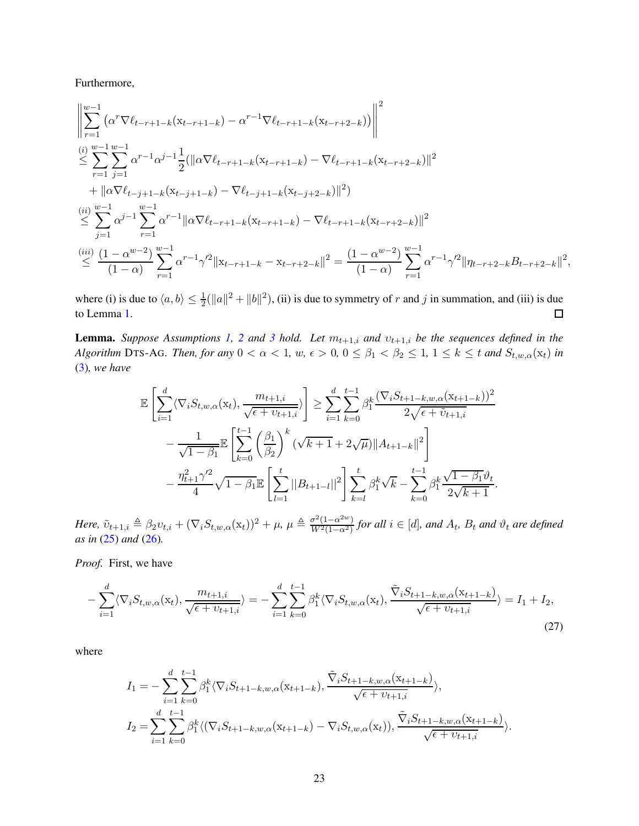Furthermore,

$$
\left\| \sum_{r=1}^{w-1} \left( \alpha^r \nabla \ell_{t-r+1-k} (\mathbf{x}_{t-r+1-k}) - \alpha^{r-1} \nabla \ell_{t-r+1-k} (\mathbf{x}_{t-r+2-k}) \right) \right\|^2
$$
\n
$$
\leq \sum_{r=1}^{(i)} \sum_{j=1}^{w-1} \alpha^{r-1} \alpha^{j-1} \frac{1}{2} (\|\alpha \nabla \ell_{t-r+1-k} (\mathbf{x}_{t-r+1-k}) - \nabla \ell_{t-r+1-k} (\mathbf{x}_{t-r+2-k})\|^2 + \|\alpha \nabla \ell_{t-j+1-k} (\mathbf{x}_{t-j+1-k}) - \nabla \ell_{t-j+1-k} (\mathbf{x}_{t-j+2-k})\|^2)
$$
\n
$$
\stackrel{(ii)}{\leq} \sum_{j=1}^{w-1} \alpha^{j-1} \sum_{r=1}^{w-1} \alpha^{r-1} \|\alpha \nabla \ell_{t-r+1-k} (\mathbf{x}_{t-r+1-k}) - \nabla \ell_{t-r+1-k} (\mathbf{x}_{t-r+2-k})\|^2
$$
\n
$$
\stackrel{(iii)}{\leq} \frac{(1 - \alpha^{w-2})}{(1 - \alpha)} \sum_{r=1}^{w-1} \alpha^{r-1} \gamma'^2 \|\mathbf{x}_{t-r+1-k} - \mathbf{x}_{t-r+2-k}\|^2 = \frac{(1 - \alpha^{w-2})}{(1 - \alpha)} \sum_{r=1}^{w-1} \alpha^{r-1} \gamma'^2 \|\eta_{t-r+2-k}\|^2,
$$

where (i) is due to  $\langle a, b \rangle \le \frac{1}{2}(\|a\|^2 + \|b\|^2)$ , (ii) is due to symmetry of r and j in summation, and (iii) is due to Lemma [1.](#page-6-3)  $\Box$ 

**Lemma.** *Suppose Assumptions* [1,](#page-5-1) [2](#page-5-2) *and* [3](#page-6-1) *hold.* Let  $m_{t+1,i}$  *and*  $v_{t+1,i}$  *be the sequences defined in the Algorithm* DTS-AG*. Then, for any*  $0 < \alpha < 1$ *, w,*  $\epsilon > 0$ ,  $0 \le \beta_1 < \beta_2 \le 1$ ,  $1 \le k \le t$  *and*  $S_{t,w,\alpha}(x_t)$  *in* [\(3\)](#page-6-2)*, we have*

$$
\mathbb{E}\left[\sum_{i=1}^{d}\langle\nabla_{i}S_{t,w,\alpha}(\mathbf{x}_{t}),\frac{m_{t+1,i}}{\sqrt{\epsilon+v_{t+1,i}}}\rangle\right] \geq \sum_{i=1}^{d}\sum_{k=0}^{t-1}\beta_{1}^{k}\frac{(\nabla_{i}S_{t+1-k,w,\alpha}(\mathbf{x}_{t+1-k}))^{2}}{2\sqrt{\epsilon+\tilde{v}_{t+1,i}}}
$$

$$
-\frac{1}{\sqrt{1-\beta_{1}}}\mathbb{E}\left[\sum_{k=0}^{t-1}\left(\frac{\beta_{1}}{\beta_{2}}\right)^{k}(\sqrt{k+1}+2\sqrt{\mu})\|A_{t+1-k}\|^{2}\right]
$$

$$
-\frac{\eta_{t+1}^{2}\gamma'^{2}}{4}\sqrt{1-\beta_{1}}\mathbb{E}\left[\sum_{l=1}^{t}\|B_{t+1-l}\|^{2}\right]\sum_{k=l}^{t}\beta_{1}^{k}\sqrt{k}-\sum_{k=0}^{t-1}\beta_{1}^{k}\frac{\sqrt{1-\beta_{1}}\vartheta_{t}}{2\sqrt{k+1}}.
$$

*Here,*  $\tilde{v}_{t+1,i} \triangleq \beta_2 v_{t,i} + (\nabla_i S_{t,w,\alpha}(\mathbf{x}_t))^2 + \mu$ ,  $\mu \triangleq \frac{\sigma^2 (1-\alpha^{2w})}{W^2 (1-\alpha^2)}$  $\frac{\partial^2 (1-\alpha^2)}{W^2(1-\alpha^2)}$  for all  $i \in [d]$ , and  $A_t$ ,  $B_t$  and  $\vartheta_t$  are defined *as in* [\(25\)](#page-21-0) *and* [\(26\)](#page-21-1)*.*

*Proof.* First, we have

$$
-\sum_{i=1}^{d} \langle \nabla_i S_{t,w,\alpha}(\mathbf{x}_t), \frac{m_{t+1,i}}{\sqrt{\epsilon + v_{t+1,i}}} \rangle = -\sum_{i=1}^{d} \sum_{k=0}^{t-1} \beta_1^k \langle \nabla_i S_{t,w,\alpha}(\mathbf{x}_t), \frac{\tilde{\nabla}_i S_{t+1-k,w,\alpha}(\mathbf{x}_{t+1-k})}{\sqrt{\epsilon + v_{t+1,i}}} \rangle = I_1 + I_2,
$$
\n(27)

where

<span id="page-22-0"></span>
$$
I_{1} = -\sum_{i=1}^{d} \sum_{k=0}^{t-1} \beta_{1}^{k} \langle \nabla_{i} S_{t+1-k,w,\alpha}(x_{t+1-k}), \frac{\tilde{\nabla}_{i} S_{t+1-k,w,\alpha}(x_{t+1-k})}{\sqrt{\epsilon + \nu_{t+1,i}}} \rangle,
$$
  
\n
$$
I_{2} = \sum_{i=1}^{d} \sum_{k=0}^{t-1} \beta_{1}^{k} \langle (\nabla_{i} S_{t+1-k,w,\alpha}(x_{t+1-k}) - \nabla_{i} S_{t,w,\alpha}(x_{t})), \frac{\tilde{\nabla}_{i} S_{t+1-k,w,\alpha}(x_{t+1-k})}{\sqrt{\epsilon + \nu_{t+1,i}}} \rangle.
$$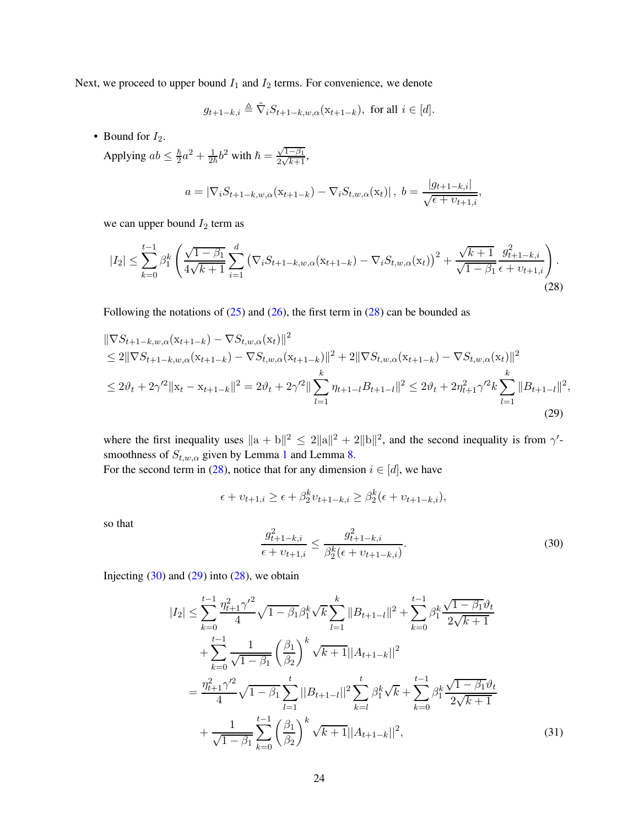Next, we proceed to upper bound  $I_1$  and  $I_2$  terms. For convenience, we denote

$$
g_{t+1-k,i} \triangleq \tilde{\nabla}_i S_{t+1-k,w,\alpha}(\mathbf{x}_{t+1-k}), \text{ for all } i \in [d].
$$

• Bound for  $I_2$ .

Applying  $ab \leq \frac{\hbar}{2}$  $\frac{\hbar}{2}a^2 + \frac{1}{2\hbar}b^2$  with  $\hbar = \frac{\sqrt{1-\beta_1}}{2\sqrt{k+1}}$ ,

<span id="page-23-0"></span>
$$
a = |\nabla_i S_{t+1-k,w,\alpha}(\mathbf{x}_{t+1-k}) - \nabla_i S_{t,w,\alpha}(\mathbf{x}_t)|, b = \frac{|g_{t+1-k,i}|}{\sqrt{\epsilon + v_{t+1,i}}},
$$

we can upper bound  $I_2$  term as

$$
|I_2| \leq \sum_{k=0}^{t-1} \beta_1^k \left( \frac{\sqrt{1-\beta_1}}{4\sqrt{k+1}} \sum_{i=1}^d \left( \nabla_i S_{t+1-k,w,\alpha}(x_{t+1-k}) - \nabla_i S_{t,w,\alpha}(x_t) \right)^2 + \frac{\sqrt{k+1}}{\sqrt{1-\beta_1}} \frac{g_{t+1-k,i}^2}{\epsilon + v_{t+1,i}} \right). \tag{28}
$$

Following the notations of  $(25)$  and  $(26)$ , the first term in  $(28)$  can be bounded as

$$
\|\nabla S_{t+1-k,w,\alpha}(\mathbf{x}_{t+1-k}) - \nabla S_{t,w,\alpha}(\mathbf{x}_t)\|^2
$$
  
\n
$$
\leq 2\|\nabla S_{t+1-k,w,\alpha}(\mathbf{x}_{t+1-k}) - \nabla S_{t,w,\alpha}(\mathbf{x}_{t+1-k})\|^2 + 2\|\nabla S_{t,w,\alpha}(\mathbf{x}_{t+1-k}) - \nabla S_{t,w,\alpha}(\mathbf{x}_t)\|^2
$$
  
\n
$$
\leq 2\vartheta_t + 2\gamma'^2 \|\mathbf{x}_t - \mathbf{x}_{t+1-k}\|^2 = 2\vartheta_t + 2\gamma'^2 \|\sum_{l=1}^k \eta_{t+1-l} B_{t+1-l}\|^2 \leq 2\vartheta_t + 2\eta_{t+1}^2\gamma'^2 k \sum_{l=1}^k \|B_{t+1-l}\|^2,
$$
\n(29)

where the first inequality uses  $\|a + b\|^2 \leq 2\|a\|^2 + 2\|b\|^2$ , and the second inequality is from  $\gamma'$ smoothness of  $S_{t,w,\alpha}$  given by Lemma [1](#page-6-3) and Lemma [8.](#page-21-2)

For the second term in [\(28\)](#page-23-0), notice that for any dimension  $i \in [d]$ , we have

$$
\epsilon + v_{t+1,i} \ge \epsilon + \beta_2^k v_{t+1-k,i} \ge \beta_2^k (\epsilon + v_{t+1-k,i}),
$$

so that

<span id="page-23-3"></span><span id="page-23-2"></span><span id="page-23-1"></span>
$$
\frac{g_{t+1-k,i}^2}{\epsilon + v_{t+1,i}} \le \frac{g_{t+1-k,i}^2}{\beta_2^k(\epsilon + v_{t+1-k,i})}.
$$
\n(30)

Injecting  $(30)$  and  $(29)$  into  $(28)$ , we obtain

$$
|I_{2}| \leq \sum_{k=0}^{t-1} \frac{\eta_{t+1}^{2} \gamma^{2}}{4} \sqrt{1 - \beta_{1}} \beta_{1}^{k} \sqrt{k} \sum_{l=1}^{k} ||B_{t+1-l}||^{2} + \sum_{k=0}^{t-1} \beta_{1}^{k} \frac{\sqrt{1 - \beta_{1}} \vartheta_{t}}{2\sqrt{k+1}} + \sum_{k=0}^{t-1} \frac{1}{\sqrt{1 - \beta_{1}}} \left(\frac{\beta_{1}}{\beta_{2}}\right)^{k} \sqrt{k+1} ||A_{t+1-k}||^{2} = \frac{\eta_{t+1}^{2} \gamma^{2}}{4} \sqrt{1 - \beta_{1}} \sum_{l=1}^{t} ||B_{t+1-l}||^{2} \sum_{k=l}^{t} \beta_{1}^{k} \sqrt{k} + \sum_{k=0}^{t-1} \beta_{1}^{k} \frac{\sqrt{1 - \beta_{1}} \vartheta_{t}}{2\sqrt{k+1}} + \frac{1}{\sqrt{1 - \beta_{1}}} \sum_{k=0}^{t-1} \left(\frac{\beta_{1}}{\beta_{2}}\right)^{k} \sqrt{k+1} ||A_{t+1-k}||^{2},
$$
(31)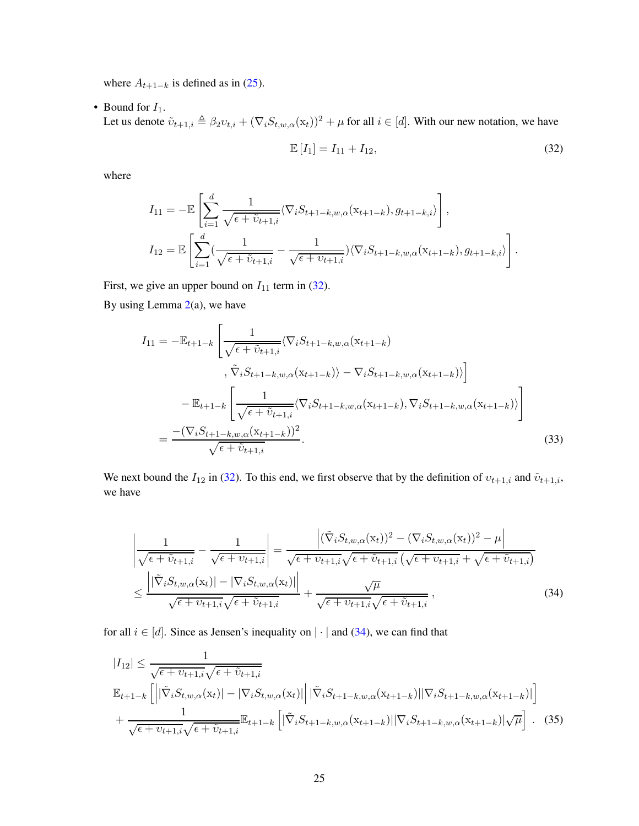where  $A_{t+1-k}$  is defined as in [\(25\)](#page-21-0).

• Bound for  $I_1$ .

Let us denote  $\tilde{v}_{t+1,i} \triangleq \beta_2 v_{t,i} + (\nabla_i S_{t,w,\alpha}(\mathbf{x}_t))^2 + \mu$  for all  $i \in [d]$ . With our new notation, we have

<span id="page-24-3"></span><span id="page-24-0"></span>
$$
\mathbb{E}\left[I_1\right] = I_{11} + I_{12},\tag{32}
$$

where

$$
I_{11} = -\mathbb{E}\left[\sum_{i=1}^{d} \frac{1}{\sqrt{\epsilon + \tilde{v}_{t+1,i}}}\langle \nabla_{i}S_{t+1-k,w,\alpha}(x_{t+1-k}), g_{t+1-k,i}\rangle\right],
$$
  
\n
$$
I_{12} = \mathbb{E}\left[\sum_{i=1}^{d} (\frac{1}{\sqrt{\epsilon + \tilde{v}_{t+1,i}}}-\frac{1}{\sqrt{\epsilon + \tilde{v}_{t+1,i}}})\langle \nabla_{i}S_{t+1-k,w,\alpha}(x_{t+1-k}), g_{t+1-k,i}\rangle\right].
$$

First, we give an upper bound on  $I_{11}$  term in [\(32\)](#page-24-0).

By using Lemma  $2(a)$  $2(a)$ , we have

$$
I_{11} = -\mathbb{E}_{t+1-k} \left[ \frac{1}{\sqrt{\epsilon + \tilde{v}_{t+1,i}}} \langle \nabla_i S_{t+1-k,w,\alpha} (x_{t+1-k}) \rangle \right. \left. , \tilde{\nabla}_i S_{t+1-k,w,\alpha} (x_{t+1-k}) \rangle - \nabla_i S_{t+1-k,w,\alpha} (x_{t+1-k}) \rangle \right] \n- \mathbb{E}_{t+1-k} \left[ \frac{1}{\sqrt{\epsilon + \tilde{v}_{t+1,i}}} \langle \nabla_i S_{t+1-k,w,\alpha} (x_{t+1-k}), \nabla_i S_{t+1-k,w,\alpha} (x_{t+1-k}) \rangle \right] \n= \frac{- (\nabla_i S_{t+1-k,w,\alpha} (x_{t+1-k}))^2}{\sqrt{\epsilon + \tilde{v}_{t+1,i}}}.
$$
\n(33)

We next bound the  $I_{12}$  in [\(32\)](#page-24-0). To this end, we first observe that by the definition of  $v_{t+1,i}$  and  $\tilde{v}_{t+1,i}$ , we have

<span id="page-24-1"></span>
$$
\left| \frac{1}{\sqrt{\epsilon + \tilde{v}_{t+1,i}}} - \frac{1}{\sqrt{\epsilon + v_{t+1,i}}} \right| = \frac{\left| (\tilde{\nabla}_i S_{t,w,\alpha}(\mathbf{x}_t))^2 - (\nabla_i S_{t,w,\alpha}(\mathbf{x}_t))^2 - \mu \right|}{\sqrt{\epsilon + v_{t+1,i}} \sqrt{\epsilon + v_{t+1,i}} \sqrt{\epsilon + v_{t+1,i}} + \sqrt{\epsilon + v_{t+1,i}}}
$$
\n
$$
\leq \frac{\left| |\tilde{\nabla}_i S_{t,w,\alpha}(\mathbf{x}_t)| - |\nabla_i S_{t,w,\alpha}(\mathbf{x}_t)| \right|}{\sqrt{\epsilon + v_{t+1,i}} \sqrt{\epsilon + \tilde{v}_{t+1,i}}} + \frac{\sqrt{\mu}}{\sqrt{\epsilon + v_{t+1,i}} \sqrt{\epsilon + \tilde{v}_{t+1,i}}},
$$
\n(34)

for all  $i \in [d]$ . Since as Jensen's inequality on  $|\cdot|$  and [\(34\)](#page-24-1), we can find that

<span id="page-24-2"></span>
$$
|I_{12}| \leq \frac{1}{\sqrt{\epsilon + v_{t+1,i}}\sqrt{\epsilon + \tilde{v}_{t+1,i}}}
$$
  

$$
\mathbb{E}_{t+1-k} \left[ \left| |\tilde{\nabla}_i S_{t,w,\alpha}(\mathbf{x}_t)| - |\nabla_i S_{t,w,\alpha}(\mathbf{x}_t)| \right| |\tilde{\nabla}_i S_{t+1-k,w,\alpha}(\mathbf{x}_{t+1-k})| |\nabla_i S_{t+1-k,w,\alpha}(\mathbf{x}_{t+1-k})| \right]
$$
  

$$
+ \frac{1}{\sqrt{\epsilon + v_{t+1,i}}\sqrt{\epsilon + \tilde{v}_{t+1,i}}} \mathbb{E}_{t+1-k} \left[ |\tilde{\nabla}_i S_{t+1-k,w,\alpha}(\mathbf{x}_{t+1-k})| |\nabla_i S_{t+1-k,w,\alpha}(\mathbf{x}_{t+1-k})| \sqrt{\mu} \right]. \quad (35)
$$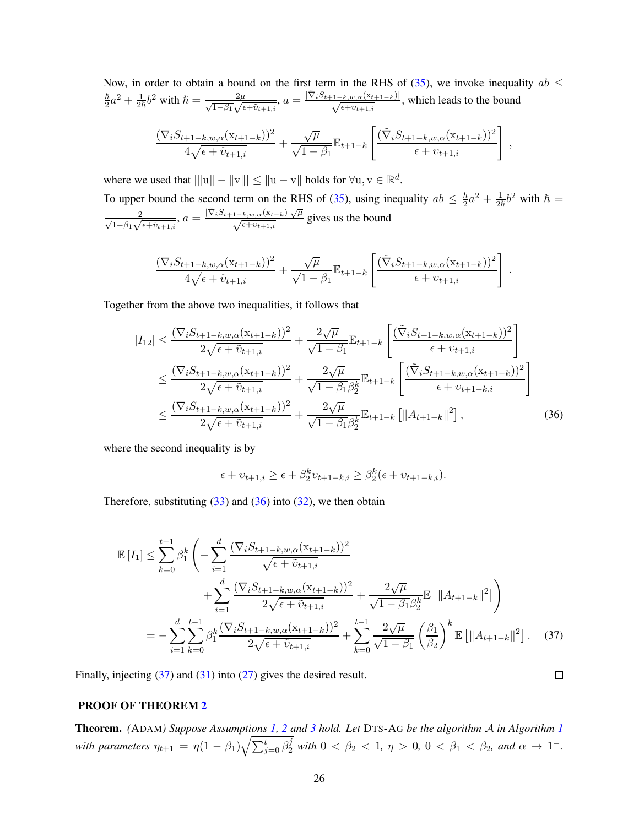Now, in order to obtain a bound on the first term in the RHS of [\(35\)](#page-24-2), we invoke inequality  $ab \leq \frac{\hbar^2}{2} + \frac{1}{2} \frac{1}{2}$  with  $\frac{k}{2}$  $\frac{\hbar}{2}a^2 + \frac{1}{2\hbar}b^2$  with  $\hbar = \frac{2\mu}{\sqrt{1-\beta_1}\sqrt{\epsilon+\tilde{v}_{t+1,i}}}, a = \frac{|\tilde{\nabla}_i S_{t+1-k,w,\alpha}(x_{t+1-k})|}{\sqrt{\epsilon+v_{t+1,i}}},$  which leads to the bound  $(\nabla_i S_{t+1-k,w,\alpha}(\mathbf{x}_{t+1-k}))^2$  $4\sqrt{\epsilon+\tilde{v}_{t+1,i}}$  $+$  $\sqrt{\mu}$  $\frac{\sqrt{\mu}}{\sqrt{1-\beta_1}}\mathbb{E}_{t+1-k}$  $\left\lceil \frac{(\tilde{\nabla}_i S_{t+1-k,w,\alpha}(\mathbf{x}_{t+1-k}))^2}{\epsilon + v_{t+1,i}} \right\rceil$ ,

where we used that  $|||u|| - ||v||| \le ||u - v||$  holds for  $\forall u, v \in \mathbb{R}^d$ .

To upper bound the second term on the RHS of [\(35\)](#page-24-2), using inequality  $ab \leq \frac{\hbar}{2}$  $\frac{\hbar}{2}a^2 + \frac{1}{2\hbar}b^2$  with  $\hbar =$  $\frac{2}{\sqrt{1-\beta_1}\sqrt{\epsilon+\tilde{v}_{t+1,i}}}, a = \frac{|\tilde{\nabla}_i S_{t+1-k,w,\alpha}(\mathbf{x}_{t-k})|\sqrt{\mu}}{\sqrt{\epsilon+v_{t+1,i}}}$  $\frac{1-k,w,\alpha(\lambda t-k)/\sqrt{\mu}}{\sqrt{\epsilon+v_{t+1,i}}}$  gives us the bound

$$
\frac{(\nabla_i S_{t+1-k,w,\alpha}(x_{t+1-k}))^2}{4\sqrt{\epsilon + \tilde{v}_{t+1,i}}} + \frac{\sqrt{\mu}}{\sqrt{1-\beta_1}} \mathbb{E}_{t+1-k} \left[ \frac{(\tilde{\nabla}_i S_{t+1-k,w,\alpha}(x_{t+1-k}))^2}{\epsilon + v_{t+1,i}} \right].
$$

Together from the above two inequalities, it follows that

$$
|I_{12}| \leq \frac{(\nabla_i S_{t+1-k,w,\alpha}(x_{t+1-k}))^2}{2\sqrt{\epsilon + \tilde{v}_{t+1,i}}} + \frac{2\sqrt{\mu}}{\sqrt{1 - \beta_1}} \mathbb{E}_{t+1-k} \left[ \frac{(\tilde{\nabla}_i S_{t+1-k,w,\alpha}(x_{t+1-k}))^2}{\epsilon + v_{t+1,i}} \right]
$$
  

$$
\leq \frac{(\nabla_i S_{t+1-k,w,\alpha}(x_{t+1-k}))^2}{2\sqrt{\epsilon + \tilde{v}_{t+1,i}}} + \frac{2\sqrt{\mu}}{\sqrt{1 - \beta_1 \beta_2^k}} \mathbb{E}_{t+1-k} \left[ \frac{(\tilde{\nabla}_i S_{t+1-k,w,\alpha}(x_{t+1-k}))^2}{\epsilon + v_{t+1-k,i}} \right]
$$
  

$$
\leq \frac{(\nabla_i S_{t+1-k,w,\alpha}(x_{t+1-k}))^2}{2\sqrt{\epsilon + \tilde{v}_{t+1,i}}} + \frac{2\sqrt{\mu}}{\sqrt{1 - \beta_1 \beta_2^k}} \mathbb{E}_{t+1-k} \left[ \|A_{t+1-k}\|^2 \right],
$$
(36)

where the second inequality is by

$$
\epsilon + v_{t+1,i} \ge \epsilon + \beta_2^k v_{t+1-k,i} \ge \beta_2^k (\epsilon + v_{t+1-k,i}).
$$

Therefore, substituting  $(33)$  and  $(36)$  into  $(32)$ , we then obtain

$$
\mathbb{E}\left[I_{1}\right] \leq \sum_{k=0}^{t-1} \beta_{1}^{k} \left( -\sum_{i=1}^{d} \frac{(\nabla_{i} S_{t+1-k,w,\alpha}(x_{t+1-k}))^{2}}{\sqrt{\epsilon + \tilde{v}_{t+1,i}}} + \sum_{i=1}^{d} \frac{(\nabla_{i} S_{t+1-k,w,\alpha}(x_{t+1-k}))^{2}}{2\sqrt{\epsilon + \tilde{v}_{t+1,i}}} + \frac{2\sqrt{\mu}}{\sqrt{1 - \beta_{1}}\beta_{2}^{k}} \mathbb{E}\left[\|A_{t+1-k}\|^{2}\right] \right)
$$
\n
$$
= -\sum_{i=1}^{d} \sum_{k=0}^{t-1} \beta_{1}^{k} \frac{(\nabla_{i} S_{t+1-k,w,\alpha}(x_{t+1-k}))^{2}}{2\sqrt{\epsilon + \tilde{v}_{t+1,i}}} + \sum_{k=0}^{t-1} \frac{2\sqrt{\mu}}{\sqrt{1 - \beta_{1}}} \left(\frac{\beta_{1}}{\beta_{2}}\right)^{k} \mathbb{E}\left[\|A_{t+1-k}\|^{2}\right]. \quad (37)
$$

<span id="page-25-1"></span><span id="page-25-0"></span> $\Box$ 

Finally, injecting [\(37\)](#page-25-1) and [\(31\)](#page-23-3) into [\(27\)](#page-22-0) gives the desired result.

# PROOF OF THEOREM [2](#page-8-0)

Theorem. *(*ADAM*) Suppose Assumptions [1,](#page-5-1) [2](#page-5-2) and [3](#page-6-1) hold. Let* DTS-A<sup>G</sup> *be the algorithm* A *in Algorithm [1](#page-3-0) with parameters*  $\eta_{t+1} = \eta (1 - \beta_1) \sqrt{\sum_{j=0}^t \beta_2^j}$  *with*  $0 < \beta_2 < 1$ ,  $\eta > 0$ ,  $0 < \beta_1 < \beta_2$ , and  $\alpha \to 1^{-}$ .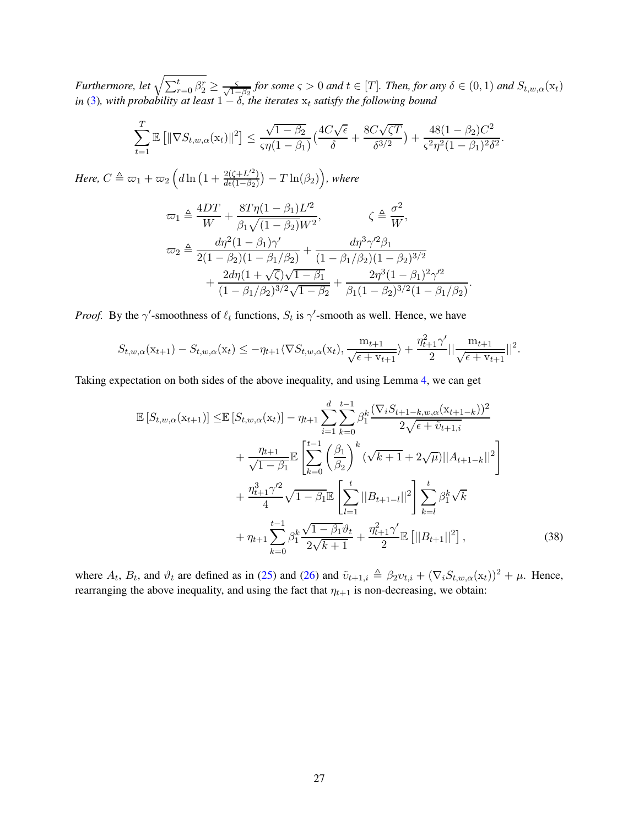*Furthermore, let*  $\sqrt{\sum_{r=0}^{t} \beta_r^r} \ge \frac{c}{\sqrt{1-\beta_2}}$  *for some*  $\varsigma > 0$  *and*  $t \in [T]$ *. Then, for any*  $\delta \in (0,1)$  *and*  $S_{t,w,\alpha}(\mathbf{x}_t)$ *in* [\(3\)](#page-6-2), with probability at least  $1 - \delta$ , the iterates  $x_t$  satisfy the following bound

$$
\sum_{t=1}^{T} \mathbb{E}\left[\|\nabla S_{t,w,\alpha}(\mathbf{x}_t)\|^2\right] \le \frac{\sqrt{1-\beta_2}}{\varsigma \eta (1-\beta_1)} \left(\frac{4C\sqrt{\epsilon}}{\delta} + \frac{8C\sqrt{\zeta T}}{\delta^{3/2}}\right) + \frac{48(1-\beta_2)C^2}{\varsigma^2 \eta^2 (1-\beta_1)^2 \delta^2}
$$

.

.

*Here,*  $C \triangleq \varpi_1 + \varpi_2 \left( d \ln \left( 1 + \frac{2(\zeta + L'^2)}{d\epsilon(1 - \beta_2)} \right) \right)$  $\frac{2(\zeta+L^{\prime 2})}{d\epsilon(1-\beta_2)}\big) - T\ln(\beta_2)\Big)$ , where

$$
\varpi_1 \triangleq \frac{4DT}{W} + \frac{8T\eta(1-\beta_1)L'^2}{\beta_1\sqrt{(1-\beta_2)W^2}}, \qquad \zeta \triangleq \frac{\sigma^2}{W},
$$
  

$$
\varpi_2 \triangleq \frac{d\eta^2(1-\beta_1)\gamma'}{2(1-\beta_2)(1-\beta_1/\beta_2)} + \frac{d\eta^3\gamma'^2\beta_1}{(1-\beta_1/\beta_2)(1-\beta_2)^{3/2}} + \frac{2d\eta(1+\sqrt{\zeta})\sqrt{1-\beta_1}}{(1-\beta_1/\beta_2)^{3/2}\sqrt{1-\beta_2}} + \frac{2\eta^3(1-\beta_1)^2\gamma'^2}{\beta_1(1-\beta_2)^{3/2}(1-\beta_1/\beta_2)}
$$

*Proof.* By the  $\gamma'$ -smoothness of  $\ell_t$  functions,  $S_t$  is  $\gamma'$ -smooth as well. Hence, we have

$$
S_{t,w,\alpha}(\mathbf{x}_{t+1}) - S_{t,w,\alpha}(\mathbf{x}_t) \le -\eta_{t+1} \langle \nabla S_{t,w,\alpha}(\mathbf{x}_t), \frac{\mathbf{m}_{t+1}}{\sqrt{\epsilon + \mathbf{v}_{t+1}}} \rangle + \frac{\eta_{t+1}^2 \gamma'}{2} || \frac{\mathbf{m}_{t+1}}{\sqrt{\epsilon + \mathbf{v}_{t+1}}} ||^2.
$$

Taking expectation on both sides of the above inequality, and using Lemma [4,](#page-8-1) we can get

$$
\mathbb{E}\left[S_{t,w,\alpha}(\mathbf{x}_{t+1})\right] \leq \mathbb{E}\left[S_{t,w,\alpha}(\mathbf{x}_{t})\right] - \eta_{t+1} \sum_{i=1}^{d} \sum_{k=0}^{t-1} \beta_{1}^{k} \frac{(\nabla_{i} S_{t+1-k,w,\alpha}(\mathbf{x}_{t+1-k}))^{2}}{2\sqrt{\epsilon + \tilde{v}_{t+1,i}}}
$$
\n
$$
+ \frac{\eta_{t+1}}{\sqrt{1-\beta_{1}}} \mathbb{E}\left[\sum_{k=0}^{t-1} \left(\frac{\beta_{1}}{\beta_{2}}\right)^{k} (\sqrt{k+1} + 2\sqrt{\mu})||A_{t+1-k}||^{2}\right]
$$
\n
$$
+ \frac{\eta_{t+1}^{3} \gamma'^{2}}{4} \sqrt{1-\beta_{1}} \mathbb{E}\left[\sum_{l=1}^{t} ||B_{t+1-l}||^{2}\right] \sum_{k=l}^{t} \beta_{1}^{k} \sqrt{k}
$$
\n
$$
+ \eta_{t+1} \sum_{k=0}^{t-1} \beta_{1}^{k} \frac{\sqrt{1-\beta_{1}}\vartheta_{t}}{2\sqrt{k+1}} + \frac{\eta_{t+1}^{2} \gamma'}{2} \mathbb{E}\left[||B_{t+1}||^{2}\right], \tag{38}
$$

where  $A_t$ ,  $B_t$ , and  $\vartheta_t$  are defined as in [\(25\)](#page-21-0) and [\(26\)](#page-21-1) and  $\tilde{\upsilon}_{t+1,i} \triangleq \beta_2 \upsilon_{t,i} + (\nabla_i S_{t,w,\alpha}(\mathbf{x}_t))^2 + \mu$ . Hence, rearranging the above inequality, and using the fact that  $\eta_{t+1}$  is non-decreasing, we obtain: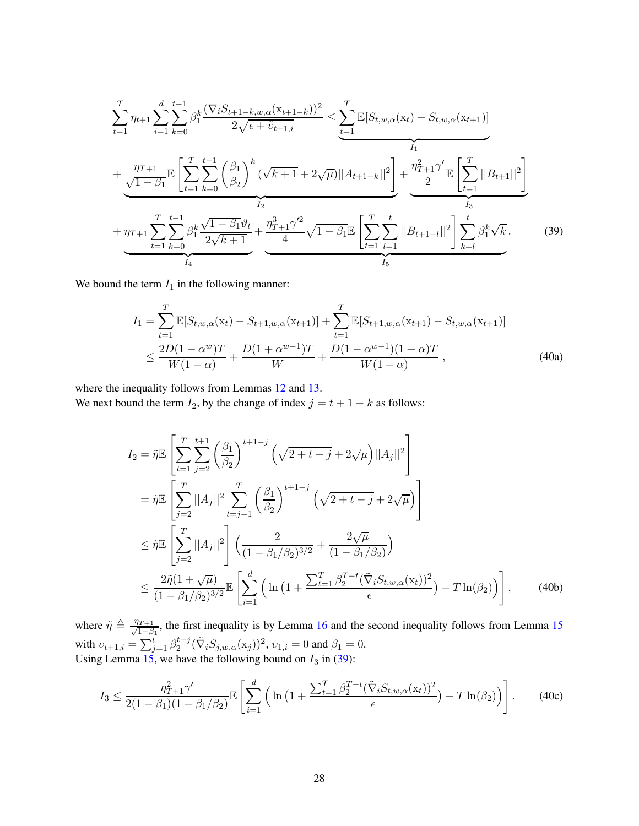$$
\sum_{t=1}^{T} \eta_{t+1} \sum_{i=1}^{d} \sum_{k=0}^{t-1} \beta_{1}^{k} \frac{(\nabla_{i} S_{t+1-k,w,\alpha}(x_{t+1-k}))^{2}}{2\sqrt{\epsilon + \tilde{v}_{t+1,i}}} \leq \underbrace{\sum_{t=1}^{T} \mathbb{E}[S_{t,w,\alpha}(x_{t}) - S_{t,w,\alpha}(x_{t+1})]}_{I_{1}} + \underbrace{\frac{\eta_{T+1}}{\sqrt{1-\beta_{1}}}\mathbb{E}\left[\sum_{t=1}^{T} \sum_{k=0}^{t-1} \left(\frac{\beta_{1}}{\beta_{2}}\right)^{k} (\sqrt{k+1} + 2\sqrt{\mu})||A_{t+1-k}||^{2}\right]}_{I_{2}} + \underbrace{\frac{\eta_{T+1}^{2}\gamma'}{2}\mathbb{E}\left[\sum_{t=1}^{T}||B_{t+1}||^{2}\right]}_{I_{3}} + \underbrace{\eta_{T+1}^{2}\sum_{t=1}^{t-1} \sum_{k=0}^{T} \beta_{1}^{k} \frac{\sqrt{1-\beta_{1}}\vartheta_{t}}{2\sqrt{k+1}}}_{I_{4}} + \underbrace{\frac{\eta_{T+1}^{3}\gamma'^{2}}{4}\sqrt{1-\beta_{1}}\mathbb{E}\left[\sum_{t=1}^{T} \sum_{l=1}^{t}||B_{t+1-l}||^{2}\right] \sum_{k=l}^{t} \beta_{1}^{k}\sqrt{k}}_{I_{5}}.
$$
\n(39)

We bound the term  $I_1$  in the following manner:

<span id="page-27-1"></span><span id="page-27-0"></span>
$$
I_{1} = \sum_{t=1}^{T} \mathbb{E}[S_{t,w,\alpha}(\mathbf{x}_{t}) - S_{t+1,w,\alpha}(\mathbf{x}_{t+1})] + \sum_{t=1}^{T} \mathbb{E}[S_{t+1,w,\alpha}(\mathbf{x}_{t+1}) - S_{t,w,\alpha}(\mathbf{x}_{t+1})]
$$
  
 
$$
\leq \frac{2D(1-\alpha^{w})T}{W(1-\alpha)} + \frac{D(1+\alpha^{w-1})T}{W} + \frac{D(1-\alpha^{w-1})(1+\alpha)T}{W(1-\alpha)}, \qquad (40a)
$$

where the inequality follows from Lemmas [12](#page-49-0) and [13.](#page-50-1)

We next bound the term  $I_2$ , by the change of index  $j = t + 1 - k$  as follows:

$$
I_{2} = \tilde{\eta} \mathbb{E} \left[ \sum_{t=1}^{T} \sum_{j=2}^{t+1} \left( \frac{\beta_{1}}{\beta_{2}} \right)^{t+1-j} \left( \sqrt{2+t-j} + 2\sqrt{\mu} \right) ||A_{j}||^{2} \right]
$$
  
\n
$$
= \tilde{\eta} \mathbb{E} \left[ \sum_{j=2}^{T} ||A_{j}||^{2} \sum_{t=j-1}^{T} \left( \frac{\beta_{1}}{\beta_{2}} \right)^{t+1-j} \left( \sqrt{2+t-j} + 2\sqrt{\mu} \right) \right]
$$
  
\n
$$
\leq \tilde{\eta} \mathbb{E} \left[ \sum_{j=2}^{T} ||A_{j}||^{2} \right] \left( \frac{2}{(1-\beta_{1}/\beta_{2})^{3/2}} + \frac{2\sqrt{\mu}}{(1-\beta_{1}/\beta_{2})} \right)
$$
  
\n
$$
\leq \frac{2\tilde{\eta}(1+\sqrt{\mu})}{(1-\beta_{1}/\beta_{2})^{3/2}} \mathbb{E} \left[ \sum_{i=1}^{d} \left( \ln \left( 1 + \frac{\sum_{t=1}^{T} \beta_{2}^{T-t} (\tilde{\nabla}_{i} S_{t,w,\alpha}(x_{t}))^{2}}{\epsilon} \right) - T \ln(\beta_{2}) \right) \right], \qquad (40b)
$$

where  $\tilde{\eta} \triangleq \frac{\eta_{T+1}}{\sqrt{1-\beta}}$  $\frac{1}{1-\beta_1}$ , the first inequality is by Lemma [16](#page-50-2) and the second inequality follows from Lemma [15](#page-50-3) with  $v_{t+1,i} = \sum_{j=1}^{t} \beta_2^{t-j} (\tilde{\nabla}_i S_{j,w,\alpha}(\mathbf{x}_j))^2$ ,  $v_{1,i} = 0$  and  $\beta_1 = 0$ . Using Lemma [15,](#page-50-3) we have the following bound on  $I_3$  in [\(39\)](#page-27-0):

$$
I_3 \le \frac{\eta_{T+1}^2 \gamma'}{2(1-\beta_1)(1-\beta_1/\beta_2)} \mathbb{E}\left[\sum_{i=1}^d \left(\ln\left(1+\frac{\sum_{t=1}^T \beta_2^{T-t} (\tilde{\nabla}_i S_{t,w,\alpha}(\mathbf{x}_t))^2}{\epsilon}\right) - T \ln(\beta_2)\right)\right].
$$
 (40c)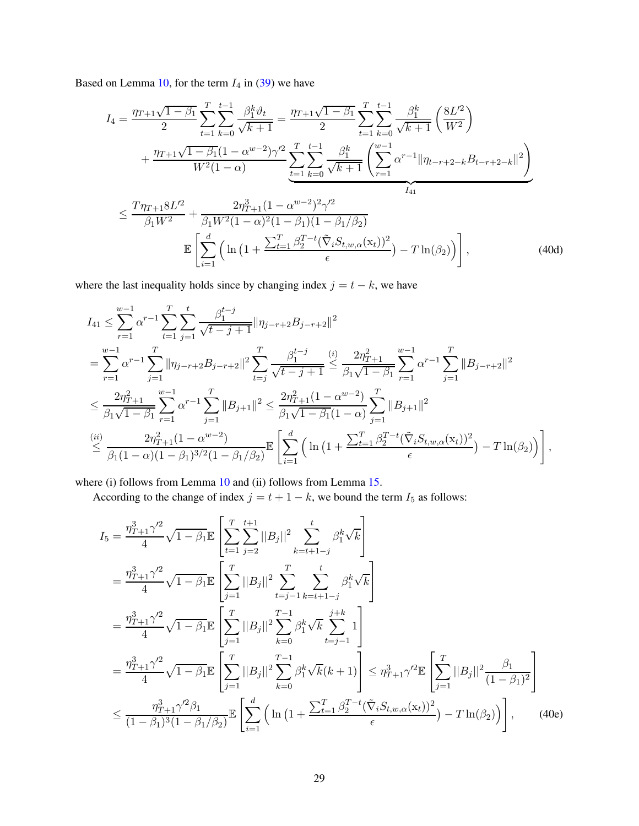Based on Lemma [10,](#page-49-2) for the term  $I_4$  in [\(39\)](#page-27-0) we have

$$
I_{4} = \frac{\eta_{T+1}\sqrt{1-\beta_{1}}}{2} \sum_{t=1}^{T} \sum_{k=0}^{t-1} \frac{\beta_{1}^{k}\vartheta_{t}}{\sqrt{k+1}} = \frac{\eta_{T+1}\sqrt{1-\beta_{1}}}{2} \sum_{t=1}^{T} \sum_{k=0}^{t-1} \frac{\beta_{1}^{k}}{\sqrt{k+1}} \left(\frac{8L'^{2}}{W^{2}}\right)
$$
  
+ 
$$
\frac{\eta_{T+1}\sqrt{1-\beta_{1}}(1-\alpha^{w-2})\gamma'^{2}}{W^{2}(1-\alpha)} \sum_{t=1}^{T} \sum_{k=0}^{t-1} \frac{\beta_{1}^{k}}{\sqrt{k+1}} \left(\sum_{r=1}^{w-1} \alpha^{r-1} \|\eta_{t-r+2-k}B_{t-r+2-k}\|^{2}\right)
$$
  

$$
\leq \frac{T\eta_{T+1}8L'^{2}}{\beta_{1}W^{2}} + \frac{2\eta_{T+1}^{3}(1-\alpha^{w-2})^{2}\gamma'^{2}}{\beta_{1}W^{2}(1-\alpha)^{2}(1-\beta_{1})(1-\beta_{1}/\beta_{2})}
$$
  

$$
\mathbb{E}\left[\sum_{i=1}^{d} \left(\ln\left(1+\frac{\sum_{t=1}^{T} \beta_{2}^{T-t}(\tilde{\nabla}_{i}S_{t,w,\alpha}(x_{t}))^{2}}{\epsilon}\right) - T\ln(\beta_{2})\right)\right],
$$
(40d)

where the last inequality holds since by changing index  $j = t - k$ , we have

$$
I_{41} \leq \sum_{r=1}^{w-1} \alpha^{r-1} \sum_{t=1}^{T} \sum_{j=1}^{t} \frac{\beta_1^{t-j}}{\sqrt{t-j+1}} \|\eta_{j-r+2}B_{j-r+2}\|^2
$$
  
\n
$$
= \sum_{r=1}^{w-1} \alpha^{r-1} \sum_{j=1}^{T} \|\eta_{j-r+2}B_{j-r+2}\|^2 \sum_{t=j}^{T} \frac{\beta_1^{t-j}}{\sqrt{t-j+1}} \leq \frac{2\eta_{T+1}^2}{\beta_1\sqrt{1-\beta_1}} \sum_{r=1}^{w-1} \alpha^{r-1} \sum_{j=1}^{T} \|B_{j-r+2}\|^2
$$
  
\n
$$
\leq \frac{2\eta_{T+1}^2}{\beta_1\sqrt{1-\beta_1}} \sum_{r=1}^{w-1} \alpha^{r-1} \sum_{j=1}^{T} \|B_{j+1}\|^2 \leq \frac{2\eta_{T+1}^2 (1 - \alpha^{w-2})}{\beta_1\sqrt{1-\beta_1}(1-\alpha)} \sum_{j=1}^{T} \|B_{j+1}\|^2
$$
  
\n
$$
\stackrel{(ii)}{\leq} \frac{2\eta_{T+1}^2 (1 - \alpha^{w-2})}{\beta_1 (1 - \alpha)(1 - \beta_1)^{3/2} (1 - \beta_1/\beta_2)} \mathbb{E} \left[ \sum_{i=1}^{d} \left( \ln \left(1 + \frac{\sum_{t=1}^{T} \beta_2^{T-t} (\tilde{\nabla}_i S_{t,w,\alpha}(x_t))^2}{\epsilon} \right) - T \ln(\beta_2) \right) \right],
$$

where (i) follows from Lemma [10](#page-49-2) and (ii) follows from Lemma [15.](#page-50-3)

According to the change of index  $j = t + 1 - k$ , we bound the term  $I_5$  as follows:

<span id="page-28-0"></span>
$$
I_{5} = \frac{\eta_{T+1}^{3} \gamma^{2}}{4} \sqrt{1 - \beta_{1}} \mathbb{E} \left[ \sum_{t=1}^{T} \sum_{j=2}^{t+1} ||B_{j}||^{2} \sum_{k=t+1-j}^{t} \beta_{1}^{k} \sqrt{k} \right]
$$
  
\n
$$
= \frac{\eta_{T+1}^{3} \gamma^{2}}{4} \sqrt{1 - \beta_{1}} \mathbb{E} \left[ \sum_{j=1}^{T} ||B_{j}||^{2} \sum_{t=j-1}^{T} \sum_{k=t+1-j}^{t} \beta_{1}^{k} \sqrt{k} \right]
$$
  
\n
$$
= \frac{\eta_{T+1}^{3} \gamma^{2}}{4} \sqrt{1 - \beta_{1}} \mathbb{E} \left[ \sum_{j=1}^{T} ||B_{j}||^{2} \sum_{k=0}^{T-1} \beta_{1}^{k} \sqrt{k} \sum_{t=j-1}^{j+k} 1 \right]
$$
  
\n
$$
= \frac{\eta_{T+1}^{3} \gamma^{2}}{4} \sqrt{1 - \beta_{1}} \mathbb{E} \left[ \sum_{j=1}^{T} ||B_{j}||^{2} \sum_{k=0}^{T-1} \beta_{1}^{k} \sqrt{k} (k+1) \right] \leq \eta_{T+1}^{3} \gamma^{2} \mathbb{E} \left[ \sum_{j=1}^{T} ||B_{j}||^{2} \frac{\beta_{1}}{(1 - \beta_{1})^{2}} \right]
$$
  
\n
$$
\leq \frac{\eta_{T+1}^{3} \gamma^{2} \beta_{1}}{(1 - \beta_{1})^{3} (1 - \beta_{1} / \beta_{2})} \mathbb{E} \left[ \sum_{i=1}^{d} \left( \ln \left( 1 + \frac{\sum_{t=1}^{T} \beta_{2}^{T-t} (\tilde{\nabla}_{i} S_{t, w, \alpha}(x_{t}))^{2}}{\epsilon} \right) - T \ln(\beta_{2}) \right) \right], \quad (40e)
$$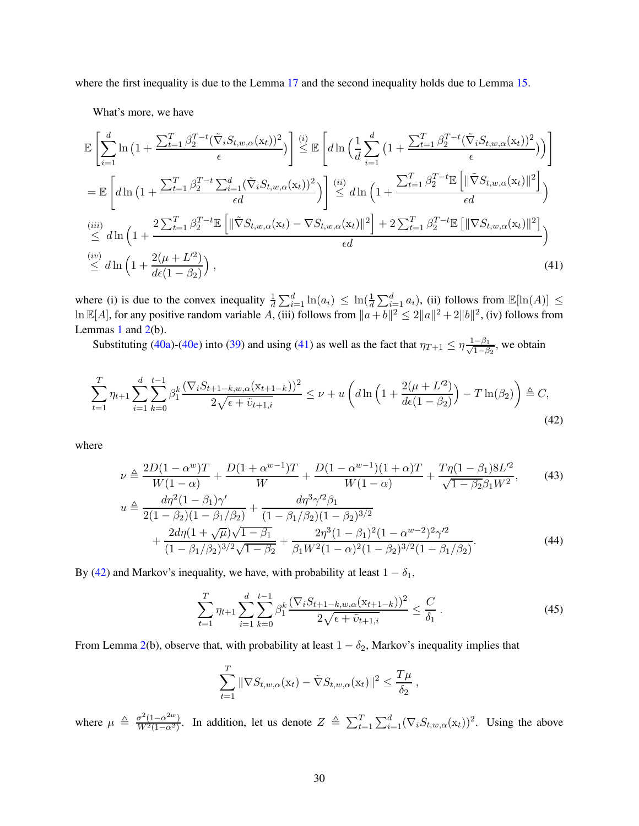where the first inequality is due to the Lemma [17](#page-50-4) and the second inequality holds due to Lemma [15.](#page-50-3)

What's more, we have

$$
\mathbb{E}\left[\sum_{i=1}^{d}\ln\left(1+\frac{\sum_{t=1}^{T}\beta_{2}^{T-t}(\tilde{\nabla}_{i}S_{t,w,\alpha}(\mathbf{x}_{t}))^{2}}{\epsilon}\right)\right] \stackrel{(i)}{\leq} \mathbb{E}\left[d\ln\left(\frac{1}{d}\sum_{i=1}^{d}\left(1+\frac{\sum_{t=1}^{T}\beta_{2}^{T-t}(\tilde{\nabla}_{i}S_{t,w,\alpha}(\mathbf{x}_{t}))^{2}}{\epsilon}\right)\right)\right]
$$
\n
$$
=\mathbb{E}\left[d\ln\left(1+\frac{\sum_{t=1}^{T}\beta_{2}^{T-t}\sum_{i=1}^{d}(\tilde{\nabla}_{i}S_{t,w,\alpha}(\mathbf{x}_{t}))^{2}}{\epsilon d}\right)\right] \stackrel{(ii)}{\leq} d\ln\left(1+\frac{\sum_{t=1}^{T}\beta_{2}^{T-t}\mathbb{E}\left[\|\tilde{\nabla}S_{t,w,\alpha}(\mathbf{x}_{t})\|^{2}\right]}{\epsilon d}\right)
$$
\n
$$
\stackrel{(iii)}{\leq} d\ln\left(1+\frac{2\sum_{t=1}^{T}\beta_{2}^{T-t}\mathbb{E}\left[\|\tilde{\nabla}S_{t,w,\alpha}(\mathbf{x}_{t})-\nabla S_{t,w,\alpha}(\mathbf{x}_{t})\|^{2}\right]+2\sum_{t=1}^{T}\beta_{2}^{T-t}\mathbb{E}\left[\|\nabla S_{t,w,\alpha}(\mathbf{x}_{t})\|^{2}\right]}{\epsilon d}\right)
$$
\n
$$
\stackrel{(iv)}{\leq} d\ln\left(1+\frac{2(\mu+L^{2})}{d\epsilon(1-\beta_{2})}\right),\tag{41}
$$

where (i) is due to the convex inequality  $\frac{1}{d} \sum_{i=1}^{d} \ln(a_i) \leq \ln(\frac{1}{d} \sum_{i=1}^{d} a_i)$ , (ii) follows from  $\mathbb{E}[\ln(A)] \leq$  $\ln \mathbb{E}[A]$ , for any positive random variable  $\hat{A}$ , (iii) follows from  $\|\hat{a}+b\|^2 \leq 2\|a\|^2 + 2\|b\|^2$ , (iv) follows from Lemmas [1](#page-6-3) and  $2(b)$  $2(b)$ .

<span id="page-29-0"></span>Substituting [\(40a\)](#page-27-1)-[\(40e\)](#page-28-0) into [\(39\)](#page-27-0) and using [\(41\)](#page-29-0) as well as the fact that  $\eta_{T+1} \le \eta \frac{1-\beta_1}{\sqrt{1-\beta}}$  $\frac{-\beta_1}{1-\beta_2}$ , we obtain

$$
\sum_{t=1}^{T} \eta_{t+1} \sum_{i=1}^{d} \sum_{k=0}^{t-1} \beta_1^k \frac{(\nabla_i S_{t+1-k, w, \alpha} (x_{t+1-k}))^2}{2\sqrt{\epsilon + \tilde{v}_{t+1,i}}} \le \nu + u \left( d \ln \left( 1 + \frac{2(\mu + L^2)}{d\epsilon (1 - \beta_2)} \right) - T \ln(\beta_2) \right) \triangleq C,
$$
\n(42)

where

$$
\nu \triangleq \frac{2D(1-\alpha^w)T}{W(1-\alpha)} + \frac{D(1+\alpha^{w-1})T}{W} + \frac{D(1-\alpha^{w-1})(1+\alpha)T}{W(1-\alpha)} + \frac{T\eta(1-\beta_1)8L^2}{\sqrt{1-\beta_2}\beta_1 W^2},
$$
(43)

$$
u \triangleq \frac{d\eta^{2}(1-\beta_{1})\gamma'}{2(1-\beta_{2})(1-\beta_{1}/\beta_{2})} + \frac{d\eta^{3}\gamma'^{2}\beta_{1}}{(1-\beta_{1}/\beta_{2})(1-\beta_{2})^{3/2}} + \frac{2d\eta(1+\sqrt{\mu})\sqrt{1-\beta_{1}}}{(1-\beta_{1}/\beta_{2})^{3/2}\sqrt{1-\beta_{2}}} + \frac{2\eta^{3}(1-\beta_{1})^{2}(1-\alpha^{w-2})^{2}\gamma'^{2}}{\beta_{1}W^{2}(1-\alpha)^{2}(1-\beta_{2})^{3/2}(1-\beta_{1}/\beta_{2})}.
$$
\n(44)

By [\(42\)](#page-29-1) and Markov's inequality, we have, with probability at least  $1 - \delta_1$ ,

<span id="page-29-3"></span><span id="page-29-2"></span><span id="page-29-1"></span>
$$
\sum_{t=1}^{T} \eta_{t+1} \sum_{i=1}^{d} \sum_{k=0}^{t-1} \beta_1^k \frac{(\nabla_i S_{t+1-k,w,\alpha}(\mathbf{x}_{t+1-k}))^2}{2\sqrt{\epsilon + \tilde{v}_{t+1,i}}} \leq \frac{C}{\delta_1} \,. \tag{45}
$$

From Lemma [2\(](#page-7-2)b), observe that, with probability at least  $1 - \delta_2$ , Markov's inequality implies that

<span id="page-29-4"></span>
$$
\sum_{t=1}^T \|\nabla S_{t,w,\alpha}(\mathbf{x}_t) - \tilde{\nabla} S_{t,w,\alpha}(\mathbf{x}_t)\|^2 \leq \frac{T\mu}{\delta_2},
$$

where  $\mu \triangleq \frac{\sigma^2 (1-\alpha^{2w})}{W^2 (1-\alpha^2)}$  $\frac{\sigma^2(1-\alpha^2w)}{W^2(1-\alpha^2)}$ . In addition, let us denote  $Z \triangleq \sum_{t=1}^T \sum_{i=1}^d (\nabla_i S_{t,w,\alpha}(x_t))^2$ . Using the above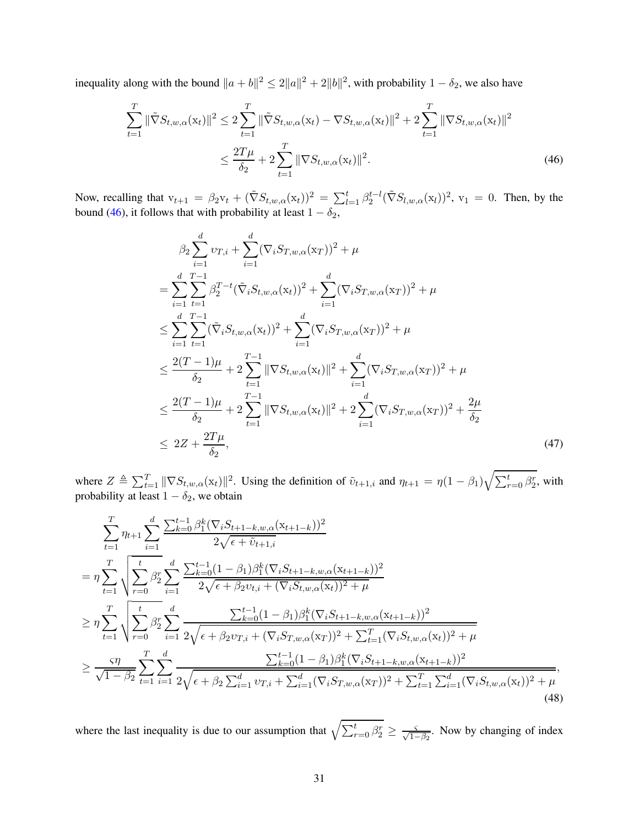inequality along with the bound  $||a + b||^2 \le 2||a||^2 + 2||b||^2$ , with probability  $1 - \delta_2$ , we also have

$$
\sum_{t=1}^{T} \|\tilde{\nabla}S_{t,w,\alpha}(\mathbf{x}_t)\|^2 \le 2 \sum_{t=1}^{T} \|\tilde{\nabla}S_{t,w,\alpha}(\mathbf{x}_t) - \nabla S_{t,w,\alpha}(\mathbf{x}_t)\|^2 + 2 \sum_{t=1}^{T} \|\nabla S_{t,w,\alpha}(\mathbf{x}_t)\|^2
$$
  

$$
\le \frac{2T\mu}{\delta_2} + 2 \sum_{t=1}^{T} \|\nabla S_{t,w,\alpha}(\mathbf{x}_t)\|^2.
$$
 (46)

Now, recalling that  $v_{t+1} = \beta_2 v_t + (\tilde{\nabla} S_{t,w,\alpha}(x_t))^2 = \sum_{l=1}^t \beta_2^{t-l} (\tilde{\nabla} S_{l,w,\alpha}(x_l))^2$ ,  $v_1 = 0$ . Then, by the bound [\(46\)](#page-30-0), it follows that with probability at least  $1 - \delta_2$ ,

<span id="page-30-2"></span><span id="page-30-0"></span>
$$
\beta_{2} \sum_{i=1}^{d} v_{T,i} + \sum_{i=1}^{d} (\nabla_{i} S_{T,w,\alpha}(x_{T}))^{2} + \mu
$$
\n
$$
= \sum_{i=1}^{d} \sum_{t=1}^{T-1} \beta_{2}^{T-t} (\tilde{\nabla}_{i} S_{t,w,\alpha}(x_{t}))^{2} + \sum_{i=1}^{d} (\nabla_{i} S_{T,w,\alpha}(x_{T}))^{2} + \mu
$$
\n
$$
\leq \sum_{i=1}^{d} \sum_{t=1}^{T-1} (\tilde{\nabla}_{i} S_{t,w,\alpha}(x_{t}))^{2} + \sum_{i=1}^{d} (\nabla_{i} S_{T,w,\alpha}(x_{T}))^{2} + \mu
$$
\n
$$
\leq \frac{2(T-1)\mu}{\delta_{2}} + 2 \sum_{t=1}^{T-1} ||\nabla S_{t,w,\alpha}(x_{t})||^{2} + \sum_{i=1}^{d} (\nabla_{i} S_{T,w,\alpha}(x_{T}))^{2} + \mu
$$
\n
$$
\leq \frac{2(T-1)\mu}{\delta_{2}} + 2 \sum_{t=1}^{T-1} ||\nabla S_{t,w,\alpha}(x_{t})||^{2} + 2 \sum_{i=1}^{d} (\nabla_{i} S_{T,w,\alpha}(x_{T}))^{2} + \frac{2\mu}{\delta_{2}}
$$
\n
$$
\leq 2Z + \frac{2T\mu}{\delta_{2}}, \qquad (47)
$$

where  $Z \triangleq \sum_{t=1}^T ||\nabla S_{t,w,\alpha}(\mathbf{x}_t)||^2$ . Using the definition of  $\tilde{\mathbf{v}}_{t+1,i}$  and  $\eta_{t+1} = \eta(1-\beta_1)\sqrt{\sum_{r=0}^t \beta_2^r}$ , with probability at least  $1 - \delta_2$ , we obtain

$$
\sum_{t=1}^{T} \eta_{t+1} \sum_{i=1}^{d} \frac{\sum_{k=0}^{t-1} \beta_{1}^{k} (\nabla_{i} S_{t+1-k,w,\alpha}(x_{t+1-k}))^{2}}{2\sqrt{\epsilon + \tilde{v}_{t+1,i}}}
$$
\n
$$
= \eta \sum_{t=1}^{T} \sqrt{\sum_{r=0}^{t} \beta_{2}^{r}} \sum_{i=1}^{d} \frac{\sum_{k=0}^{t-1} (1-\beta_{1}) \beta_{1}^{k} (\nabla_{i} S_{t+1-k,w,\alpha}(x_{t+1-k}))^{2}}{2\sqrt{\epsilon + \beta_{2} v_{t,i} + (\nabla_{i} S_{t,w,\alpha}(x_{t}))^{2} + \mu}}
$$
\n
$$
\geq \eta \sum_{t=1}^{T} \sqrt{\sum_{r=0}^{t} \beta_{2}^{r}} \sum_{i=1}^{d} \frac{\sum_{k=0}^{t-1} (1-\beta_{1}) \beta_{1}^{k} (\nabla_{i} S_{t+1-k,w,\alpha}(x_{t+1-k}))^{2}}{2\sqrt{\epsilon + \beta_{2} v_{T,i} + (\nabla_{i} S_{T,w,\alpha}(x_{T}))^{2} + \sum_{t=1}^{T} (\nabla_{i} S_{t,w,\alpha}(x_{t}))^{2} + \mu}
$$
\n
$$
\geq \frac{\varsigma \eta}{\sqrt{1-\beta_{2}}} \sum_{t=1}^{T} \sum_{i=1}^{d} \frac{\sum_{k=0}^{t-1} (1-\beta_{1}) \beta_{1}^{k} (\nabla_{i} S_{t+1-k,w,\alpha}(x_{t+1-k}))^{2}}{\sum_{k=0}^{t-1} (1-\beta_{1}) \beta_{1}^{k} (\nabla_{i} S_{t+1-k,w,\alpha}(x_{t+1-k}))^{2}},
$$
\n
$$
\frac{\varsigma \eta}{\sqrt{1-\beta_{2}}} \sum_{t=1}^{T} \sum_{i=1}^{d} \frac{\sum_{k=0}^{t-1} (1-\beta_{1}) \beta_{1}^{k} (\nabla_{i} S_{t+1-k,w,\alpha}(x_{t+1-k}))^{2}}{2\sqrt{\epsilon + \beta_{2} \sum_{i=1}^{d} v_{T,i} + \sum_{i=1}^{d} (\nabla_{i} S_{T,w,\alpha}(x_{T}))^{2} + \sum_{t=1}^{T}
$$

<span id="page-30-1"></span>where the last inequality is due to our assumption that  $\sqrt{\sum_{r=0}^{t} \beta_2^r} \ge \frac{\varsigma}{\sqrt{1-\beta_2}}$ . Now by changing of index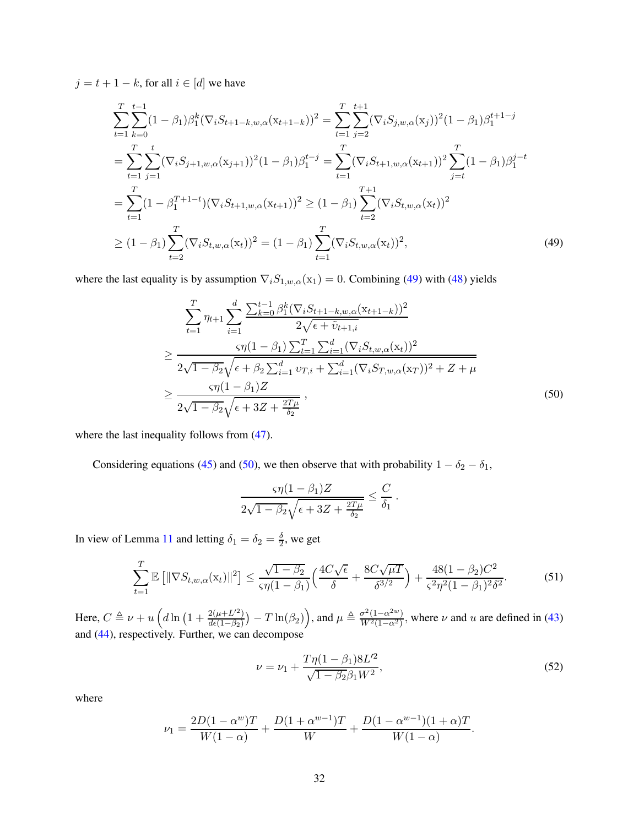$j = t + 1 - k$ , for all  $i \in [d]$  we have

$$
\sum_{t=1}^{T} \sum_{k=0}^{t-1} (1 - \beta_1) \beta_1^k (\nabla_i S_{t+1-k,w,\alpha} (x_{t+1-k}))^2 = \sum_{t=1}^{T} \sum_{j=2}^{t+1} (\nabla_i S_{j,w,\alpha} (x_j))^2 (1 - \beta_1) \beta_1^{t+1-j}
$$
\n
$$
= \sum_{t=1}^{T} \sum_{j=1}^{t} (\nabla_i S_{j+1,w,\alpha} (x_{j+1}))^2 (1 - \beta_1) \beta_1^{t-j} = \sum_{t=1}^{T} (\nabla_i S_{t+1,w,\alpha} (x_{t+1}))^2 \sum_{j=t}^{T} (1 - \beta_1) \beta_1^{j-t}
$$
\n
$$
= \sum_{t=1}^{T} (1 - \beta_1^{T+1-t}) (\nabla_i S_{t+1,w,\alpha} (x_{t+1}))^2 \geq (1 - \beta_1) \sum_{t=2}^{T+1} (\nabla_i S_{t,w,\alpha} (x_t))^2
$$
\n
$$
\geq (1 - \beta_1) \sum_{t=2}^{T} (\nabla_i S_{t,w,\alpha} (x_t))^2 = (1 - \beta_1) \sum_{t=1}^{T} (\nabla_i S_{t,w,\alpha} (x_t))^2,
$$
\n(49)

where the last equality is by assumption  $\nabla_i S_{1,w,\alpha}(x_1) = 0$ . Combining [\(49\)](#page-31-0) with [\(48\)](#page-30-1) yields

<span id="page-31-0"></span>
$$
\sum_{t=1}^{T} \eta_{t+1} \sum_{i=1}^{d} \frac{\sum_{k=0}^{t-1} \beta_{1}^{k} (\nabla_{i} S_{t+1-k,w,\alpha} (x_{t+1-k}))^{2}}{2\sqrt{\epsilon + \tilde{v}_{t+1,i}}}
$$
\n
$$
\geq \frac{\varsigma \eta (1-\beta_{1}) \sum_{t=1}^{T} \sum_{i=1}^{d} (\nabla_{i} S_{t,w,\alpha} (x_{t}))^{2}}{2\sqrt{1-\beta_{2}} \sqrt{\epsilon + \beta_{2} \sum_{i=1}^{d} v_{T,i} + \sum_{i=1}^{d} (\nabla_{i} S_{T,w,\alpha} (x_{T}))^{2} + Z + \mu}}
$$
\n
$$
\geq \frac{\varsigma \eta (1-\beta_{1}) Z}{2\sqrt{1-\beta_{2}} \sqrt{\epsilon + 3Z + \frac{2T\mu}{\delta_{2}}}},
$$
\n(50)

where the last inequality follows from  $(47)$ .

Considering equations [\(45\)](#page-29-2) and [\(50\)](#page-31-1), we then observe that with probability  $1 - \delta_2 - \delta_1$ ,

<span id="page-31-1"></span>
$$
\frac{\varsigma\eta(1-\beta_1)Z}{2\sqrt{1-\beta_2}\sqrt{\epsilon+3Z+\frac{2T\mu}{\delta_2}}} \leq \frac{C}{\delta_1}.
$$

In view of Lemma [11](#page-49-1) and letting  $\delta_1 = \delta_2 = \frac{\delta}{2}$  $\frac{0}{2}$ , we get

$$
\sum_{t=1}^{T} \mathbb{E} \left[ \|\nabla S_{t,w,\alpha}(\mathbf{x}_t)\|^2 \right] \le \frac{\sqrt{1-\beta_2}}{\varsigma \eta (1-\beta_1)} \Big( \frac{4C\sqrt{\epsilon}}{\delta} + \frac{8C\sqrt{\mu}}{\delta^{3/2}} \Big) + \frac{48(1-\beta_2)C^2}{\varsigma^2 \eta^2 (1-\beta_1)^2 \delta^2}.
$$
 (51)

Here,  $C \triangleq \nu + u \left( d \ln \left( 1 + \frac{2(\mu + L^2)}{d\epsilon (1 - \beta_0)} \right) \right)$  $\frac{2(\mu+L^2)}{d\epsilon(1-\beta_2)}$ ) –  $T\ln(\beta_2)$ ), and  $\mu \triangleq \frac{\sigma^2(1-\alpha^{2w})}{W^2(1-\alpha^2)}$  $\frac{\partial^2 (1-\alpha^2)}{W^2(1-\alpha^2)}$ , where  $\nu$  and  $u$  are defined in [\(43\)](#page-29-3) and [\(44\)](#page-29-4), respectively. Further, we can decompose

<span id="page-31-3"></span><span id="page-31-2"></span>
$$
\nu = \nu_1 + \frac{T\eta(1 - \beta_1)8L^2}{\sqrt{1 - \beta_2}\beta_1 W^2},\tag{52}
$$

where

$$
\nu_1 = \frac{2D(1 - \alpha^w)T}{W(1 - \alpha)} + \frac{D(1 + \alpha^{w-1})T}{W} + \frac{D(1 - \alpha^{w-1})(1 + \alpha)T}{W(1 - \alpha)}.
$$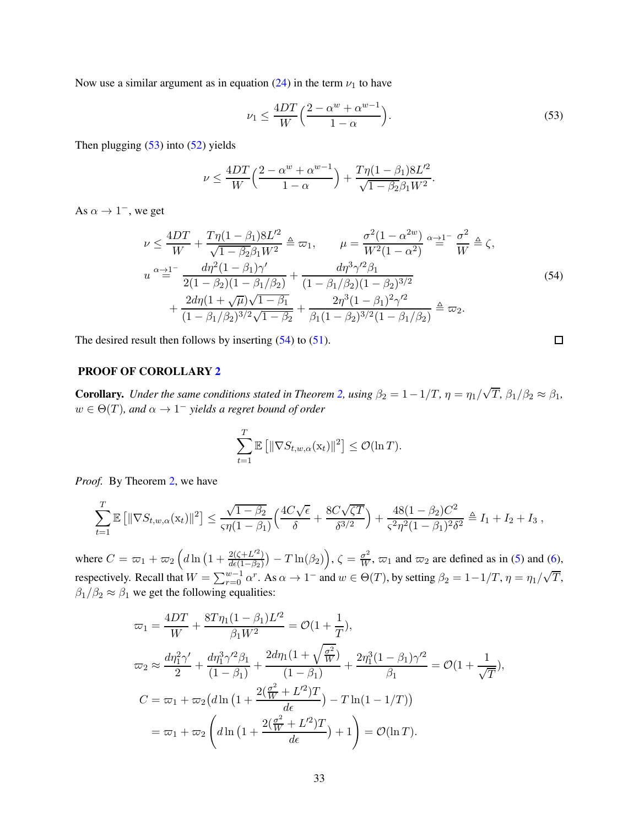Now use a similar argument as in equation [\(24\)](#page-20-0) in the term  $\nu_1$  to have

$$
\nu_1 \le \frac{4DT}{W} \left( \frac{2 - \alpha^w + \alpha^{w-1}}{1 - \alpha} \right). \tag{53}
$$

<span id="page-32-0"></span> $\Box$ 

Then plugging  $(53)$  into  $(52)$  yields

$$
\nu \le \frac{4DT}{W} \Big( \frac{2 - \alpha^w + \alpha^{w-1}}{1 - \alpha} \Big) + \frac{T\eta (1 - \beta_1) 8L^2}{\sqrt{1 - \beta_2} \beta_1 W^2}.
$$

As  $\alpha \to 1^-$ , we get

<span id="page-32-1"></span>
$$
\nu \leq \frac{4DT}{W} + \frac{T\eta(1-\beta_1)8L'^2}{\sqrt{1-\beta_2}\beta_1 W^2} \triangleq \varpi_1, \qquad \mu = \frac{\sigma^2(1-\alpha^{2w})}{W^2(1-\alpha^2)} \approx \frac{\gamma-1}{W} \triangleq \zeta,
$$
\n
$$
u^{\alpha} \approx 1^{-} \frac{d\eta^2(1-\beta_1)\gamma'}{2(1-\beta_2)(1-\beta_1/\beta_2)} + \frac{d\eta^3\gamma'^2\beta_1}{(1-\beta_1/\beta_2)(1-\beta_2)^{3/2}} + \frac{2d\eta(1+\sqrt{\mu})\sqrt{1-\beta_1}}{(1-\beta_1/\beta_2)^{3/2}\sqrt{1-\beta_2}} + \frac{2\eta^3(1-\beta_1)^2\gamma'^2}{\beta_1(1-\beta_2)^{3/2}(1-\beta_1/\beta_2)} \triangleq \varpi_2.
$$
\n(54)

The desired result then follows by inserting  $(54)$  to  $(51)$ .

### PROOF OF COROLLARY [2](#page-8-2)

**Corollary.** *Under the same conditions stated in Theorem [2,](#page-8-0) using*  $\beta_2 = 1 - 1/T$ ,  $\eta = \eta_1/\sqrt{T}$ ,  $\beta_1/\beta_2 \approx \beta_1$ ,  $w \in \Theta(T)$ , and  $\alpha \to 1^-$  yields a regret bound of order

$$
\sum_{t=1}^T \mathbb{E}\left[\|\nabla S_{t,w,\alpha}(\mathbf{x}_t)\|^2\right] \leq \mathcal{O}(\ln T).
$$

*Proof.* By Theorem [2,](#page-8-0) we have

$$
\sum_{t=1}^T \mathbb{E} \left[ \|\nabla S_{t,w,\alpha}(\mathbf{x}_t)\|^2 \right] \le \frac{\sqrt{1-\beta_2}}{\varsigma \eta (1-\beta_1)} \Big( \frac{4C\sqrt{\epsilon}}{\delta} + \frac{8C\sqrt{\zeta T}}{\delta^{3/2}} \Big) + \frac{48(1-\beta_2)C^2}{\varsigma^2 \eta^2 (1-\beta_1)^2 \delta^2} \triangleq I_1 + I_2 + I_3,
$$

where  $C = \frac{\varpi_1 + \varpi_2}{d} \left( d \ln \left( 1 + \frac{2(\zeta + L'^2)}{d \epsilon (1 - \beta_2)} \right) \right)$  $\frac{2(\zeta+L'^2)}{d\epsilon(1-\beta_2)}$   $- T \ln(\beta_2)$ ,  $\zeta = \frac{\sigma^2}{W}$ ,  $\varpi_1$  and  $\varpi_2$  are defined as in [\(5\)](#page-8-3) and [\(6\)](#page-8-4), respectively. Recall that  $W = \sum_{r=0}^{w-1} \alpha^r$ . As  $\alpha \to 1^-$  and  $w \in \Theta(T)$ , by setting  $\beta_2 = 1 - 1/T$ ,  $\eta = \eta_1/\sqrt{T}$ ,  $\beta_1/\beta_2 \approx \beta_1$  we get the following equalities:

$$
\varpi_1 = \frac{4DT}{W} + \frac{8T\eta_1(1-\beta_1)L'^2}{\beta_1W^2} = \mathcal{O}(1+\frac{1}{T}),
$$
  
\n
$$
\varpi_2 \approx \frac{d\eta_1^2\gamma'}{2} + \frac{d\eta_1^3\gamma'^2\beta_1}{(1-\beta_1)} + \frac{2d\eta_1(1+\sqrt{\frac{\sigma^2}{W}})}{(1-\beta_1)} + \frac{2\eta_1^3(1-\beta_1)\gamma'^2}{\beta_1} = \mathcal{O}(1+\frac{1}{\sqrt{T}}),
$$
  
\n
$$
C = \varpi_1 + \varpi_2\left(d\ln\left(1 + \frac{2(\frac{\sigma^2}{W} + L'^2)T}{d\epsilon}\right) - T\ln(1 - 1/T)\right)
$$
  
\n
$$
= \varpi_1 + \varpi_2\left(d\ln\left(1 + \frac{2(\frac{\sigma^2}{W} + L'^2)T}{d\epsilon}\right) + 1\right) = \mathcal{O}(\ln T).
$$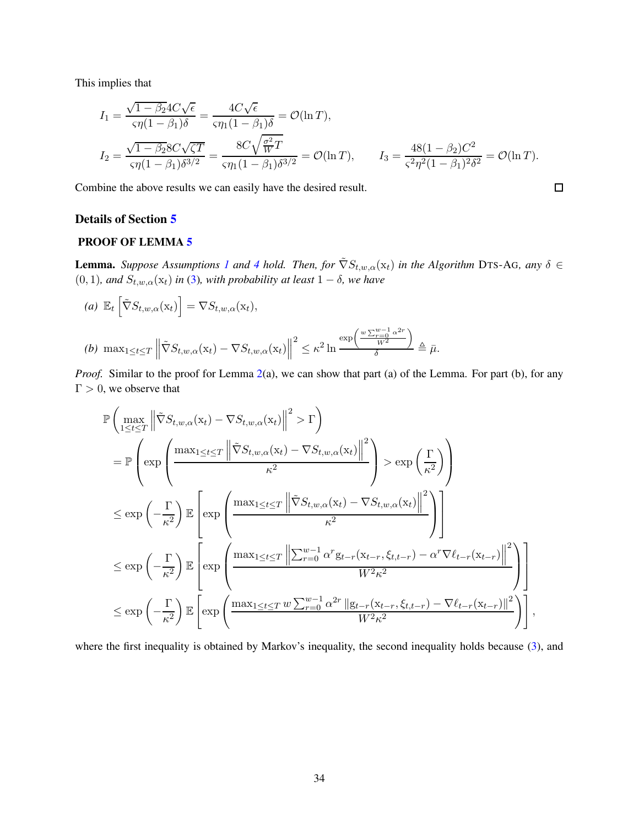This implies that

$$
I_1 = \frac{\sqrt{1 - \beta_2} 4C \sqrt{\epsilon}}{\varsigma \eta (1 - \beta_1) \delta} = \frac{4C \sqrt{\epsilon}}{\varsigma \eta_1 (1 - \beta_1) \delta} = \mathcal{O}(\ln T),
$$
  
\n
$$
I_2 = \frac{\sqrt{1 - \beta_2} 8C \sqrt{\zeta T}}{\varsigma \eta (1 - \beta_1) \delta^{3/2}} = \frac{8C \sqrt{\frac{\sigma^2}{W} T}}{\varsigma \eta_1 (1 - \beta_1) \delta^{3/2}} = \mathcal{O}(\ln T), \qquad I_3 = \frac{48(1 - \beta_2)C^2}{\varsigma^2 \eta^2 (1 - \beta_1)^2 \delta^2} = \mathcal{O}(\ln T).
$$

 $\Box$ 

Combine the above results we can easily have the desired result.

#### Details of Section [5](#page-9-1)

# PROOF OF LEMMA [5](#page-9-3)

**Lemma.** *Suppose Assumptions* [1](#page-5-1) *and* [4](#page-9-2) *hold.* Then, for  $\tilde{\nabla}S_{t,w,\alpha}(x_t)$  *in the Algorithm* DTS-AG, *any*  $\delta \in$ (0, 1)*, and*  $S_{t,w,\alpha}(\mathbf{x}_t)$  *in* [\(3\)](#page-6-2)*, with probability at least*  $1 - \delta$ *, we have* 

(a) 
$$
\mathbb{E}_t \left[ \tilde{\nabla} S_{t,w,\alpha}(\mathbf{x}_t) \right] = \nabla S_{t,w,\alpha}(\mathbf{x}_t),
$$
  
\n(b)  $\max_{1 \le t \le T} \left\| \tilde{\nabla} S_{t,w,\alpha}(\mathbf{x}_t) - \nabla S_{t,w,\alpha}(\mathbf{x}_t) \right\|^2 \le \kappa^2 \ln \frac{\exp\left(\frac{w \sum_{r=0}^{w-1} \alpha^{2r}}{W^2}\right)}{\delta} \triangleq \bar{\mu}.$ 

*Proof.* Similar to the proof for Lemma [2\(](#page-7-2)a), we can show that part (a) of the Lemma. For part (b), for any  $\Gamma > 0$ , we observe that

$$
\mathbb{P}\left(\max_{1\leq t\leq T} \left\|\tilde{\nabla}S_{t,w,\alpha}(x_t) - \nabla S_{t,w,\alpha}(x_t)\right\|^2 > \Gamma\right)
$$
\n
$$
= \mathbb{P}\left(\exp\left(\frac{\max_{1\leq t\leq T} \left\|\tilde{\nabla}S_{t,w,\alpha}(x_t) - \nabla S_{t,w,\alpha}(x_t)\right\|^2}{\kappa^2}\right) > \exp\left(\frac{\Gamma}{\kappa^2}\right)\right)
$$
\n
$$
\leq \exp\left(-\frac{\Gamma}{\kappa^2}\right) \mathbb{E}\left[\exp\left(\frac{\max_{1\leq t\leq T} \left\|\tilde{\nabla}S_{t,w,\alpha}(x_t) - \nabla S_{t,w,\alpha}(x_t)\right\|^2}{\kappa^2}\right)\right]
$$
\n
$$
\leq \exp\left(-\frac{\Gamma}{\kappa^2}\right) \mathbb{E}\left[\exp\left(\frac{\max_{1\leq t\leq T} \left\|\sum_{r=0}^{w-1} \alpha^r g_{t-r}(x_{t-r}, \xi_{t,t-r}) - \alpha^r \nabla \ell_{t-r}(x_{t-r})\right\|^2}{W^2 \kappa^2}\right)\right]
$$
\n
$$
\leq \exp\left(-\frac{\Gamma}{\kappa^2}\right) \mathbb{E}\left[\exp\left(\frac{\max_{1\leq t\leq T} w \sum_{r=0}^{w-1} \alpha^{2r} \left\|g_{t-r}(x_{t-r}, \xi_{t,t-r}) - \nabla \ell_{t-r}(x_{t-r})\right\|^2}{W^2 \kappa^2}\right)\right],
$$

where the first inequality is obtained by Markov's inequality, the second inequality holds because [\(3\)](#page-6-2), and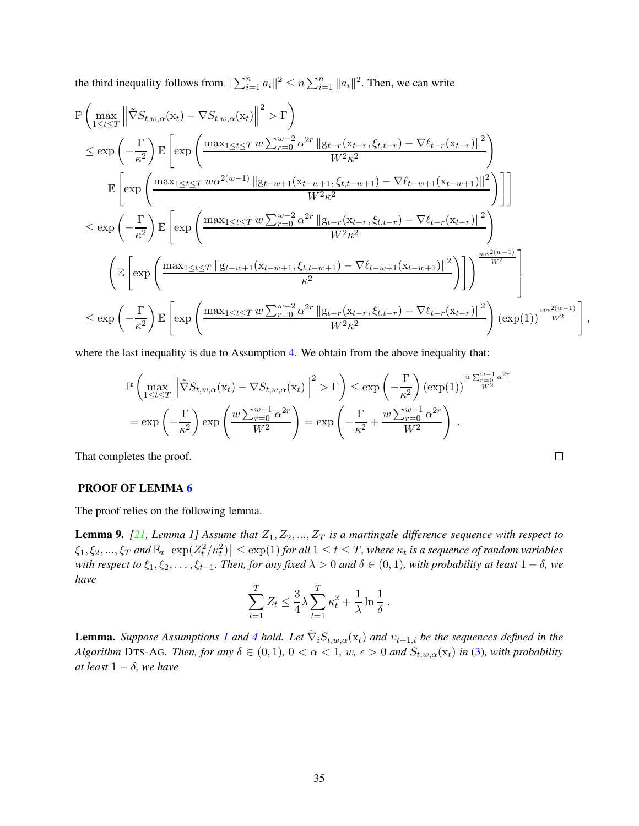the third inequality follows from  $\|\sum_{i=1}^n a_i\|^2 \leq n \sum_{i=1}^n \|a_i\|^2$ . Then, we can write

$$
\mathbb{P}\left(\max_{1\leq t\leq T} \left\| \tilde{\nabla} S_{t,w,\alpha}(x_{t}) - \nabla S_{t,w,\alpha}(x_{t}) \right\|^{2} > \Gamma\right) \n\leq \exp\left(-\frac{\Gamma}{\kappa^{2}}\right) \mathbb{E}\left[\exp\left(\frac{\max_{1\leq t\leq T} w \sum_{r=0}^{w-2} \alpha^{2r} ||g_{t-r}(x_{t-r},\xi_{t,t-r}) - \nabla \ell_{t-r}(x_{t-r})||^{2}}{W^{2}\kappa^{2}}\right) \n\mathbb{E}\left[\exp\left(\frac{\max_{1\leq t\leq T} w \alpha^{2(w-1)} ||g_{t-w+1}(x_{t-w+1},\xi_{t,t-w+1}) - \nabla \ell_{t-w+1}(x_{t-w+1})||^{2}}{W^{2}\kappa^{2}}\right)\right] \n\leq \exp\left(-\frac{\Gamma}{\kappa^{2}}\right) \mathbb{E}\left[\exp\left(\frac{\max_{1\leq t\leq T} w \sum_{r=0}^{w-2} \alpha^{2r} ||g_{t-r}(x_{t-r},\xi_{t,t-r}) - \nabla \ell_{t-r}(x_{t-r})||^{2}}{W^{2}\kappa^{2}}\right) \n\left(\mathbb{E}\left[\exp\left(\frac{\max_{1\leq t\leq T} ||g_{t-w+1}(x_{t-w+1},\xi_{t,t-w+1}) - \nabla \ell_{t-w+1}(x_{t-w+1})||^{2}}{\kappa^{2}}\right)\right]\right)^{\frac{w\alpha^{2(w-1)}}{W^{2}}} \n\leq \exp\left(-\frac{\Gamma}{\kappa^{2}}\right) \mathbb{E}\left[\exp\left(\frac{\max_{1\leq t\leq T} w \sum_{r=0}^{w-2} \alpha^{2r} ||g_{t-r}(x_{t-r},\xi_{t,t-r}) - \nabla \ell_{t-r}(x_{t-r})||^{2}}{W^{2}\kappa^{2}}\right)(\exp(1))^{\frac{w\alpha^{2(w-1)}}{W^{2}}}\right],
$$

where the last inequality is due to Assumption [4.](#page-9-2) We obtain from the above inequality that:

$$
\mathbb{P}\left(\max_{1\leq t\leq T} \left\|\tilde{\nabla}S_{t,w,\alpha}(x_t) - \nabla S_{t,w,\alpha}(x_t)\right\|^2 > \Gamma\right) \leq \exp\left(-\frac{\Gamma}{\kappa^2}\right) \left(\exp(1)\right)^{\frac{w\sum_{r=0}^{w-1}\alpha^{2r}}{W^2}} \n= \exp\left(-\frac{\Gamma}{\kappa^2}\right) \exp\left(\frac{w\sum_{r=0}^{w-1}\alpha^{2r}}{W^2}\right) = \exp\left(-\frac{\Gamma}{\kappa^2} + \frac{w\sum_{r=0}^{w-1}\alpha^{2r}}{W^2}\right).
$$

That completes the proof.

## PROOF OF LEMMA [6](#page-9-4)

The proof relies on the following lemma.

<span id="page-34-0"></span>**Lemma 9.** [\[21,](#page-13-2) Lemma 1] Assume that  $Z_1, Z_2, ..., Z_T$  is a martingale difference sequence with respect to  $\{ \xi_1, \xi_2, ..., \xi_T \text{ and } \mathbb{E}_t \left[ \exp(Z_t^2/\kappa_t^2) \right] \leq \exp(1) \text{ for all } 1 \leq t \leq T, \text{ where } \kappa_t \text{ is a sequence of random variables}$ *with respect to*  $\xi_1, \xi_2, \ldots, \xi_{t-1}$ *. Then, for any fixed*  $\lambda > 0$  *and*  $\delta \in (0,1)$ *, with probability at least*  $1 - \delta$ *, we have*

$$
\sum_{t=1}^{T} Z_t \leq \frac{3}{4} \lambda \sum_{t=1}^{T} \kappa_t^2 + \frac{1}{\lambda} \ln \frac{1}{\delta}.
$$

**Lemma.** *Suppose Assumptions [1](#page-5-1) and [4](#page-9-2) hold.* Let  $\tilde{\nabla}_i S_{t,w,\alpha}(x_t)$  *and*  $v_{t+1,i}$  *be the sequences defined in the Algorithm* DTS-AG*. Then, for any*  $\delta \in (0,1)$ ,  $0 < \alpha < 1$ ,  $w, \epsilon > 0$  and  $S_{t,w,\alpha}(x_t)$  *in* [\(3\)](#page-6-2)*, with probability at least*  $1 - \delta$ *, we have*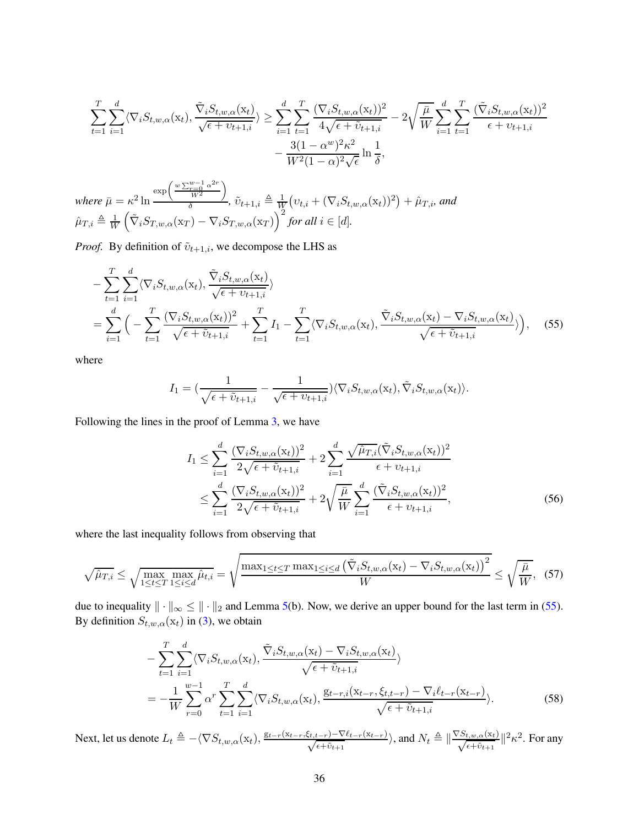$$
\sum_{t=1}^{T} \sum_{i=1}^{d} \langle \nabla_i S_{t,w,\alpha}(\mathbf{x}_t), \frac{\tilde{\nabla}_i S_{t,w,\alpha}(\mathbf{x}_t)}{\sqrt{\epsilon + \nu_{t+1,i}}} \rangle \ge \sum_{i=1}^{d} \sum_{t=1}^{T} \frac{(\nabla_i S_{t,w,\alpha}(\mathbf{x}_t))^2}{4\sqrt{\epsilon + \tilde{\nu}_{t+1,i}}} - 2\sqrt{\frac{\bar{\mu}}{W}} \sum_{i=1}^{d} \sum_{t=1}^{T} \frac{(\tilde{\nabla}_i S_{t,w,\alpha}(\mathbf{x}_t))^2}{\epsilon + \nu_{t+1,i}} - \frac{3(1-\alpha^w)^2 \kappa^2}{W^2 (1-\alpha)^2 \sqrt{\epsilon}} \ln \frac{1}{\delta},
$$

where  $\bar{\mu} = \kappa^2 \ln$  $\exp\left(\frac{w\sum_{r=0}^{w-1}\alpha^{2r}}{w^2}\right)$  $W^2$ λ  $\frac{W^2}{\delta}$ ,  $\tilde{v}_{t+1,i} \triangleq \frac{1}{W}$  $\frac{1}{W}\big(v_{t,i} + (\nabla_i S_{t,w,\alpha}(\mathrm{x}_t))^2\big) + \hat{\mu}_{T,i}$ , and  $\hat{\mu}_{T,i} \triangleq \frac{1}{W}$ W  $\left(\tilde{\nabla}_i S_{T,w,\alpha}(\mathbf{x}_T) - \nabla_i S_{T,w,\alpha}(\mathbf{x}_T)\right)^2$  for all  $i \in [d]$ .

*Proof.* By definition of  $\tilde{v}_{t+1,i}$ , we decompose the LHS as

$$
- \sum_{t=1}^{T} \sum_{i=1}^{d} \langle \nabla_{i} S_{t,w,\alpha}(\mathbf{x}_{t}), \frac{\tilde{\nabla}_{i} S_{t,w,\alpha}(\mathbf{x}_{t})}{\sqrt{\epsilon + v_{t+1,i}}} \rangle
$$
  
= 
$$
\sum_{i=1}^{d} \Big( - \sum_{t=1}^{T} \frac{(\nabla_{i} S_{t,w,\alpha}(\mathbf{x}_{t}))^{2}}{\sqrt{\epsilon + \tilde{v}_{t+1,i}}} + \sum_{t=1}^{T} I_{1} - \sum_{t=1}^{T} \langle \nabla_{i} S_{t,w,\alpha}(\mathbf{x}_{t}), \frac{\tilde{\nabla}_{i} S_{t,w,\alpha}(\mathbf{x}_{t}) - \nabla_{i} S_{t,w,\alpha}(\mathbf{x}_{t})}{\sqrt{\epsilon + \tilde{v}_{t+1,i}}} \rangle \Big), \quad (55)
$$

where

$$
I_1 = \left(\frac{1}{\sqrt{\epsilon + \tilde{v}_{t+1,i}}}-\frac{1}{\sqrt{\epsilon + v_{t+1,i}}}\right) \langle \nabla_i S_{t,w,\alpha}(\mathbf{x}_t), \tilde{\nabla}_i S_{t,w,\alpha}(\mathbf{x}_t) \rangle.
$$

Following the lines in the proof of Lemma [3,](#page-7-3) we have

<span id="page-35-3"></span><span id="page-35-2"></span><span id="page-35-0"></span>
$$
I_{1} \leq \sum_{i=1}^{d} \frac{(\nabla_{i} S_{t,w,\alpha}(\mathbf{x}_{t}))^{2}}{2\sqrt{\epsilon + \tilde{v}_{t+1,i}}} + 2\sum_{i=1}^{d} \frac{\sqrt{\hat{\mu}_{T,i}}(\tilde{\nabla}_{i} S_{t,w,\alpha}(\mathbf{x}_{t}))^{2}}{\epsilon + v_{t+1,i}}
$$
  

$$
\leq \sum_{i=1}^{d} \frac{(\nabla_{i} S_{t,w,\alpha}(\mathbf{x}_{t}))^{2}}{2\sqrt{\epsilon + \tilde{v}_{t+1,i}}} + 2\sqrt{\frac{\bar{\mu}}{W}} \sum_{i=1}^{d} \frac{(\tilde{\nabla}_{i} S_{t,w,\alpha}(\mathbf{x}_{t}))^{2}}{\epsilon + v_{t+1,i}},
$$
(56)

where the last inequality follows from observing that

$$
\sqrt{\hat{\mu}_{T,i}} \le \sqrt{\max_{1 \le t \le T} \max_{1 \le i \le d} \hat{\mu}_{t,i}} = \sqrt{\frac{\max_{1 \le t \le T} \max_{1 \le i \le d} \left(\tilde{\nabla}_i S_{t,w,\alpha}(\mathbf{x}_t) - \nabla_i S_{t,w,\alpha}(\mathbf{x}_t)\right)^2}{W}} \le \sqrt{\frac{\bar{\mu}}{W}},\tag{57}
$$

due to inequality  $\|\cdot\|_{\infty} \leq \|\cdot\|_{2}$  and Lemma [5\(](#page-9-3)b). Now, we derive an upper bound for the last term in [\(55\)](#page-35-0). By definition  $S_{t,w,\alpha}(\mathbf{x}_t)$  in [\(3\)](#page-6-2), we obtain

<span id="page-35-1"></span>
$$
- \sum_{t=1}^{T} \sum_{i=1}^{d} \langle \nabla_{i} S_{t,w,\alpha}(\mathbf{x}_{t}), \frac{\tilde{\nabla}_{i} S_{t,w,\alpha}(\mathbf{x}_{t}) - \nabla_{i} S_{t,w,\alpha}(\mathbf{x}_{t})}{\sqrt{\epsilon + \tilde{\nu}_{t+1,i}}} \rangle
$$
  
= 
$$
- \frac{1}{W} \sum_{r=0}^{w-1} \alpha^{r} \sum_{t=1}^{T} \sum_{i=1}^{d} \langle \nabla_{i} S_{t,w,\alpha}(\mathbf{x}_{t}), \frac{\mathbf{g}_{t-r,i}(\mathbf{x}_{t-r}, \xi_{t,t-r}) - \nabla_{i} \ell_{t-r}(\mathbf{x}_{t-r})}{\sqrt{\epsilon + \tilde{\nu}_{t+1,i}}} \rangle.
$$
(58)

Next, let us denote  $L_t \triangleq -\langle \nabla S_{t,w,\alpha}(\mathbf{x}_t), \frac{\mathbf{g}_{t-r}(\mathbf{x}_{t-r},\xi_{t,t-r}) - \nabla \ell_{t-r}(\mathbf{x}_{t-r})}{\sqrt{\epsilon+\tilde{\nu}_{t+1}}}$  $\frac{(t-r)-\nabla \ell_{t-r}(\mathrm{x}_{t-r})}{\epsilon+\tilde{v}_{t+1}}\rangle$ , and  $N_t\triangleq\|\frac{\nabla S_{t,w,\alpha}(\mathrm{x}_t)}{\sqrt{\epsilon+\tilde{v}_{t+1}}}$  $\frac{t, w, \alpha(\mathbf{x}_t)}{\epsilon + \tilde{v}_{t+1}}$   $||^2 \kappa^2$ . For any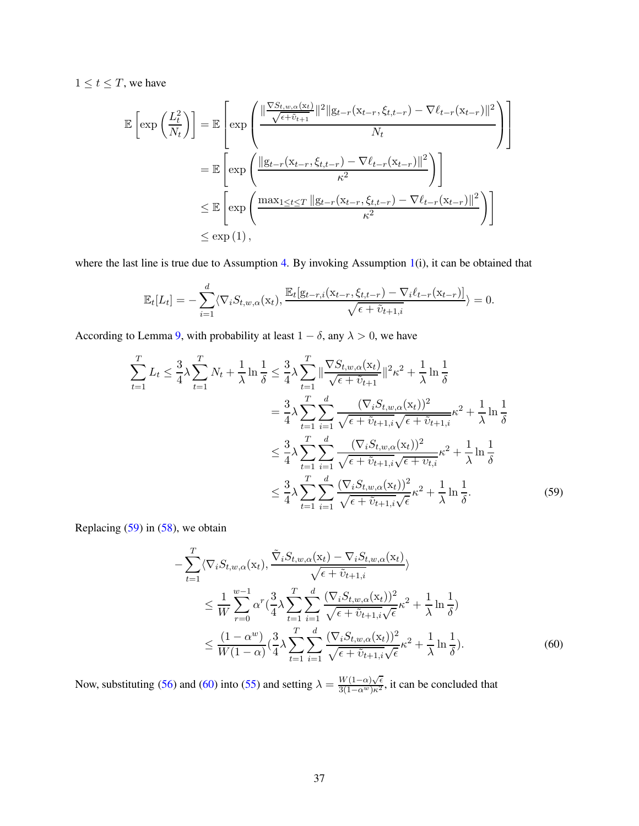$1 \le t \le T$ , we have

$$
\mathbb{E}\left[\exp\left(\frac{L_t^2}{N_t}\right)\right] = \mathbb{E}\left[\exp\left(\frac{\|\frac{\nabla S_{t,w,\alpha}(x_t)}{\sqrt{\epsilon+\tilde{v}_{t+1}}}\|^2\|g_{t-r}(x_{t-r},\xi_{t,t-r}) - \nabla\ell_{t-r}(x_{t-r})\|^2}{N_t}\right)\right]
$$
\n
$$
= \mathbb{E}\left[\exp\left(\frac{\|g_{t-r}(x_{t-r},\xi_{t,t-r}) - \nabla\ell_{t-r}(x_{t-r})\|^2}{\kappa^2}\right)\right]
$$
\n
$$
\leq \mathbb{E}\left[\exp\left(\frac{\max_{1\leq t\leq T} \|g_{t-r}(x_{t-r},\xi_{t,t-r}) - \nabla\ell_{t-r}(x_{t-r})\|^2}{\kappa^2}\right)\right]
$$
\n
$$
\leq \exp(1),
$$

where the last line is true due to Assumption [4.](#page-9-2) By invoking Assumption [1\(](#page-5-1)i), it can be obtained that

$$
\mathbb{E}_t[L_t] = -\sum_{i=1}^d \langle \nabla_i S_{t,w,\alpha}(\mathbf{x}_t), \frac{\mathbb{E}_t[g_{t-r,i}(\mathbf{x}_{t-r}, \xi_{t,t-r}) - \nabla_i \ell_{t-r}(\mathbf{x}_{t-r})]}{\sqrt{\epsilon + \tilde{v}_{t+1,i}}}\rangle = 0.
$$

According to Lemma [9,](#page-34-0) with probability at least  $1 - \delta$ , any  $\lambda > 0$ , we have

$$
\sum_{t=1}^{T} L_{t} \leq \frac{3}{4} \lambda \sum_{t=1}^{T} N_{t} + \frac{1}{\lambda} \ln \frac{1}{\delta} \leq \frac{3}{4} \lambda \sum_{t=1}^{T} \|\frac{\nabla S_{t,w,\alpha}(x_{t})}{\sqrt{\epsilon + \tilde{v}_{t+1}}}\|^{2} \kappa^{2} + \frac{1}{\lambda} \ln \frac{1}{\delta}
$$
\n
$$
= \frac{3}{4} \lambda \sum_{t=1}^{T} \sum_{i=1}^{d} \frac{(\nabla_{i} S_{t,w,\alpha}(x_{t}))^{2}}{\sqrt{\epsilon + \tilde{v}_{t+1,i}} \sqrt{\epsilon + \tilde{v}_{t+1,i}}}
$$
\n
$$
\leq \frac{3}{4} \lambda \sum_{t=1}^{T} \sum_{i=1}^{d} \frac{(\nabla_{i} S_{t,w,\alpha}(x_{t}))^{2}}{\sqrt{\epsilon + \tilde{v}_{t+1,i}} \sqrt{\epsilon + \tilde{v}_{t+1,i}}}
$$
\n
$$
\leq \frac{3}{4} \lambda \sum_{t=1}^{T} \sum_{i=1}^{d} \frac{(\nabla_{i} S_{t,w,\alpha}(x_{t}))^{2}}{\sqrt{\epsilon + \tilde{v}_{t+1,i}} \sqrt{\epsilon + \tilde{v}_{t+1,i}}}
$$
\n
$$
\kappa^{2} + \frac{1}{\lambda} \ln \frac{1}{\delta}
$$
\n
$$
\leq \frac{3}{4} \lambda \sum_{t=1}^{T} \sum_{i=1}^{d} \frac{(\nabla_{i} S_{t,w,\alpha}(x_{t}))^{2}}{\sqrt{\epsilon + \tilde{v}_{t+1,i}} \sqrt{\epsilon}} \kappa^{2} + \frac{1}{\lambda} \ln \frac{1}{\delta}.
$$
\n(59)

Replacing [\(59\)](#page-36-0) in [\(58\)](#page-35-1), we obtain

<span id="page-36-1"></span><span id="page-36-0"></span>
$$
- \sum_{t=1}^{T} \langle \nabla_i S_{t,w,\alpha}(\mathbf{x}_t), \frac{\tilde{\nabla}_i S_{t,w,\alpha}(\mathbf{x}_t) - \nabla_i S_{t,w,\alpha}(\mathbf{x}_t)}{\sqrt{\epsilon + \tilde{v}_{t+1,i}}} \rangle
$$
  
\n
$$
\leq \frac{1}{W} \sum_{r=0}^{w-1} \alpha^r \left(\frac{3}{4} \lambda \sum_{t=1}^T \sum_{i=1}^d \frac{(\nabla_i S_{t,w,\alpha}(\mathbf{x}_t))^2}{\sqrt{\epsilon + \tilde{v}_{t+1,i}} \sqrt{\epsilon}} \kappa^2 + \frac{1}{\lambda} \ln \frac{1}{\delta} \right)
$$
  
\n
$$
\leq \frac{(1 - \alpha^w)}{W(1 - \alpha)} \left(\frac{3}{4} \lambda \sum_{t=1}^T \sum_{i=1}^d \frac{(\nabla_i S_{t,w,\alpha}(\mathbf{x}_t))^2}{\sqrt{\epsilon + \tilde{v}_{t+1,i}} \sqrt{\epsilon}} \kappa^2 + \frac{1}{\lambda} \ln \frac{1}{\delta} \right).
$$
 (60)

Now, substituting [\(56\)](#page-35-2) and [\(60\)](#page-36-1) into [\(55\)](#page-35-0) and setting  $\lambda = \frac{W(1-\alpha)\sqrt{\epsilon}}{3(1-\alpha^w)\kappa^2}$ , it can be concluded that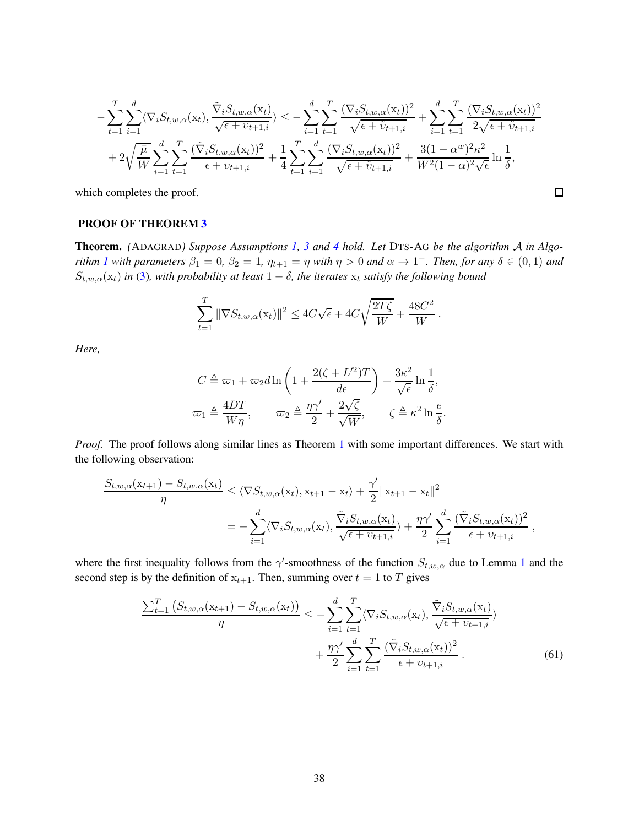$$
-\sum_{t=1}^{T} \sum_{i=1}^{d} \langle \nabla_{i} S_{t,w,\alpha}(\mathbf{x}_{t}), \frac{\tilde{\nabla}_{i} S_{t,w,\alpha}(\mathbf{x}_{t})}{\sqrt{\epsilon + \upsilon_{t+1,i}}} \rangle \leq -\sum_{i=1}^{d} \sum_{t=1}^{T} \frac{(\nabla_{i} S_{t,w,\alpha}(\mathbf{x}_{t}))^{2}}{\sqrt{\epsilon + \tilde{\upsilon}_{t+1,i}}} + \sum_{i=1}^{d} \sum_{t=1}^{T} \frac{(\nabla_{i} S_{t,w,\alpha}(\mathbf{x}_{t}))^{2}}{2\sqrt{\epsilon + \tilde{\upsilon}_{t+1,i}}} + 2\sqrt{\frac{\bar{\mu}}{W}} \sum_{i=1}^{d} \sum_{t=1}^{T} \frac{(\tilde{\nabla}_{i} S_{t,w,\alpha}(\mathbf{x}_{t}))^{2}}{\epsilon + \upsilon_{t+1,i}} + \frac{1}{4} \sum_{t=1}^{T} \sum_{i=1}^{d} \frac{(\nabla_{i} S_{t,w,\alpha}(\mathbf{x}_{t}))^{2}}{\sqrt{\epsilon + \tilde{\upsilon}_{t+1,i}}} + \frac{3(1 - \alpha^{w})^{2} \kappa^{2}}{W^{2}(1 - \alpha)^{2} \sqrt{\epsilon}} \ln \frac{1}{\delta},
$$

 $\Box$ 

which completes the proof.

### PROOF OF THEOREM [3](#page-9-0)

Theorem. *(*ADAGRAD*) Suppose Assumptions [1,](#page-5-1) [3](#page-6-1) and [4](#page-9-2) hold. Let* DTS-A<sup>G</sup> *be the algorithm* A *in Algorithm [1](#page-3-0)* with parameters  $\beta_1 = 0$ ,  $\beta_2 = 1$ ,  $\eta_{t+1} = \eta$  with  $\eta > 0$  and  $\alpha \to 1^-$ . Then, for any  $\delta \in (0,1)$  and  $S_{t,w,\alpha}(\mathbf{x}_t)$  *in* [\(3\)](#page-6-2), with probability at least  $1 - \delta$ , the iterates  $\mathbf{x}_t$  satisfy the following bound

$$
\sum_{t=1}^T \|\nabla S_{t,w,\alpha}(\mathbf{x}_t)\|^2 \le 4C\sqrt{\epsilon} + 4C\sqrt{\frac{2T\zeta}{W}} + \frac{48C^2}{W}.
$$

*Here,*

$$
C \triangleq \omega_1 + \omega_2 d \ln \left( 1 + \frac{2(\zeta + L^2)T}{d\epsilon} \right) + \frac{3\kappa^2}{\sqrt{\epsilon}} \ln \frac{1}{\delta},
$$
  

$$
\omega_1 \triangleq \frac{4DT}{W\eta}, \qquad \omega_2 \triangleq \frac{\eta \gamma'}{2} + \frac{2\sqrt{\zeta}}{\sqrt{W}}, \qquad \zeta \triangleq \kappa^2 \ln \frac{e}{\delta}.
$$

*Proof.* The proof follows along similar lines as Theorem [1](#page-7-0) with some important differences. We start with the following observation:

$$
\frac{S_{t,w,\alpha}(\mathbf{x}_{t+1}) - S_{t,w,\alpha}(\mathbf{x}_t)}{\eta} \leq \langle \nabla S_{t,w,\alpha}(\mathbf{x}_t), \mathbf{x}_{t+1} - \mathbf{x}_t \rangle + \frac{\gamma'}{2} ||\mathbf{x}_{t+1} - \mathbf{x}_t||^2
$$
  
= 
$$
-\sum_{i=1}^d \langle \nabla_i S_{t,w,\alpha}(\mathbf{x}_t), \frac{\tilde{\nabla}_i S_{t,w,\alpha}(\mathbf{x}_t)}{\sqrt{\epsilon + v_{t+1,i}} \rangle + \frac{\eta \gamma'}{2} \sum_{i=1}^d \frac{(\tilde{\nabla}_i S_{t,w,\alpha}(\mathbf{x}_t))^2}{\epsilon + v_{t+1,i}},
$$

where the first inequality follows from the  $\gamma'$ -smoothness of the function  $S_{t,w,\alpha}$  due to Lemma [1](#page-6-3) and the second step is by the definition of  $x_{t+1}$ . Then, summing over  $t = 1$  to T gives

<span id="page-37-0"></span>
$$
\frac{\sum_{t=1}^{T} (S_{t,w,\alpha}(\mathbf{x}_{t+1}) - S_{t,w,\alpha}(\mathbf{x}_{t}))}{\eta} \leq -\sum_{i=1}^{d} \sum_{t=1}^{T} \langle \nabla_{i} S_{t,w,\alpha}(\mathbf{x}_{t}), \frac{\tilde{\nabla}_{i} S_{t,w,\alpha}(\mathbf{x}_{t})}{\sqrt{\epsilon + v_{t+1,i}}} \rangle + \frac{\eta \gamma'}{2} \sum_{i=1}^{d} \sum_{t=1}^{T} \frac{(\tilde{\nabla}_{i} S_{t,w,\alpha}(\mathbf{x}_{t}))^{2}}{\epsilon + v_{t+1,i}}.
$$
(61)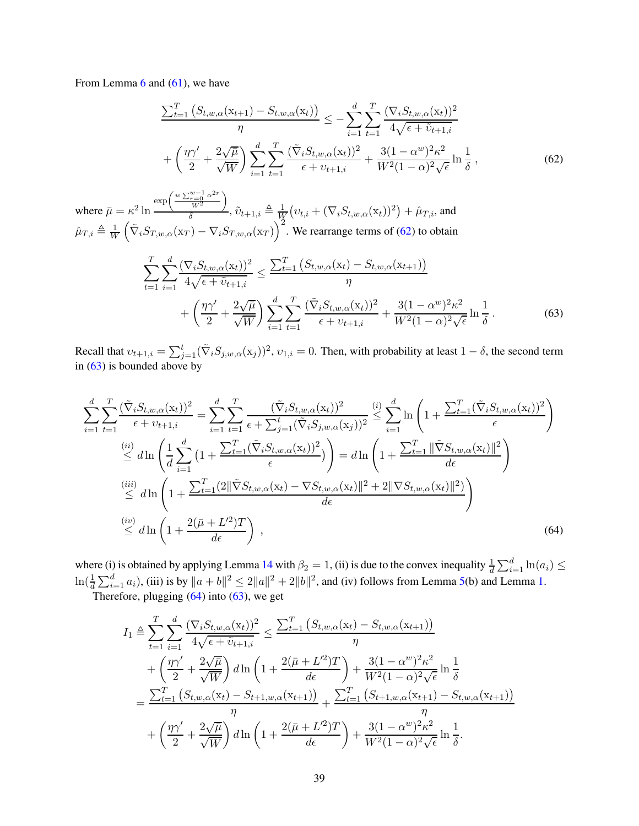From Lemma [6](#page-9-4) and [\(61\)](#page-37-0), we have

<span id="page-38-0"></span>
$$
\frac{\sum_{t=1}^{T} \left( S_{t,w,\alpha}(\mathbf{x}_{t+1}) - S_{t,w,\alpha}(\mathbf{x}_{t}) \right)}{\eta} \leq -\sum_{i=1}^{d} \sum_{t=1}^{T} \frac{(\nabla_{i} S_{t,w,\alpha}(\mathbf{x}_{t}))^{2}}{4\sqrt{\epsilon + \tilde{v}_{t+1,i}}}
$$

$$
+ \left( \frac{\eta \gamma'}{2} + \frac{2\sqrt{\mu}}{\sqrt{W}} \right) \sum_{i=1}^{d} \sum_{t=1}^{T} \frac{(\tilde{\nabla}_{i} S_{t,w,\alpha}(\mathbf{x}_{t}))^{2}}{\epsilon + v_{t+1,i}} + \frac{3(1 - \alpha^{w})^{2} \kappa^{2}}{W^{2} (1 - \alpha)^{2} \sqrt{\epsilon}} \ln \frac{1}{\delta}, \tag{62}
$$

where  $\bar{\mu} = \kappa^2 \ln$  $\exp\left(\frac{w\sum_{r=0}^{w-1}\alpha^{2r}}{w^2}\right)$  $W^2$  $\setminus$  $\frac{W^2}{\delta}$ ,  $\tilde{v}_{t+1,i} \triangleq \frac{1}{W}$  $\frac{1}{W}\big( \nu_{t,i} + (\nabla_i S_{t,w,\alpha}(\mathrm{x}_t))^2 \big) + \hat{\mu}_{T,i},$  and  $\hat{\mu}_{T,i} \triangleq \frac{1}{W}$  $(\tilde{\nabla}_i S_{T,w,\alpha}(\mathbf{x}_T) - \nabla_i S_{T,w,\alpha}(\mathbf{x}_T))^2$ . We rearrange terms of [\(62\)](#page-38-0) to obtain

<span id="page-38-1"></span>
$$
\sum_{t=1}^{T} \sum_{i=1}^{d} \frac{(\nabla_i S_{t,w,\alpha}(\mathbf{x}_t))^2}{4\sqrt{\epsilon + \tilde{v}_{t+1,i}}} \le \frac{\sum_{t=1}^{T} (S_{t,w,\alpha}(\mathbf{x}_t) - S_{t,w,\alpha}(\mathbf{x}_{t+1}))}{\eta} + \left(\frac{\eta \gamma'}{2} + \frac{2\sqrt{\mu}}{\sqrt{W}}\right) \sum_{i=1}^{d} \sum_{t=1}^{T} \frac{(\tilde{\nabla}_i S_{t,w,\alpha}(\mathbf{x}_t))^2}{\epsilon + v_{t+1,i}} + \frac{3(1 - \alpha^w)^2 \kappa^2}{W^2 (1 - \alpha)^2 \sqrt{\epsilon}} \ln \frac{1}{\delta}.
$$
\n(63)

Recall that  $v_{t+1,i} = \sum_{j=1}^{t} (\tilde{\nabla}_i S_{j,w,\alpha}(x_j))^2$ ,  $v_{1,i} = 0$ . Then, with probability at least  $1 - \delta$ , the second term in [\(63\)](#page-38-1) is bounded above by

$$
\sum_{i=1}^{d} \sum_{t=1}^{T} \frac{(\tilde{\nabla}_{i} S_{t,w,\alpha}(\mathbf{x}_{t}))^{2}}{\epsilon + v_{t+1,i}} = \sum_{i=1}^{d} \sum_{t=1}^{T} \frac{(\tilde{\nabla}_{i} S_{t,w,\alpha}(\mathbf{x}_{t}))^{2}}{\epsilon + \sum_{j=1}^{t} (\tilde{\nabla}_{i} S_{j,w,\alpha}(\mathbf{x}_{j}))^{2}} \stackrel{(i)}{\leq} \sum_{i=1}^{d} \ln\left(1 + \frac{\sum_{t=1}^{T} (\tilde{\nabla}_{i} S_{t,w,\alpha}(\mathbf{x}_{t}))^{2}}{\epsilon}\right)
$$
\n
$$
\stackrel{(ii)}{\leq} d \ln\left(\frac{1}{d} \sum_{i=1}^{d} \left(1 + \frac{\sum_{t=1}^{T} (\tilde{\nabla}_{i} S_{t,w,\alpha}(\mathbf{x}_{t}))^{2}}{\epsilon}\right)\right) = d \ln\left(1 + \frac{\sum_{t=1}^{T} ||\tilde{\nabla} S_{t,w,\alpha}(\mathbf{x}_{t})||^{2}}{d\epsilon}\right)
$$
\n
$$
\stackrel{(iii)}{\leq} d \ln\left(1 + \frac{\sum_{t=1}^{T} (2 ||\tilde{\nabla} S_{t,w,\alpha}(\mathbf{x}_{t}) - \nabla S_{t,w,\alpha}(\mathbf{x}_{t})||^{2} + 2 ||\nabla S_{t,w,\alpha}(\mathbf{x}_{t})||^{2})}{d\epsilon}\right)
$$
\n
$$
\stackrel{(iv)}{\leq} d \ln\left(1 + \frac{2(\bar{\mu} + L'^{2})T}{d\epsilon}\right),
$$
\n(64)

where (i) is obtained by applying Lemma [14](#page-50-0) with  $\beta_2 = 1$ , (ii) is due to the convex inequality  $\frac{1}{d} \sum_{i=1}^d \ln(a_i) \le$  $\ln(\frac{1}{d}\sum_{i=1}^d a_i)$ , (iii) is by  $\|a+b\|^2 \le 2\|a\|^2 + 2\|b\|^2$ , and (iv) follows from Lemma [5\(](#page-9-3)b) and Lemma [1.](#page-6-3) Therefore, plugging  $(64)$  into  $(63)$ , we get

<span id="page-38-2"></span>
$$
I_{1} \triangleq \sum_{t=1}^{T} \sum_{i=1}^{d} \frac{(\nabla_{i} S_{t,w,\alpha}(\mathbf{x}_{t}))^{2}}{4\sqrt{\epsilon + \tilde{v}_{t+1,i}}} \leq \frac{\sum_{t=1}^{T} (S_{t,w,\alpha}(\mathbf{x}_{t}) - S_{t,w,\alpha}(\mathbf{x}_{t+1}))}{\eta} + \left(\frac{\eta\gamma'}{2} + \frac{2\sqrt{\mu}}{\sqrt{W}}\right) d\ln\left(1 + \frac{2(\bar{\mu} + L^{2})T}{d\epsilon}\right) + \frac{3(1 - \alpha^{w})^{2}\kappa^{2}}{W^{2}(1 - \alpha)^{2}\sqrt{\epsilon}} \ln\frac{1}{\delta} = \frac{\sum_{t=1}^{T} (S_{t,w,\alpha}(\mathbf{x}_{t}) - S_{t+1,w,\alpha}(\mathbf{x}_{t+1}))}{\eta} + \left(\frac{\eta\gamma'}{2} + \frac{2\sqrt{\mu}}{\sqrt{W}}\right) d\ln\left(1 + \frac{2(\bar{\mu} + L^{2})T}{d\epsilon}\right) + \frac{3(1 - \alpha^{w})^{2}\kappa^{2}}{W^{2}(1 - \alpha)^{2}\sqrt{\epsilon}} \ln\frac{1}{\delta}.
$$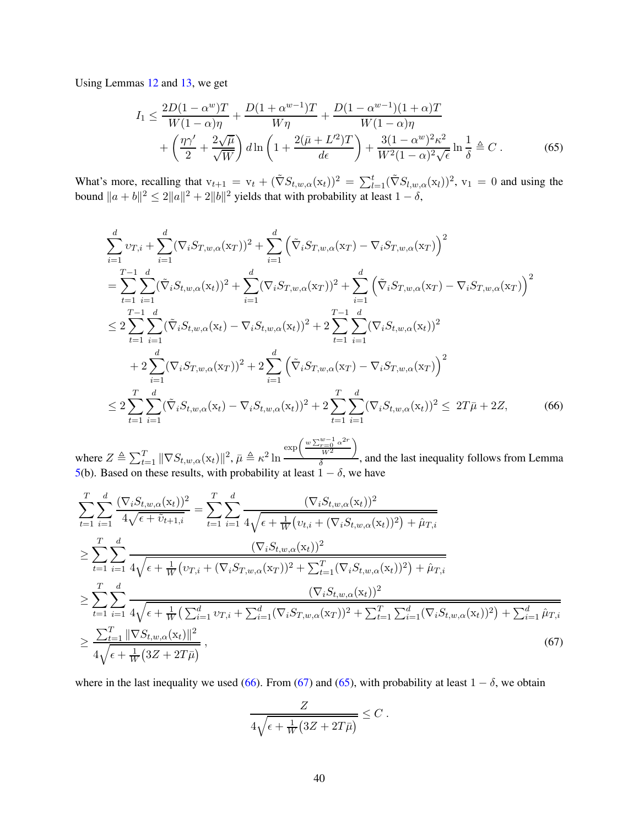Using Lemmas [12](#page-49-0) and [13,](#page-50-1) we get

<span id="page-39-2"></span>
$$
I_1 \leq \frac{2D(1-\alpha^w)T}{W(1-\alpha)\eta} + \frac{D(1+\alpha^{w-1})T}{W\eta} + \frac{D(1-\alpha^{w-1})(1+\alpha)T}{W(1-\alpha)\eta} + \left(\frac{\eta\gamma'}{2} + \frac{2\sqrt{\mu}}{\sqrt{W}}\right)d\ln\left(1 + \frac{2(\bar{\mu} + L'^2)T}{d\epsilon}\right) + \frac{3(1-\alpha^w)^2\kappa^2}{W^2(1-\alpha)^2\sqrt{\epsilon}}\ln\frac{1}{\delta} \triangleq C.
$$
 (65)

What's more, recalling that  $v_{t+1} = v_t + (\tilde{\nabla} S_{t,w,\alpha}(x_t))^2 = \sum_{l=1}^t (\tilde{\nabla} S_{l,w,\alpha}(x_l))^2$ ,  $v_1 = 0$  and using the bound  $||a + b||^2 \le 2||a||^2 + 2||b||^2$  yields that with probability at least  $1 - \delta$ ,

$$
\sum_{i=1}^{d} v_{T,i} + \sum_{i=1}^{d} (\nabla_i S_{T,w,\alpha}(x_T))^2 + \sum_{i=1}^{d} (\tilde{\nabla}_i S_{T,w,\alpha}(x_T) - \nabla_i S_{T,w,\alpha}(x_T))^2
$$
\n
$$
= \sum_{t=1}^{T-1} \sum_{i=1}^{d} (\tilde{\nabla}_i S_{t,w,\alpha}(x_t))^2 + \sum_{i=1}^{d} (\nabla_i S_{T,w,\alpha}(x_T))^2 + \sum_{i=1}^{d} (\tilde{\nabla}_i S_{T,w,\alpha}(x_T) - \nabla_i S_{T,w,\alpha}(x_T))^2
$$
\n
$$
\leq 2 \sum_{t=1}^{T-1} \sum_{i=1}^{d} (\tilde{\nabla}_i S_{t,w,\alpha}(x_t) - \nabla_i S_{t,w,\alpha}(x_t))^2 + 2 \sum_{t=1}^{T-1} \sum_{i=1}^{d} (\nabla_i S_{t,w,\alpha}(x_t))^2
$$
\n
$$
+ 2 \sum_{i=1}^{d} (\nabla_i S_{T,w,\alpha}(x_T))^2 + 2 \sum_{i=1}^{d} (\tilde{\nabla}_i S_{T,w,\alpha}(x_T) - \nabla_i S_{T,w,\alpha}(x_T))^2
$$
\n
$$
\leq 2 \sum_{t=1}^{T} \sum_{i=1}^{d} (\tilde{\nabla}_i S_{t,w,\alpha}(x_t) - \nabla_i S_{t,w,\alpha}(x_t))^2 + 2 \sum_{t=1}^{T} \sum_{i=1}^{d} (\nabla_i S_{t,w,\alpha}(x_t))^2 \leq 2T\bar{\mu} + 2Z,
$$
\n(66)

where  $Z \triangleq \sum_{t=1}^{T} ||\nabla S_{t,w,\alpha}(\mathbf{x}_t)||^2$ ,  $\bar{\mu} \triangleq \kappa^2 \ln \frac{Z}{L}$  $\exp\left(\frac{w\sum_{r=0}^{w-1}\alpha^{2r}}{w^2}\right)$  $W^2$ λ  $\frac{a}{\delta}$ , and the last inequality follows from Lemma [5\(](#page-9-3)b). Based on these results, with probability at least  $1 - \delta$ , we have

$$
\sum_{t=1}^{T} \sum_{i=1}^{d} \frac{(\nabla_{i} S_{t,w,\alpha}(\mathbf{x}_{t}))^{2}}{4\sqrt{\epsilon + \tilde{v}_{t+1,i}}} = \sum_{t=1}^{T} \sum_{i=1}^{d} \frac{(\nabla_{i} S_{t,w,\alpha}(\mathbf{x}_{t}))^{2}}{4\sqrt{\epsilon + \frac{1}{W}(v_{t,i} + (\nabla_{i} S_{t,w,\alpha}(\mathbf{x}_{t}))^{2}) + \hat{\mu}_{T,i}}}
$$
\n
$$
\geq \sum_{t=1}^{T} \sum_{i=1}^{d} \frac{(\nabla_{i} S_{t,w,\alpha}(\mathbf{x}_{t}))^{2}}{4\sqrt{\epsilon + \frac{1}{W}(v_{T,i} + (\nabla_{i} S_{T,w,\alpha}(\mathbf{x}_{T}))^{2} + \sum_{t=1}^{T}(\nabla_{i} S_{t,w,\alpha}(\mathbf{x}_{t}))^{2}) + \hat{\mu}_{T,i}}}
$$
\n
$$
\geq \sum_{t=1}^{T} \sum_{i=1}^{d} \frac{(\nabla_{i} S_{t,w,\alpha}(\mathbf{x}_{t}))^{2}}{4\sqrt{\epsilon + \frac{1}{W}(\sum_{i=1}^{d} v_{T,i} + \sum_{i=1}^{d}(\nabla_{i} S_{T,w,\alpha}(\mathbf{x}_{T}))^{2} + \sum_{t=1}^{T} \sum_{i=1}^{d}(\nabla_{i} S_{t,w,\alpha}(\mathbf{x}_{t}))^{2}) + \sum_{i=1}^{d} \hat{\mu}_{T,i}}}
$$
\n
$$
\geq \frac{\sum_{t=1}^{T} ||\nabla S_{t,w,\alpha}(\mathbf{x}_{t})||^{2}}{4\sqrt{\epsilon + \frac{1}{W} (3Z + 2T\bar{\mu})}}, \qquad (67)
$$

where in the last inequality we used [\(66\)](#page-39-0). From [\(67\)](#page-39-1) and [\(65\)](#page-39-2), with probability at least  $1 - \delta$ , we obtain

<span id="page-39-1"></span><span id="page-39-0"></span>
$$
\frac{Z}{4\sqrt{\epsilon + \frac{1}{W}(3Z + 2T\bar{\mu})}} \leq C.
$$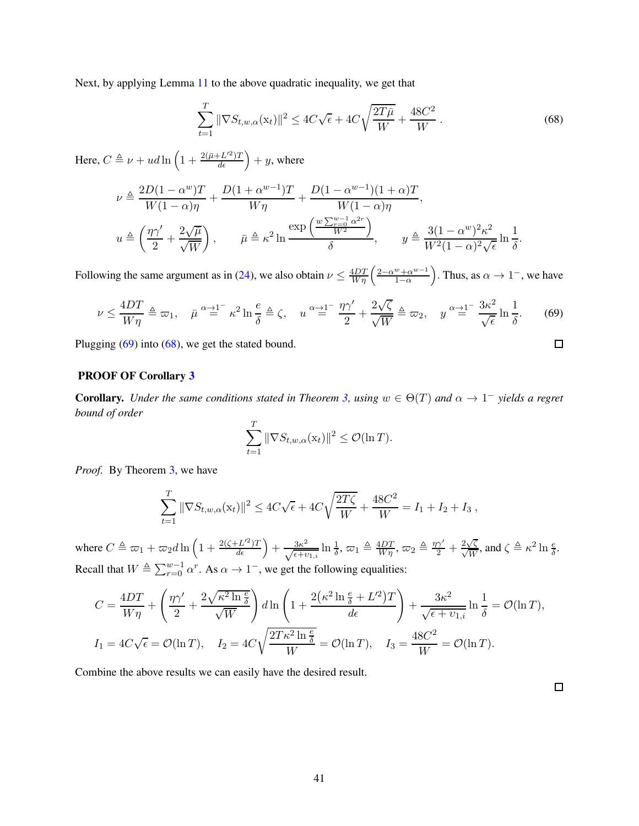Next, by applying Lemma [11](#page-49-1) to the above quadratic inequality, we get that

<span id="page-40-1"></span>
$$
\sum_{t=1}^{T} \|\nabla S_{t,w,\alpha}(\mathbf{x}_t)\|^2 \le 4C\sqrt{\epsilon} + 4C\sqrt{\frac{2T\bar{\mu}}{W}} + \frac{48C^2}{W}.
$$
\n(68)

Here,  $C \triangleq \nu + u d \ln \left( 1 + \frac{2(\bar{\mu} + L'^2)T}{d\epsilon} \right) + y$ , where

$$
\nu \triangleq \frac{2D(1-\alpha^w)T}{W(1-\alpha)\eta} + \frac{D(1+\alpha^{w-1})T}{W\eta} + \frac{D(1-\alpha^{w-1})(1+\alpha)T}{W(1-\alpha)\eta},
$$
  

$$
u \triangleq \left(\frac{\eta\gamma'}{2} + \frac{2\sqrt{\mu}}{\sqrt{W}}\right), \qquad \bar{\mu} \triangleq \kappa^2 \ln \frac{\exp\left(\frac{w\sum_{v=0}^{w-1} \alpha^{2r}}{W^2}\right)}{\delta}, \qquad y \triangleq \frac{3(1-\alpha^w)^2 \kappa^2}{W^2(1-\alpha)^2 \sqrt{\epsilon}} \ln \frac{1}{\delta}.
$$

Following the same argument as in [\(24\)](#page-20-0), we also obtain  $\nu \leq \frac{4DT}{W\eta} \left( \frac{2-\alpha^w+\alpha^{w-1}}{1-\alpha} \right)$  $1-\alpha$ ). Thus, as  $\alpha \to 1^-$ , we have

<span id="page-40-0"></span>
$$
\nu \le \frac{4DT}{W\eta} \triangleq \varpi_1, \quad \bar{\mu}^{\alpha \to 1^{-}} \kappa^2 \ln \frac{e}{\delta} \triangleq \zeta, \quad u^{\alpha \to 1^{-}} \frac{\eta \gamma'}{2} + \frac{2\sqrt{\zeta}}{\sqrt{W}} \triangleq \varpi_2, \quad y^{\alpha \to 1^{-}} \frac{3\kappa^2}{\sqrt{\epsilon}} \ln \frac{1}{\delta}. \tag{69}
$$

Plugging [\(69\)](#page-40-0) into [\(68\)](#page-40-1), we get the stated bound.

#### PROOF OF Corollary [3](#page-10-1)

**Corollary.** Under the same conditions stated in Theorem [3,](#page-9-0) using  $w \in \Theta(T)$  and  $\alpha \to 1^-$  yields a regret *bound of order*

$$
\sum_{t=1}^T \|\nabla S_{t,w,\alpha}(\mathbf{x}_t)\|^2 \leq \mathcal{O}(\ln T).
$$

*Proof.* By Theorem [3,](#page-9-0) we have

$$
\sum_{t=1}^{T} \|\nabla S_{t,w,\alpha}(\mathbf{x}_t)\|^2 \le 4C\sqrt{\epsilon} + 4C\sqrt{\frac{2T\zeta}{W}} + \frac{48C^2}{W} = I_1 + I_2 + I_3,
$$

where  $C \triangleq \omega_1 + \omega_2 d \ln \left( 1 + \frac{2(\zeta + L'^2)T}{d\epsilon} \right) + \frac{3\kappa^2}{\sqrt{\epsilon + v_{1,i}}} \ln \frac{1}{\delta}, \omega_1 \triangleq \frac{4DT}{W\eta}, \omega_2 \triangleq \frac{\eta \gamma'}{2} + \frac{2\sqrt{\zeta}}{\sqrt{W}}, \text{and } \zeta \triangleq \kappa^2 \ln \frac{e}{\delta}.$ Recall that  $W \triangleq \sum_{r=0}^{w-1} \alpha^r$ . As  $\alpha \to 1^-$ , we get the following equalities:

$$
C = \frac{4DT}{W\eta} + \left(\frac{\eta\gamma'}{2} + \frac{2\sqrt{\kappa^2 \ln \frac{e}{\delta}}}{\sqrt{W}}\right) d\ln\left(1 + \frac{2(\kappa^2 \ln \frac{e}{\delta} + L'^2)T}{d\epsilon}\right) + \frac{3\kappa^2}{\sqrt{\epsilon + \upsilon_{1,i}}} \ln \frac{1}{\delta} = \mathcal{O}(\ln T),
$$
  
\n
$$
I_1 = 4C\sqrt{\epsilon} = \mathcal{O}(\ln T), \quad I_2 = 4C\sqrt{\frac{2T\kappa^2 \ln \frac{e}{\delta}}{W}} = \mathcal{O}(\ln T), \quad I_3 = \frac{48C^2}{W} = \mathcal{O}(\ln T).
$$

Combine the above results we can easily have the desired result.

 $\Box$ 

 $\Box$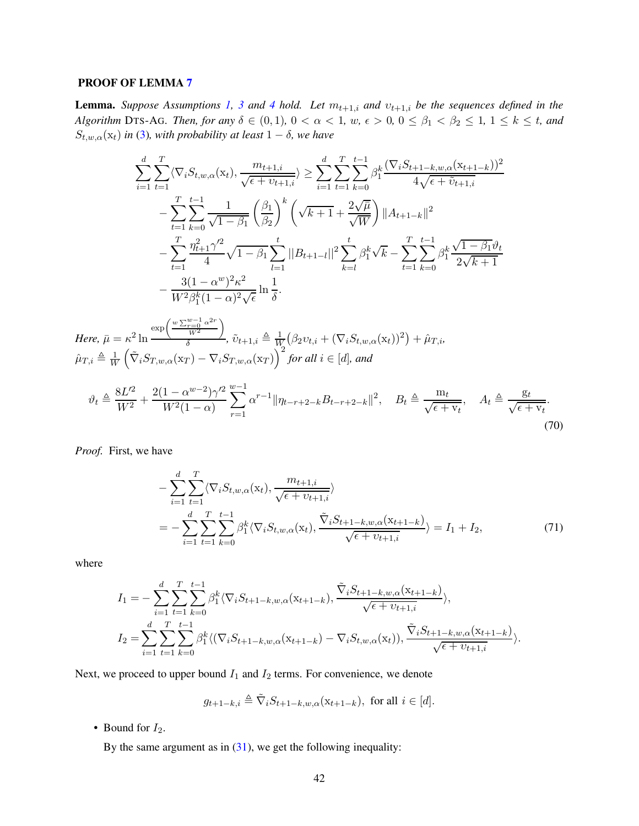#### PROOF OF LEMMA [7](#page-10-2)

**Lemma.** *Suppose Assumptions* [1,](#page-5-1) [3](#page-6-1) and [4](#page-9-2) hold. Let  $m_{t+1,i}$  and  $v_{t+1,i}$  be the sequences defined in the *Algorithm* DTS-AG*. Then, for any*  $\delta \in (0,1)$ ,  $0 < \alpha < 1$ ,  $w, \epsilon > 0$ ,  $0 \le \beta_1 < \beta_2 \le 1$ ,  $1 \le k \le t$ , and  $S_{t,w,\alpha}(\mathbf{x}_t)$  *in* [\(3\)](#page-6-2)*, with probability at least*  $1 - \delta$ *, we have* 

$$
\sum_{i=1}^{d} \sum_{t=1}^{T} \langle \nabla_{i} S_{t,w,\alpha}(x_{t}), \frac{m_{t+1,i}}{\sqrt{\epsilon + \upsilon_{t+1,i}}} \rangle \geq \sum_{i=1}^{d} \sum_{t=1}^{T} \sum_{k=0}^{t-1} \beta_{1}^{k} \frac{(\nabla_{i} S_{t+1-k,w,\alpha}(x_{t+1-k}))^{2}}{4\sqrt{\epsilon + \upsilon_{t+1,i}}} \n- \sum_{t=1}^{T} \sum_{k=0}^{t-1} \frac{1}{\sqrt{1-\beta_{1}}} \left(\frac{\beta_{1}}{\beta_{2}}\right)^{k} \left(\sqrt{k+1} + \frac{2\sqrt{\mu}}{\sqrt{W}}\right) ||A_{t+1-k}||^{2} \n- \sum_{t=1}^{T} \frac{\eta_{t+1}^{2} \gamma_{2}^{2}}{4} \sqrt{1-\beta_{1}} \sum_{l=1}^{t} ||B_{t+1-l}||^{2} \sum_{k=l}^{t} \beta_{1}^{k} \sqrt{k} - \sum_{t=1}^{T} \sum_{k=0}^{t-1} \beta_{1}^{k} \frac{\sqrt{1-\beta_{1}} \vartheta_{t}}{2\sqrt{k+1}} \n- \frac{3(1-\alpha^{w})^{2} \kappa^{2}}{W^{2} \beta_{1}^{k} (1-\alpha)^{2} \sqrt{\epsilon}} \ln \frac{1}{\delta}.
$$

*Here,*  $\bar{\mu} = \kappa^2 \ln$  $\exp\left(\frac{w\sum_{r=0}^{w-1}\alpha^{2r}}{w^2}\right)$  $W^2$  $\setminus$  $\frac{W^2}{\delta}$ ,  $\tilde{v}_{t+1,i} \triangleq \frac{1}{W}$  $\frac{1}{W}(\beta_2 v_{t,i} + (\nabla_i S_{t,w,\alpha}(\mathbf{x}_t))^2) + \hat{\mu}_{T,i},$  $\hat{\mu}_{T,i} \triangleq \frac{1}{W}$ W  $(\tilde{\nabla}_i S_{T,w,\alpha}(\mathbf{x}_T) - \nabla_i S_{T,w,\alpha}(\mathbf{x}_T))^{2}$  for all  $i \in [d]$ , and

$$
\vartheta_t \triangleq \frac{8L^{\prime 2}}{W^2} + \frac{2(1 - \alpha^{w-2})\gamma^{\prime 2}}{W^2(1 - \alpha)} \sum_{r=1}^{w-1} \alpha^{r-1} \|\eta_{t-r+2-k} B_{t-r+2-k}\|^2, \quad B_t \triangleq \frac{m_t}{\sqrt{\epsilon + v_t}}, \quad A_t \triangleq \frac{g_t}{\sqrt{\epsilon + v_t}}.
$$
\n(70)

*Proof.* First, we have

<span id="page-41-0"></span>
$$
-\sum_{i=1}^{d} \sum_{t=1}^{T} \langle \nabla_{i} S_{t,w,\alpha}(\mathbf{x}_{t}), \frac{m_{t+1,i}}{\sqrt{\epsilon + v_{t+1,i}}}\rangle
$$
  
=\n
$$
-\sum_{i=1}^{d} \sum_{t=1}^{T} \sum_{k=0}^{t-1} \beta_{1}^{k} \langle \nabla_{i} S_{t,w,\alpha}(\mathbf{x}_{t}), \frac{\tilde{\nabla}_{i} S_{t+1-k,w,\alpha}(\mathbf{x}_{t+1-k})}{\sqrt{\epsilon + v_{t+1,i}}}\rangle = I_{1} + I_{2},
$$
\n(71)

where

$$
I_{1} = -\sum_{i=1}^{d} \sum_{t=1}^{T} \sum_{k=0}^{t-1} \beta_{1}^{k} \langle \nabla_{i} S_{t+1-k,w,\alpha}(x_{t+1-k}), \frac{\tilde{\nabla}_{i} S_{t+1-k,w,\alpha}(x_{t+1-k})}{\sqrt{\epsilon + \nu_{t+1,i}}} \rangle,
$$
  
\n
$$
I_{2} = \sum_{i=1}^{d} \sum_{t=1}^{T} \sum_{k=0}^{t-1} \beta_{1}^{k} \langle (\nabla_{i} S_{t+1-k,w,\alpha}(x_{t+1-k}) - \nabla_{i} S_{t,w,\alpha}(x_{t})), \frac{\tilde{\nabla}_{i} S_{t+1-k,w,\alpha}(x_{t+1-k})}{\sqrt{\epsilon + \nu_{t+1,i}}} \rangle.
$$

Next, we proceed to upper bound  $I_1$  and  $I_2$  terms. For convenience, we denote

<span id="page-41-1"></span>
$$
g_{t+1-k,i} \triangleq \tilde{\nabla}_i S_{t+1-k,w,\alpha}(\mathbf{x}_{t+1-k}), \text{ for all } i \in [d].
$$

• Bound for  $I_2$ .

By the same argument as in  $(31)$ , we get the following inequality: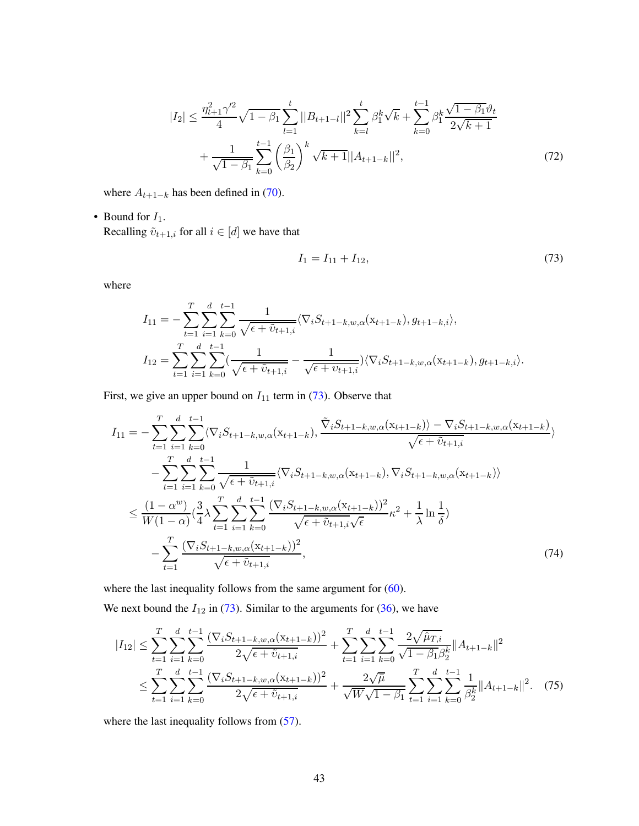$$
|I_2| \leq \frac{\eta_{t+1}^2 \gamma'^2}{4} \sqrt{1 - \beta_1} \sum_{l=1}^t ||B_{t+1-l}||^2 \sum_{k=l}^t \beta_1^k \sqrt{k} + \sum_{k=0}^{t-1} \beta_1^k \frac{\sqrt{1 - \beta_1} \vartheta_t}{2\sqrt{k+1}} + \frac{1}{\sqrt{1 - \beta_1}} \sum_{k=0}^{t-1} \left(\frac{\beta_1}{\beta_2}\right)^k \sqrt{k+1} ||A_{t+1-k}||^2,
$$
\n(72)

where  $A_{t+1-k}$  has been defined in [\(70\)](#page-41-0).

• Bound for  $I_1$ .

Recalling  $\tilde{v}_{t+1,i}$  for all  $i \in [d]$  we have that

<span id="page-42-3"></span><span id="page-42-1"></span><span id="page-42-0"></span>
$$
I_1 = I_{11} + I_{12},\tag{73}
$$

where

$$
I_{11} = -\sum_{t=1}^{T} \sum_{i=1}^{d} \sum_{k=0}^{t-1} \frac{1}{\sqrt{\epsilon + \tilde{v}_{t+1,i}}} \langle \nabla_i S_{t+1-k,w,\alpha}(x_{t+1-k}), g_{t+1-k,i} \rangle,
$$
  
\n
$$
I_{12} = \sum_{t=1}^{T} \sum_{i=1}^{d} \sum_{k=0}^{t-1} \frac{1}{\sqrt{\epsilon + \tilde{v}_{t+1,i}}} - \frac{1}{\sqrt{\epsilon + \tilde{v}_{t+1,i}}} \rangle \langle \nabla_i S_{t+1-k,w,\alpha}(x_{t+1-k}), g_{t+1-k,i} \rangle.
$$

First, we give an upper bound on  $I_{11}$  term in [\(73\)](#page-42-0). Observe that

$$
I_{11} = -\sum_{t=1}^{T} \sum_{i=1}^{d} \sum_{k=0}^{t-1} \langle \nabla_{i} S_{t+1-k,w,\alpha}(x_{t+1-k}), \frac{\tilde{\nabla}_{i} S_{t+1-k,w,\alpha}(x_{t+1-k}) - \nabla_{i} S_{t+1-k,w,\alpha}(x_{t+1-k})}{\sqrt{\epsilon + \tilde{v}_{t+1,i}}}\rangle
$$
  
\n
$$
-\sum_{t=1}^{T} \sum_{i=1}^{d} \sum_{k=0}^{t-1} \frac{1}{\sqrt{\epsilon + \tilde{v}_{t+1,i}}} \langle \nabla_{i} S_{t+1-k,w,\alpha}(x_{t+1-k}), \nabla_{i} S_{t+1-k,w,\alpha}(x_{t+1-k}) \rangle
$$
  
\n
$$
\leq \frac{(1-\alpha^{w})}{W(1-\alpha)} \left(\frac{3}{4} \lambda \sum_{t=1}^{T} \sum_{i=1}^{d} \sum_{k=0}^{t-1} \frac{(\nabla_{i} S_{t+1-k,w,\alpha}(x_{t+1-k}))^{2}}{\sqrt{\epsilon + \tilde{v}_{t+1,i}} \sqrt{\epsilon}} \kappa^{2} + \frac{1}{\lambda} \ln \frac{1}{\delta}\right)
$$
  
\n
$$
-\sum_{t=1}^{T} \frac{(\nabla_{i} S_{t+1-k,w,\alpha}(x_{t+1-k}))^{2}}{\sqrt{\epsilon + \tilde{v}_{t+1,i}}}, \tag{74}
$$

where the last inequality follows from the same argument for  $(60)$ .

We next bound the  $I_{12}$  in [\(73\)](#page-42-0). Similar to the arguments for [\(36\)](#page-25-0), we have

<span id="page-42-2"></span>
$$
|I_{12}| \leq \sum_{t=1}^{T} \sum_{i=1}^{d} \sum_{k=0}^{t-1} \frac{(\nabla_i S_{t+1-k, w, \alpha} (x_{t+1-k}))^2}{2\sqrt{\epsilon + \tilde{v}_{t+1,i}}} + \sum_{t=1}^{T} \sum_{i=1}^{d} \sum_{k=0}^{t-1} \frac{2\sqrt{\hat{\mu}_{T,i}}}{\sqrt{1 - \beta_1 \beta_2^k}} ||A_{t+1-k}||^2
$$
  

$$
\leq \sum_{t=1}^{T} \sum_{i=1}^{d} \sum_{k=0}^{t-1} \frac{(\nabla_i S_{t+1-k, w, \alpha} (x_{t+1-k}))^2}{2\sqrt{\epsilon + \tilde{v}_{t+1,i}}} + \frac{2\sqrt{\tilde{\mu}}}{\sqrt{W}\sqrt{1 - \beta_1}} \sum_{t=1}^{T} \sum_{i=1}^{d} \sum_{k=0}^{t-1} \frac{1}{\beta_2^k} ||A_{t+1-k}||^2. \quad (75)
$$

where the last inequality follows from  $(57)$ .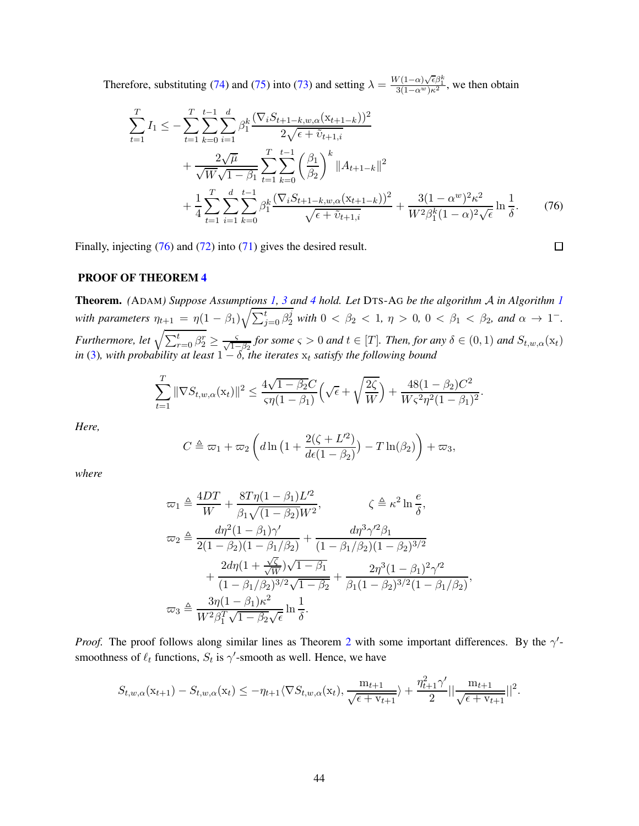Therefore, substituting [\(74\)](#page-42-1) and [\(75\)](#page-42-2) into [\(73\)](#page-42-0) and setting  $\lambda = \frac{W(1-\alpha)\sqrt{\epsilon}\beta_1^k}{3(1-\alpha^w)\kappa^2}$ , we then obtain

$$
\sum_{t=1}^{T} I_1 \leq -\sum_{t=1}^{T} \sum_{k=0}^{t-1} \sum_{i=1}^{d} \beta_1^k \frac{(\nabla_i S_{t+1-k,w,\alpha}(x_{t+1-k}))^2}{2\sqrt{\epsilon + \tilde{v}_{t+1,i}}} \n+ \frac{2\sqrt{\mu}}{\sqrt{W}\sqrt{1-\beta_1}} \sum_{t=1}^{T} \sum_{k=0}^{t-1} \left(\frac{\beta_1}{\beta_2}\right)^k \|A_{t+1-k}\|^2 \n+ \frac{1}{4} \sum_{t=1}^{T} \sum_{i=1}^{d} \sum_{k=0}^{t-1} \beta_1^k \frac{(\nabla_i S_{t+1-k,w,\alpha}(x_{t+1-k}))^2}{\sqrt{\epsilon + \tilde{v}_{t+1,i}}} + \frac{3(1-\alpha^w)^2 \kappa^2}{W^2 \beta_1^k (1-\alpha)^2 \sqrt{\epsilon}} \ln \frac{1}{\delta}.
$$
\n(76)

Finally, injecting [\(76\)](#page-43-0) and [\(72\)](#page-42-3) into [\(71\)](#page-41-1) gives the desired result.

<span id="page-43-0"></span>
$$
\Box
$$

#### PROOF OF THEOREM [4](#page-10-0)

Theorem. *(*ADAM*) Suppose Assumptions [1,](#page-5-1) [3](#page-6-1) and [4](#page-9-2) hold. Let* DTS-A<sup>G</sup> *be the algorithm* A *in Algorithm [1](#page-3-0) with parameters*  $\eta_{t+1} = \eta (1 - \beta_1) \sqrt{\sum_{j=0}^t \beta_2^j}$  *with*  $0 < \beta_2 < 1$ ,  $\eta > 0$ ,  $0 < \beta_1 < \beta_2$ , and  $\alpha \to 1^-$ . *Furthermore, let*  $\sqrt{\sum_{r=0}^{t} \beta_r^r} \ge \frac{5}{\sqrt{1-\beta_2}}$  *for some*  $\varsigma > 0$  *and*  $t \in [T]$ *. Then, for any*  $\delta \in (0,1)$  *and*  $S_{t,w,\alpha}(\mathbf{x}_t)$ *in* [\(3\)](#page-6-2), with probability at least  $1 - \delta$ , the iterates  $x_t$  satisfy the following bound

$$
\sum_{t=1}^T \|\nabla S_{t,w,\alpha}(\mathbf{x}_t)\|^2 \le \frac{4\sqrt{1-\beta_2}C}{\varsigma \eta (1-\beta_1)} \Big(\sqrt{\epsilon} + \sqrt{\frac{2\zeta}{W}}\Big) + \frac{48(1-\beta_2)C^2}{W\varsigma^2 \eta^2 (1-\beta_1)^2}.
$$

*Here,*

$$
C \triangleq \varpi_1 + \varpi_2 \left( d \ln \left( 1 + \frac{2(\zeta + L^2)}{d\epsilon (1 - \beta_2)} \right) - T \ln(\beta_2) \right) + \varpi_3,
$$

*where*

$$
\varpi_1 \triangleq \frac{4DT}{W} + \frac{8T\eta(1-\beta_1)L'^2}{\beta_1\sqrt{(1-\beta_2)W^2}}, \qquad \zeta \triangleq \kappa^2 \ln \frac{e}{\delta},
$$
  

$$
\varpi_2 \triangleq \frac{d\eta^2(1-\beta_1)\gamma'}{2(1-\beta_2)(1-\beta_1/\beta_2)} + \frac{d\eta^3\gamma'^2\beta_1}{(1-\beta_1/\beta_2)(1-\beta_2)^{3/2}} + \frac{2d\eta(1+\frac{\sqrt{\zeta}}{\sqrt{W}})\sqrt{1-\beta_1}}{(1-\beta_1/\beta_2)^{3/2}\sqrt{1-\beta_2}} + \frac{2\eta^3(1-\beta_1)^2\gamma'^2}{\beta_1(1-\beta_2)^{3/2}(1-\beta_1/\beta_2)},
$$
  

$$
\varpi_3 \triangleq \frac{3\eta(1-\beta_1)\kappa^2}{W^2\beta_1^T\sqrt{1-\beta_2}\sqrt{\epsilon}} \ln \frac{1}{\delta}.
$$

*Proof.* The proof follows along similar lines as Theorem [2](#page-8-0) with some important differences. By the  $\gamma'$ smoothness of  $\ell_t$  functions,  $S_t$  is  $\gamma'$ -smooth as well. Hence, we have

$$
S_{t,w,\alpha}(\mathbf{x}_{t+1}) - S_{t,w,\alpha}(\mathbf{x}_t) \le -\eta_{t+1} \langle \nabla S_{t,w,\alpha}(\mathbf{x}_t), \frac{\mathbf{m}_{t+1}}{\sqrt{\epsilon + \mathbf{v}_{t+1}}} \rangle + \frac{\eta_{t+1}^2 \gamma'}{2} || \frac{\mathbf{m}_{t+1}}{\sqrt{\epsilon + \mathbf{v}_{t+1}}} ||^2.
$$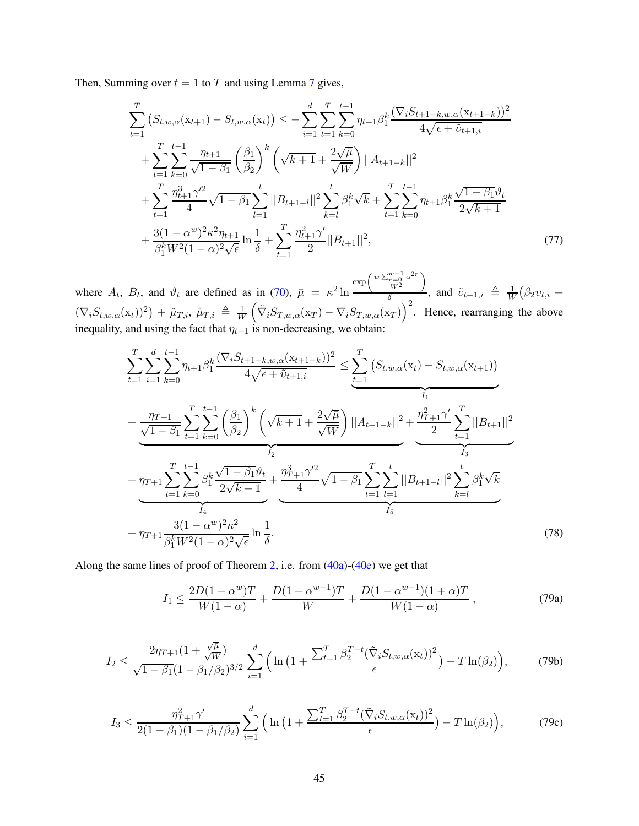Then, Summing over  $t = 1$  to T and using Lemma [7](#page-10-2) gives,

$$
\sum_{t=1}^{T} \left( S_{t,w,\alpha}(\mathbf{x}_{t+1}) - S_{t,w,\alpha}(\mathbf{x}_{t}) \right) \leq - \sum_{i=1}^{d} \sum_{t=1}^{T} \sum_{k=0}^{t-1} \eta_{t+1} \beta_{1}^{k} \frac{(\nabla_{i} S_{t+1-k,w,\alpha}(\mathbf{x}_{t+1-k}))^{2}}{4\sqrt{\epsilon + \tilde{v}_{t+1,i}}}
$$
\n
$$
+ \sum_{t=1}^{T} \sum_{k=0}^{t-1} \frac{\eta_{t+1}}{\sqrt{1-\beta_{1}}} \left( \frac{\beta_{1}}{\beta_{2}} \right)^{k} \left( \sqrt{k+1} + \frac{2\sqrt{\mu}}{\sqrt{W}} \right) ||A_{t+1-k}||^{2}
$$
\n
$$
+ \sum_{t=1}^{T} \frac{\eta_{t+1}^{3} \gamma_{2}^{2}}{4} \sqrt{1-\beta_{1}} \sum_{l=1}^{t} ||B_{t+1-l}||^{2} \sum_{k=l}^{t} \beta_{1}^{k} \sqrt{k} + \sum_{t=1}^{T} \sum_{k=0}^{t-1} \eta_{t+1} \beta_{1}^{k} \frac{\sqrt{1-\beta_{1}} \vartheta_{t}}{2\sqrt{k+1}}
$$
\n
$$
+ \frac{3(1-\alpha^{w})^{2} \kappa_{1}^{2} \eta_{t+1}}{\beta_{1}^{k} W^{2} (1-\alpha)^{2} \sqrt{\epsilon}} \ln \frac{1}{\delta} + \sum_{t=1}^{T} \frac{\eta_{t+1}^{2} \gamma_{1}^{2}}{2} ||B_{t+1}||^{2}, \tag{77}
$$

where  $A_t$ ,  $B_t$ , and  $\vartheta_t$  are defined as in [\(70\)](#page-41-0),  $\bar{\mu} = \kappa^2 \ln \frac{A_t}{\sigma^2}$  $\exp\left(\frac{w\sum_{r=0}^{w-1}\alpha^{2r}}{w^2}\right)$  $W^2$  $\setminus$  $\frac{W^2}{\delta}$ , and  $\tilde{v}_{t+1,i} \triangleq \frac{1}{W}$  $\frac{1}{W}(\beta_2 v_{t,i} +$  $(\nabla_i S_{t,w,\alpha}(\mathbf{x}_t))^2$  +  $\hat{\mu}_{T,i}, \hat{\mu}_{T,i} \triangleq \frac{1}{W}$ W  $(\tilde{\nabla}_i S_{T,w,\alpha}(\mathbf{x}_T) - \nabla_i S_{T,w,\alpha}(\mathbf{x}_T))^2$ . Hence, rearranging the above inequality, and using the fact that  $\eta_{t+1}$  is non-decreasing, we obtain:

$$
\sum_{t=1}^{T} \sum_{i=1}^{d} \sum_{k=0}^{t-1} \eta_{t+1} \beta_{1}^{k} \frac{(\nabla_{i} S_{t+1-k,w,\alpha}(x_{t+1-k}))^{2}}{4\sqrt{\epsilon + \tilde{v}_{t+1,i}}} \leq \sum_{t=1}^{T} (S_{t,w,\alpha}(x_{t}) - S_{t,w,\alpha}(x_{t+1}))
$$
\n
$$
+ \underbrace{\frac{\eta_{T+1}}{\sqrt{1-\beta_{1}}} \sum_{t=1}^{T} \sum_{k=0}^{t-1} \left(\frac{\beta_{1}}{\beta_{2}}\right)^{k} \left(\sqrt{k+1} + \frac{2\sqrt{\mu}}{\sqrt{W}}\right) ||A_{t+1-k}||^{2} + \frac{\eta_{T+1}^{2}\gamma'}{2} \sum_{t=1}^{T} ||B_{t+1}||^{2}}_{I_{3}}
$$
\n
$$
+ \underbrace{\frac{\eta_{T+1}}{\sqrt{1-\beta_{1}}} \sum_{k=0}^{T} \beta_{1}^{k} \frac{\sqrt{1-\beta_{1}}\vartheta_{t}}{2\sqrt{k+1}}}_{I_{4}} + \underbrace{\frac{\eta_{T+1}^{3}\gamma'^{2}}{4} \sqrt{1-\beta_{1}} \sum_{t=1}^{T} \sum_{l=1}^{t} ||B_{t+1-l}||^{2} \sum_{k=l}^{t} \beta_{1}^{k} \sqrt{k}}_{I_{5}}
$$
\n
$$
+ \eta_{T+1} \frac{3(1-\alpha^{w})^{2}\kappa^{2}}{\beta_{1}^{k}W^{2}(1-\alpha)^{2}\sqrt{\epsilon}} \ln \frac{1}{\delta}.
$$
\n(78)

Along the same lines of proof of Theorem [2,](#page-8-0) i.e. from  $(40a)-(40e)$  $(40a)-(40e)$  $(40a)-(40e)$  we get that

<span id="page-44-1"></span><span id="page-44-0"></span>
$$
I_1 \le \frac{2D(1-\alpha^w)T}{W(1-\alpha)} + \frac{D(1+\alpha^{w-1})T}{W} + \frac{D(1-\alpha^{w-1})(1+\alpha)T}{W(1-\alpha)},
$$
\n(79a)

$$
I_2 \le \frac{2\eta_{T+1}(1+\frac{\sqrt{\mu}}{\sqrt{W}})}{\sqrt{1-\beta_1}(1-\beta_1/\beta_2)^{3/2}} \sum_{i=1}^d \Big( \ln\big(1+\frac{\sum_{t=1}^T \beta_2^{T-t} (\tilde{\nabla}_i S_{t,w,\alpha}(\mathbf{x}_t))^2}{\epsilon}\big) - T \ln(\beta_2) \Big),\tag{79b}
$$

$$
I_3 \le \frac{\eta_{T+1}^2 \gamma'}{2(1-\beta_1)(1-\beta_1/\beta_2)} \sum_{i=1}^d \left( \ln\left(1 + \frac{\sum_{t=1}^T \beta_2^{T-t} (\tilde{\nabla}_i S_{t,w,\alpha}(\mathbf{x}_t))^2}{\epsilon} \right) - T \ln(\beta_2) \right),\tag{79c}
$$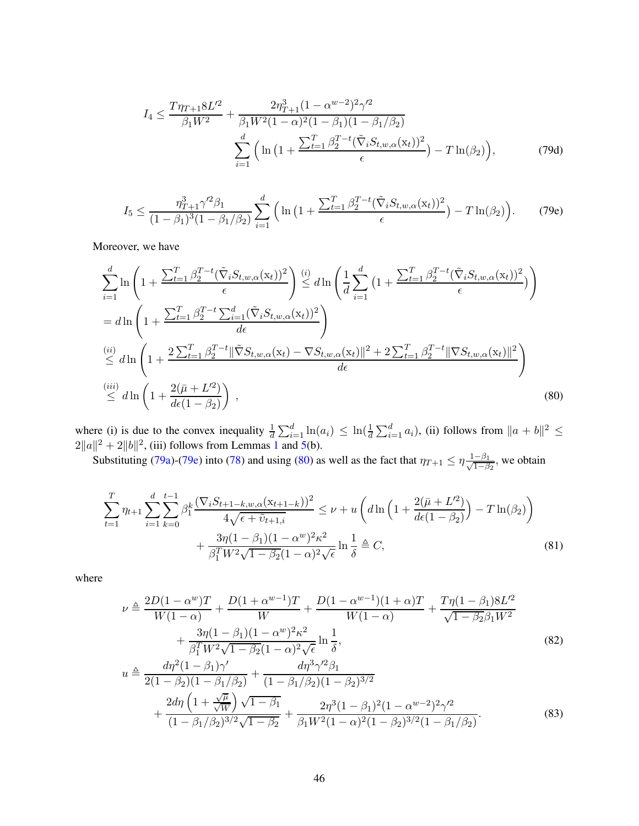<span id="page-45-0"></span>
$$
I_4 \leq \frac{T\eta_{T+1}8L^2}{\beta_1W^2} + \frac{2\eta_{T+1}^3(1-\alpha^{w-2})^2\gamma^2}{\beta_1W^2(1-\alpha)^2(1-\beta_1)(1-\beta_1/\beta_2)}\n\sum_{i=1}^d \left(\ln\left(1+\frac{\sum_{t=1}^T \beta_2^{T-t}(\tilde{\nabla}_i S_{t,w,\alpha}(\mathbf{x}_t))^2}{\epsilon}\right) - T\ln(\beta_2)\right),
$$
\n(79d)

$$
I_5 \le \frac{\eta_{T+1}^3 \gamma'^2 \beta_1}{(1-\beta_1)^3 (1-\beta_1/\beta_2)} \sum_{i=1}^d \left( \ln \left( 1 + \frac{\sum_{t=1}^T \beta_2^{T-t} (\tilde{\nabla}_i S_{t,w,\alpha}(\mathbf{x}_t))^2}{\epsilon} \right) - T \ln(\beta_2) \right). \tag{79e}
$$

Moreover, we have

$$
\sum_{i=1}^{d} \ln \left( 1 + \frac{\sum_{t=1}^{T} \beta_{2}^{T-t} (\tilde{\nabla}_{i} S_{t,w,\alpha}(\mathbf{x}_{t}))^{2}}{\epsilon} \right) \stackrel{(i)}{\leq} d \ln \left( \frac{1}{d} \sum_{i=1}^{d} \left( 1 + \frac{\sum_{t=1}^{T} \beta_{2}^{T-t} (\tilde{\nabla}_{i} S_{t,w,\alpha}(\mathbf{x}_{t}))^{2}}{\epsilon} \right) \right)
$$
\n
$$
= d \ln \left( 1 + \frac{\sum_{t=1}^{T} \beta_{2}^{T-t} \sum_{i=1}^{d} (\tilde{\nabla}_{i} S_{t,w,\alpha}(\mathbf{x}_{t}))^{2}}{d \epsilon} \right)
$$
\n
$$
\stackrel{(ii)}{\leq} d \ln \left( 1 + \frac{2 \sum_{t=1}^{T} \beta_{2}^{T-t} ||\tilde{\nabla} S_{t,w,\alpha}(\mathbf{x}_{t}) - \nabla S_{t,w,\alpha}(\mathbf{x}_{t}) ||^{2} + 2 \sum_{t=1}^{T} \beta_{2}^{T-t} ||\nabla S_{t,w,\alpha}(\mathbf{x}_{t}) ||^{2}}{d \epsilon} \right)
$$
\n
$$
\stackrel{(iii)}{\leq} d \ln \left( 1 + \frac{2(\bar{\mu} + L'^{2})}{d \epsilon (1 - \beta_{2})} \right),
$$
\n
$$
(80)
$$

where (i) is due to the convex inequality  $\frac{1}{d} \sum_{i=1}^{d} \ln(a_i) \leq \ln(\frac{1}{d} \sum_{i=1}^{d} a_i)$ , (ii) follows from  $||a + b||^2 \leq$  $2||a||^2 + 2||b||^2$ , (iii) follows from Lemmas [1](#page-6-3) and [5\(](#page-9-3)b).

Substituting [\(79a\)](#page-44-0)-[\(79e\)](#page-45-0) into [\(78\)](#page-44-1) and using [\(80\)](#page-45-1) as well as the fact that  $\eta_{T+1} \le \eta \frac{1-\beta_1}{\sqrt{1-\beta}}$  $\frac{-\beta_1}{1-\beta_2}$ , we obtain

<span id="page-45-1"></span>
$$
\sum_{t=1}^{T} \eta_{t+1} \sum_{i=1}^{d} \sum_{k=0}^{t-1} \beta_{1}^{k} \frac{(\nabla_{i} S_{t+1-k,w,\alpha}(\mathbf{x}_{t+1-k}))^{2}}{4\sqrt{\epsilon + \tilde{v}_{t+1,i}}} \leq \nu + u \left( d \ln \left( 1 + \frac{2(\bar{\mu} + L^{2})}{d\epsilon (1 - \beta_{2})} \right) - T \ln(\beta_{2}) \right) + \frac{3\eta (1 - \beta_{1})(1 - \alpha^{w})^{2} \kappa^{2}}{\beta_{1}^{T} W^{2} \sqrt{1 - \beta_{2}} (1 - \alpha)^{2} \sqrt{\epsilon}} \ln \frac{1}{\delta} \triangleq C,
$$
\n(81)

where

<span id="page-45-2"></span>
$$
\nu \triangleq \frac{2D(1-\alpha^{w})T}{W(1-\alpha)} + \frac{D(1+\alpha^{w-1})T}{W} + \frac{D(1-\alpha^{w-1})(1+\alpha)T}{W(1-\alpha)} + \frac{T\eta(1-\beta_{1})8L^2}{\sqrt{1-\beta_{2}\beta_{1}W^2}} + \frac{3\eta(1-\beta_{1})(1-\alpha^{w})^{2}\kappa^{2}}{\beta_{1}^{T}W^{2}\sqrt{1-\beta_{2}}(1-\alpha)^{2}\sqrt{\epsilon}}\ln\frac{1}{\delta},
$$
\n
$$
u \triangleq \frac{d\eta^{2}(1-\beta_{1})\gamma'}{2(1-\beta_{2})(1-\beta_{1}/\beta_{2})} + \frac{d\eta^{3}\gamma'^{2}\beta_{1}}{(1-\beta_{1}/\beta_{2})(1-\beta_{2})^{3/2}}
$$
\n(82)

<span id="page-45-4"></span><span id="page-45-3"></span>
$$
+\frac{2d\eta\left(1+\frac{\sqrt{\mu}}{\sqrt{W}}\right)\sqrt{1-\beta_1}}{(1-\beta_1/\beta_2)^{3/2}\sqrt{1-\beta_2}}+\frac{2\eta^3(1-\beta_1)^2(1-\alpha^{w-2})^2\gamma'^2}{\beta_1W^2(1-\alpha)^2(1-\beta_2)^{3/2}(1-\beta_1/\beta_2)}.
$$
(83)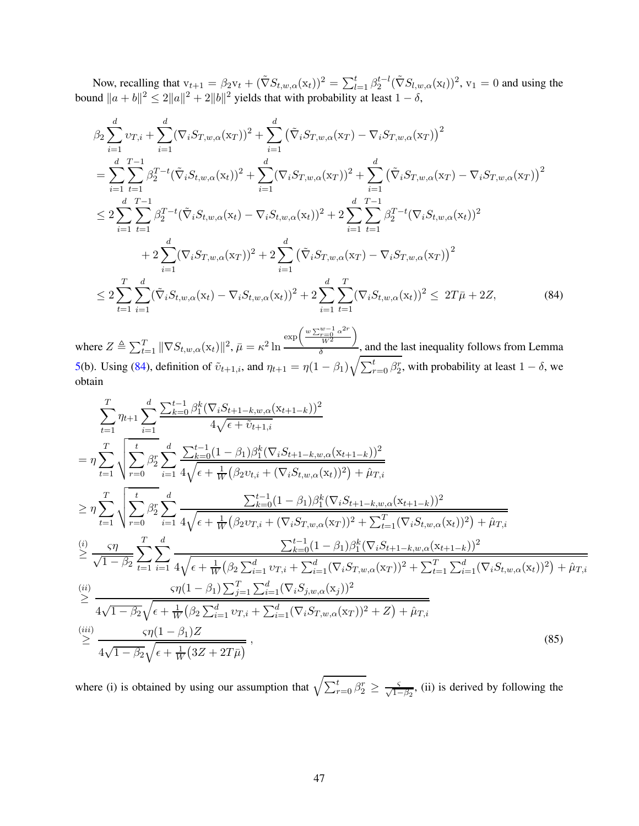Now, recalling that  $v_{t+1} = \beta_2 v_t + (\tilde{\nabla} S_{t,w,\alpha}(x_t))^2 = \sum_{l=1}^t \beta_2^{t-l} (\tilde{\nabla} S_{l,w,\alpha}(x_l))^2$ ,  $v_1 = 0$  and using the bound  $||a + b||^2 \le 2||a||^2 + 2||b||^2$  yields that with probability at least  $1 - \delta$ ,

$$
\beta_{2} \sum_{i=1}^{d} \upsilon_{T,i} + \sum_{i=1}^{d} (\nabla_{i} S_{T,w,\alpha}(x_{T}))^{2} + \sum_{i=1}^{d} (\tilde{\nabla}_{i} S_{T,w,\alpha}(x_{T}) - \nabla_{i} S_{T,w,\alpha}(x_{T}))^{2}
$$
\n
$$
= \sum_{i=1}^{d} \sum_{t=1}^{T-1} \beta_{2}^{T-t} (\tilde{\nabla}_{i} S_{t,w,\alpha}(x_{t}))^{2} + \sum_{i=1}^{d} (\nabla_{i} S_{T,w,\alpha}(x_{T}))^{2} + \sum_{i=1}^{d} (\tilde{\nabla}_{i} S_{T,w,\alpha}(x_{T}) - \nabla_{i} S_{T,w,\alpha}(x_{T}))^{2}
$$
\n
$$
\leq 2 \sum_{i=1}^{d} \sum_{t=1}^{T-1} \beta_{2}^{T-t} (\tilde{\nabla}_{i} S_{t,w,\alpha}(x_{t}) - \nabla_{i} S_{t,w,\alpha}(x_{t}))^{2} + 2 \sum_{i=1}^{d} \sum_{t=1}^{T-1} \beta_{2}^{T-t} (\nabla_{i} S_{t,w,\alpha}(x_{t}))^{2}
$$
\n
$$
+ 2 \sum_{i=1}^{d} (\nabla_{i} S_{T,w,\alpha}(x_{T}))^{2} + 2 \sum_{i=1}^{d} (\tilde{\nabla}_{i} S_{T,w,\alpha}(x_{T}) - \nabla_{i} S_{T,w,\alpha}(x_{T}))^{2}
$$
\n
$$
\leq 2 \sum_{t=1}^{T} \sum_{i=1}^{d} (\tilde{\nabla}_{i} S_{t,w,\alpha}(x_{t}) - \nabla_{i} S_{t,w,\alpha}(x_{t}))^{2} + 2 \sum_{i=1}^{d} \sum_{t=1}^{T} (\nabla_{i} S_{t,w,\alpha}(x_{t}))^{2} \leq 2T\bar{\mu} + 2Z,
$$
\n(84)

<span id="page-46-0"></span>where  $Z \triangleq \sum_{t=1}^{T} ||\nabla S_{t,w,\alpha}(\mathbf{x}_t)||^2$ ,  $\bar{\mu} = \kappa^2 \ln \frac{|\mathbf{x}_t|^2}{2}$  $\exp\left(\frac{w\sum_{r=0}^{w-1}\alpha^{2r}}{w^2}\right)$  $W^2$  $\lambda$  $\frac{a}{\delta}$ , and the last inequality follows from Lemma [5\(](#page-9-3)b). Using [\(84\)](#page-46-0), definition of  $\tilde{v}_{t+1,i}$ , and  $\eta_{t+1} = \eta(1-\beta_1)\sqrt{\sum_{r=0}^t \beta_2^r}$ , with probability at least  $1-\delta$ , we obtain

$$
\sum_{t=1}^{T} \eta_{t+1} \sum_{i=1}^{d} \frac{\sum_{k=0}^{t-1} \beta_{1}^{k} (\nabla_{i} S_{t+1-k,w,\alpha}(x_{t+1-k}))^{2}}{4 \sqrt{\epsilon + \tilde{v}_{t+1,i}}}
$$
\n
$$
= \eta \sum_{t=1}^{T} \sqrt{\sum_{r=0}^{t} \beta_{2}^{r}} \sum_{i=1}^{d} \frac{\sum_{k=0}^{t-1} (1-\beta_{1}) \beta_{1}^{k} (\nabla_{i} S_{t+1-k,w,\alpha}(x_{t+1-k}))^{2}}{4 \sqrt{\epsilon + \frac{1}{W} (\beta_{2} v_{t,i} + (\nabla_{i} S_{t,w,\alpha}(x_{t}))^{2}) + \hat{\mu}_{T,i}}}
$$
\n
$$
\geq \eta \sum_{t=1}^{T} \sqrt{\sum_{r=0}^{t} \beta_{2}^{r}} \sum_{i=1}^{d} \frac{\sum_{k=0}^{t-1} (1-\beta_{1}) \beta_{1}^{k} (\nabla_{i} S_{t+1-k,w,\alpha}(x_{t+1-k}))^{2}}{\sqrt{1-\beta_{2}} \sum_{t=1}^{t} \sum_{i=1}^{d} \frac{\sum_{k=0}^{t-1} (1-\beta_{1}) \beta_{1}^{k} (\nabla_{i} S_{t+1-k,w,\alpha}(x_{t+1-k}))^{2}}{\sqrt{1-\beta_{2}} \sum_{t=1}^{r} \sum_{i=1}^{d} \frac{\sum_{k=0}^{t-1} (1-\beta_{1}) \beta_{1}^{k} (\nabla_{i} S_{t+1-k,w,\alpha}(x_{t+1-k}))^{2}}{\sqrt{1-\beta_{2}} \sqrt{\epsilon + \frac{1}{W} (\beta_{2} \sum_{i=1}^{d} v_{T,i} + \sum_{i=1}^{d} (\nabla_{i} S_{T,w,\alpha}(x_{T}))^{2} + \sum_{t=1}^{T} \sum_{i=1}^{d} (\nabla_{i} S_{t,w,\alpha}(x_{t}))^{2}) + \hat{\mu}_{T,i}}}
$$
\n
$$
\geq \frac{\zeta \eta (1-\beta_{1}) \sum_{j=1}^{T} \sum_{i=1}^{d} (\nabla_{i} S_{j,w,\alpha}(x_{j}))^{2}}{4 \sqrt{1-\beta_{2}} \sqrt{\epsilon + \frac{1}{W} (\beta_{2} \sum_{
$$

<span id="page-46-1"></span>where (i) is obtained by using our assumption that  $\sqrt{\sum_{r=0}^{t} \beta_2^r} \ge \frac{\varsigma}{\sqrt{1-\beta_2}}$ , (ii) is derived by following the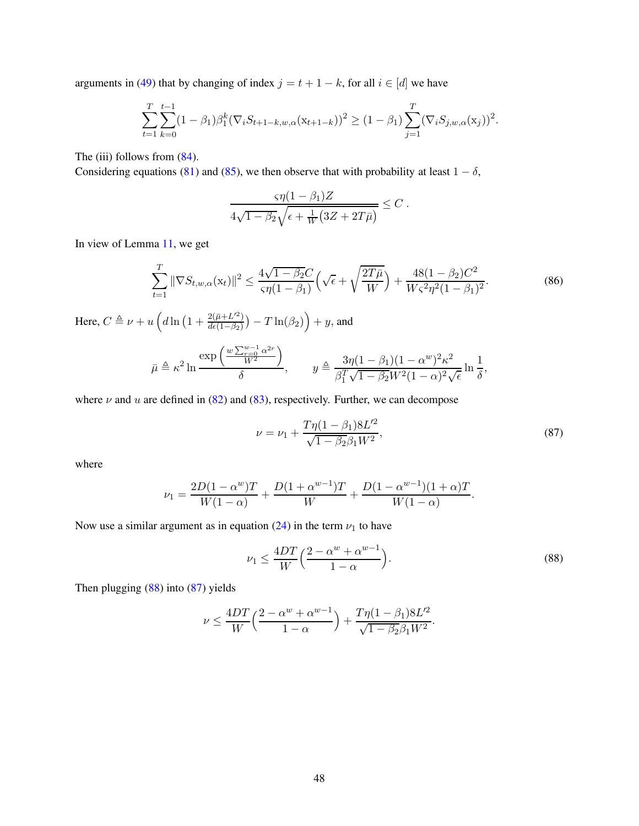arguments in [\(49\)](#page-31-0) that by changing of index  $j = t + 1 - k$ , for all  $i \in [d]$  we have

$$
\sum_{t=1}^T \sum_{k=0}^{t-1} (1 - \beta_1) \beta_1^k (\nabla_i S_{t+1-k, w, \alpha} (x_{t+1-k}))^2 \ge (1 - \beta_1) \sum_{j=1}^T (\nabla_i S_{j, w, \alpha} (x_j))^2.
$$

The (iii) follows from  $(84)$ .

Considering equations [\(81\)](#page-45-2) and [\(85\)](#page-46-1), we then observe that with probability at least  $1 - \delta$ ,

<span id="page-47-2"></span>
$$
\frac{\varsigma\eta(1-\beta_1)Z}{4\sqrt{1-\beta_2}\sqrt{\epsilon+\frac{1}{W}(3Z+2T\bar{\mu})}}\leq C.
$$

In view of Lemma [11,](#page-49-1) we get

$$
\sum_{t=1}^{T} \|\nabla S_{t,w,\alpha}(\mathbf{x}_t)\|^2 \le \frac{4\sqrt{1-\beta_2}C}{\varsigma \eta (1-\beta_1)} \left(\sqrt{\epsilon} + \sqrt{\frac{2T\bar{\mu}}{W}}\right) + \frac{48(1-\beta_2)C^2}{W\varsigma^2 \eta^2 (1-\beta_1)^2}.
$$
\n(86)

Here,  $C \triangleq \nu + u \left( d \ln \left( 1 + \frac{2 (\bar{\mu} + L'^2)}{d \epsilon (1 - \beta_0)} \right) \right)$  $\frac{2(\bar{\mu}+L^{\prime 2})}{d\epsilon(1-\beta_2)}-T\ln(\beta_2)\Big)+y,$  and

$$
\bar{\mu} \triangleq \kappa^2 \ln \frac{\exp\left(\frac{w \sum_{r=0}^{w-1} \alpha^{2r}}{W^2}\right)}{\delta}, \qquad y \triangleq \frac{3\eta (1-\beta_1)(1-\alpha^w)^2 \kappa^2}{\beta_1^T \sqrt{1-\beta_2} W^2 (1-\alpha)^2 \sqrt{\epsilon}} \ln \frac{1}{\delta},
$$

where  $\nu$  and  $u$  are defined in [\(82\)](#page-45-3) and [\(83\)](#page-45-4), respectively. Further, we can decompose

<span id="page-47-1"></span>
$$
\nu = \nu_1 + \frac{T\eta(1 - \beta_1)8L^2}{\sqrt{1 - \beta_2}\beta_1 W^2},\tag{87}
$$

where

$$
\nu_1 = \frac{2D(1 - \alpha^w)T}{W(1 - \alpha)} + \frac{D(1 + \alpha^{w-1})T}{W} + \frac{D(1 - \alpha^{w-1})(1 + \alpha)T}{W(1 - \alpha)}.
$$

Now use a similar argument as in equation [\(24\)](#page-20-0) in the term  $\nu_1$  to have

<span id="page-47-0"></span>
$$
\nu_1 \le \frac{4DT}{W} \left( \frac{2 - \alpha^w + \alpha^{w-1}}{1 - \alpha} \right). \tag{88}
$$

Then plugging [\(88\)](#page-47-0) into [\(87\)](#page-47-1) yields

$$
\nu \le \frac{4DT}{W} \Big( \frac{2 - \alpha^w + \alpha^{w-1}}{1 - \alpha} \Big) + \frac{T\eta (1 - \beta_1) 8L'^2}{\sqrt{1 - \beta_2} \beta_1 W^2}.
$$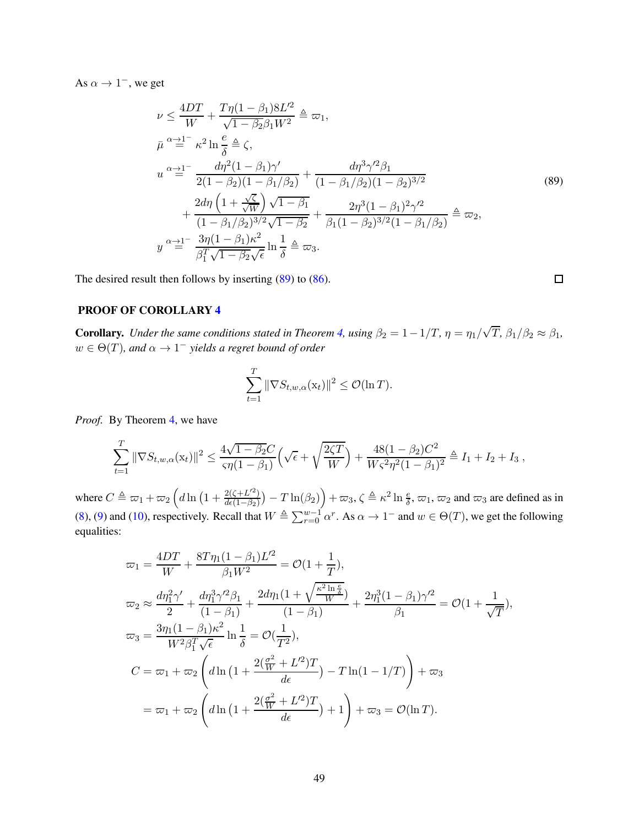As  $\alpha \to 1^-$ , we get

<span id="page-48-0"></span>
$$
\nu \leq \frac{4DT}{W} + \frac{T\eta(1-\beta_1)8L^2}{\sqrt{1-\beta_2}\beta_1 W^2} \triangleq \varpi_1,
$$
\n
$$
\bar{\mu}^{\alpha} \stackrel{d}{=} \kappa^2 \ln \frac{e}{\delta} \stackrel{\Delta}{=} \zeta,
$$
\n
$$
u^{\alpha} \stackrel{d}{=} \frac{d\eta^2(1-\beta_1)\gamma'}{2(1-\beta_2)(1-\beta_1/\beta_2)} + \frac{d\eta^3\gamma'^2\beta_1}{(1-\beta_1/\beta_2)(1-\beta_2)^{3/2}} + \frac{2d\eta\left(1+\frac{\sqrt{\zeta}}{\sqrt{W}}\right)\sqrt{1-\beta_1}}{(1-\beta_1/\beta_2)^{3/2}\sqrt{1-\beta_2}} + \frac{2\eta^3(1-\beta_1)^2\gamma'^2}{\beta_1(1-\beta_2)^{3/2}(1-\beta_1/\beta_2)} \triangleq \varpi_2,
$$
\n
$$
y^{\alpha} \stackrel{d}{=} \frac{3\eta(1-\beta_1)\kappa^2}{\beta_1^T\sqrt{1-\beta_2}\sqrt{\epsilon}} \ln \frac{1}{\delta} \triangleq \varpi_3.
$$
\n(89)

 $\Box$ 

The desired result then follows by inserting [\(89\)](#page-48-0) to [\(86\)](#page-47-2).

## PROOF OF COROLLARY [4](#page-11-2)

**Corollary.** *Under the same conditions stated in Theorem [4,](#page-10-0) using*  $\beta_2 = 1 - 1/T$ ,  $\eta = \eta_1/\sqrt{T}$ ,  $\beta_1/\beta_2 \approx \beta_1$ ,  $w \in \Theta(T)$ , and  $\alpha \to 1^-$  yields a regret bound of order

$$
\sum_{t=1}^T \|\nabla S_{t,w,\alpha}(\mathbf{x}_t)\|^2 \le \mathcal{O}(\ln T).
$$

*Proof.* By Theorem [4,](#page-10-0) we have

$$
\sum_{t=1}^T \|\nabla S_{t,w,\alpha}(\mathbf{x}_t)\|^2 \le \frac{4\sqrt{1-\beta_2}C}{\varsigma \eta (1-\beta_1)} \Big(\sqrt{\epsilon} + \sqrt{\frac{2\zeta T}{W}}\Big) + \frac{48(1-\beta_2)C^2}{W\varsigma^2 \eta^2 (1-\beta_1)^2} \triangleq I_1 + I_2 + I_3,
$$

where  $C \triangleq \varpi_1 + \varpi_2 \left( d \ln \left( 1 + \frac{2(\zeta + L'^2)}{d\epsilon (1 - \beta_2)} \right) \right)$  $\frac{2(\zeta+L^{2})}{d\epsilon(1-\beta_2)}$   $- T \ln(\beta_2)$   $+ \infty_3$ ,  $\zeta \triangleq \kappa^2 \ln \frac{e}{\delta}$ ,  $\varpi_1$ ,  $\varpi_2$  and  $\varpi_3$  are defined as in [\(8\)](#page-11-3), [\(9\)](#page-11-4) and [\(10\)](#page-11-5), respectively. Recall that  $W \triangleq \sum_{r=0}^{w-1} \alpha^r$ . As  $\alpha \to 1^-$  and  $w \in \Theta(T)$ , we get the following equalities:

$$
\varpi_1 = \frac{4DT}{W} + \frac{8T\eta_1(1-\beta_1)L'^2}{\beta_1W^2} = \mathcal{O}(1+\frac{1}{T}),
$$
  
\n
$$
\varpi_2 \approx \frac{d\eta_1^2\gamma'}{2} + \frac{d\eta_1^3\gamma'^2\beta_1}{(1-\beta_1)} + \frac{2d\eta_1(1+\sqrt{\frac{\kappa^2\ln\frac{e}{\delta}}{W}})}{(1-\beta_1)} + \frac{2\eta_1^3(1-\beta_1)\gamma'^2}{\beta_1} = \mathcal{O}(1+\frac{1}{\sqrt{T}}),
$$
  
\n
$$
\varpi_3 = \frac{3\eta_1(1-\beta_1)\kappa^2}{W^2\beta_1^T\sqrt{\epsilon}}\ln\frac{1}{\delta} = \mathcal{O}(\frac{1}{T^2}),
$$
  
\n
$$
C = \varpi_1 + \varpi_2\left(d\ln\left(1 + \frac{2(\frac{\sigma^2}{W} + L'^2)T}{d\epsilon}\right) - T\ln(1 - 1/T)\right) + \varpi_3
$$
  
\n
$$
= \varpi_1 + \varpi_2\left(d\ln\left(1 + \frac{2(\frac{\sigma^2}{W} + L'^2)T}{d\epsilon}\right) + 1\right) + \varpi_3 = \mathcal{O}(\ln T).
$$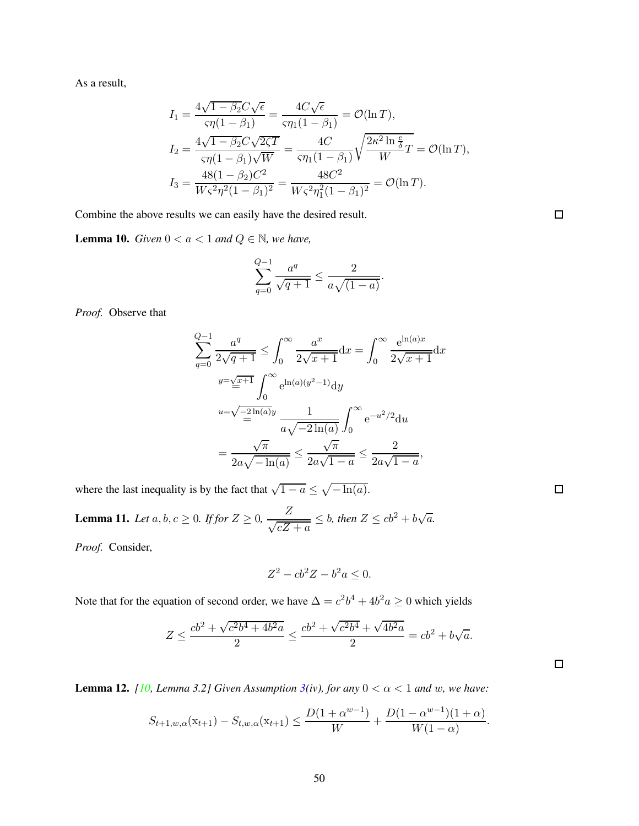As a result,

$$
I_1 = \frac{4\sqrt{1 - \beta_2}C\sqrt{\epsilon}}{\varsigma \eta (1 - \beta_1)} = \frac{4C\sqrt{\epsilon}}{\varsigma \eta_1 (1 - \beta_1)} = \mathcal{O}(\ln T),
$$
  
\n
$$
I_2 = \frac{4\sqrt{1 - \beta_2}C\sqrt{2\zeta T}}{\varsigma \eta (1 - \beta_1)\sqrt{W}} = \frac{4C}{\varsigma \eta_1 (1 - \beta_1)} \sqrt{\frac{2\kappa^2 \ln \frac{\epsilon}{\delta}}{W}} T = \mathcal{O}(\ln T),
$$
  
\n
$$
I_3 = \frac{48(1 - \beta_2)C^2}{W\varsigma^2 \eta^2 (1 - \beta_1)^2} = \frac{48C^2}{W\varsigma^2 \eta_1^2 (1 - \beta_1)^2} = \mathcal{O}(\ln T).
$$

Combine the above results we can easily have the desired result.

<span id="page-49-2"></span>**Lemma 10.** *Given*  $0 < a < 1$  *and*  $Q \in \mathbb{N}$ *, we have,* 

$$
\sum_{q=0}^{Q-1} \frac{a^q}{\sqrt{q+1}} \le \frac{2}{a\sqrt{(1-a)}}.
$$

*Proof.* Observe that

$$
\sum_{q=0}^{Q-1} \frac{a^q}{2\sqrt{q+1}} \le \int_0^\infty \frac{a^x}{2\sqrt{x+1}} dx = \int_0^\infty \frac{e^{\ln(a)x}}{2\sqrt{x+1}} dx
$$

$$
y = \sum_{n=0}^{Q-1} \int_0^\infty e^{\ln(a)(y^2 - 1)} dy
$$

$$
u = \sqrt{\frac{-2\ln(a)}{a}} \frac{1}{a\sqrt{-2\ln(a)}} \int_0^\infty e^{-u^2/2} du
$$

$$
= \frac{\sqrt{\pi}}{2a\sqrt{-\ln(a)}} \le \frac{\sqrt{\pi}}{2a\sqrt{1-a}} \le \frac{2}{2a\sqrt{1-a}},
$$

where the last inequality is by the fact that  $\sqrt{1-a} \leq \sqrt{-\ln(a)}$ .

<span id="page-49-1"></span>**Lemma 11.** Let  $a, b, c \ge 0$ . If for  $Z \ge 0$ ,  $\frac{Z}{\sqrt{cZ}}$  $\frac{Z}{\sqrt{cZ + a}} \leq b$ , then  $Z \leq cb^2 + b\sqrt{a}$ .

*Proof.* Consider,

$$
Z^2 - cb^2Z - b^2a \le 0.
$$

Note that for the equation of second order, we have  $\Delta = c^2b^4 + 4b^2a \ge 0$  which yields

$$
Z \le \frac{cb^2 + \sqrt{c^2b^4 + 4b^2a}}{2} \le \frac{cb^2 + \sqrt{c^2b^4} + \sqrt{4b^2a}}{2} = cb^2 + b\sqrt{a}.
$$

<span id="page-49-0"></span>**Lemma 12.** *[\[10,](#page-12-8) Lemma 3.2] Given Assumption [3\(](#page-6-1)iv), for any*  $0 < \alpha < 1$  *and w, we have:* 

$$
S_{t+1,w,\alpha}(\mathbf{x}_{t+1}) - S_{t,w,\alpha}(\mathbf{x}_{t+1}) \le \frac{D(1+\alpha^{w-1})}{W} + \frac{D(1-\alpha^{w-1})(1+\alpha)}{W(1-\alpha)}.
$$

 $\Box$ 

 $\Box$ 

 $\Box$